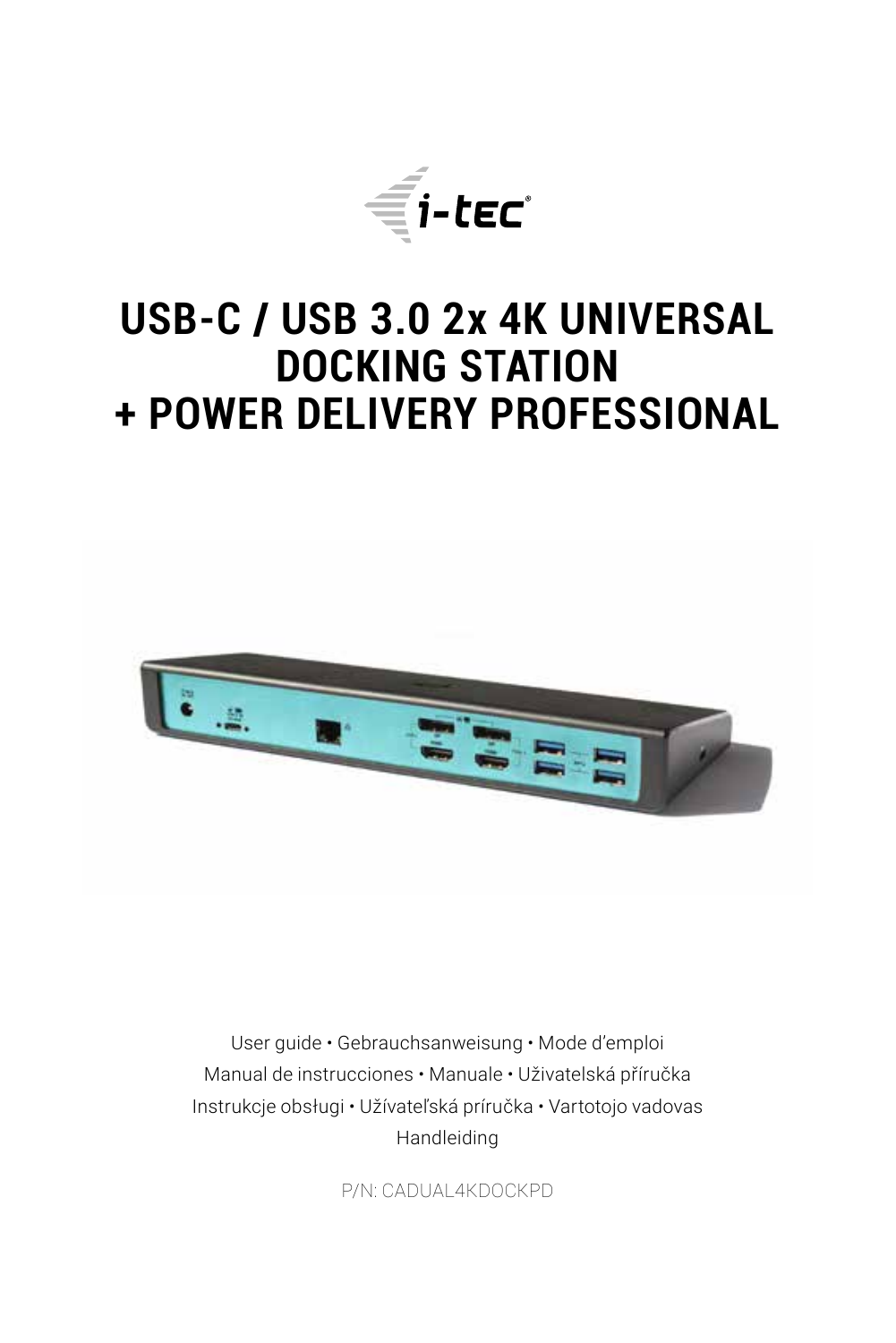

# **USB-C / USB 3.0 2x 4K UNIVERSAL DOCKING STATION + POWER DELIVERY PROFESSIONAL**



User guide • Gebrauchsanweisung • Mode d'emploi Manual de instrucciones • Manuale • Uživatelská příručka Instrukcje obsługi • Užívateľská príručka • Vartotojo vadovas Handleiding

P/N: CADUAL4KDOCKPD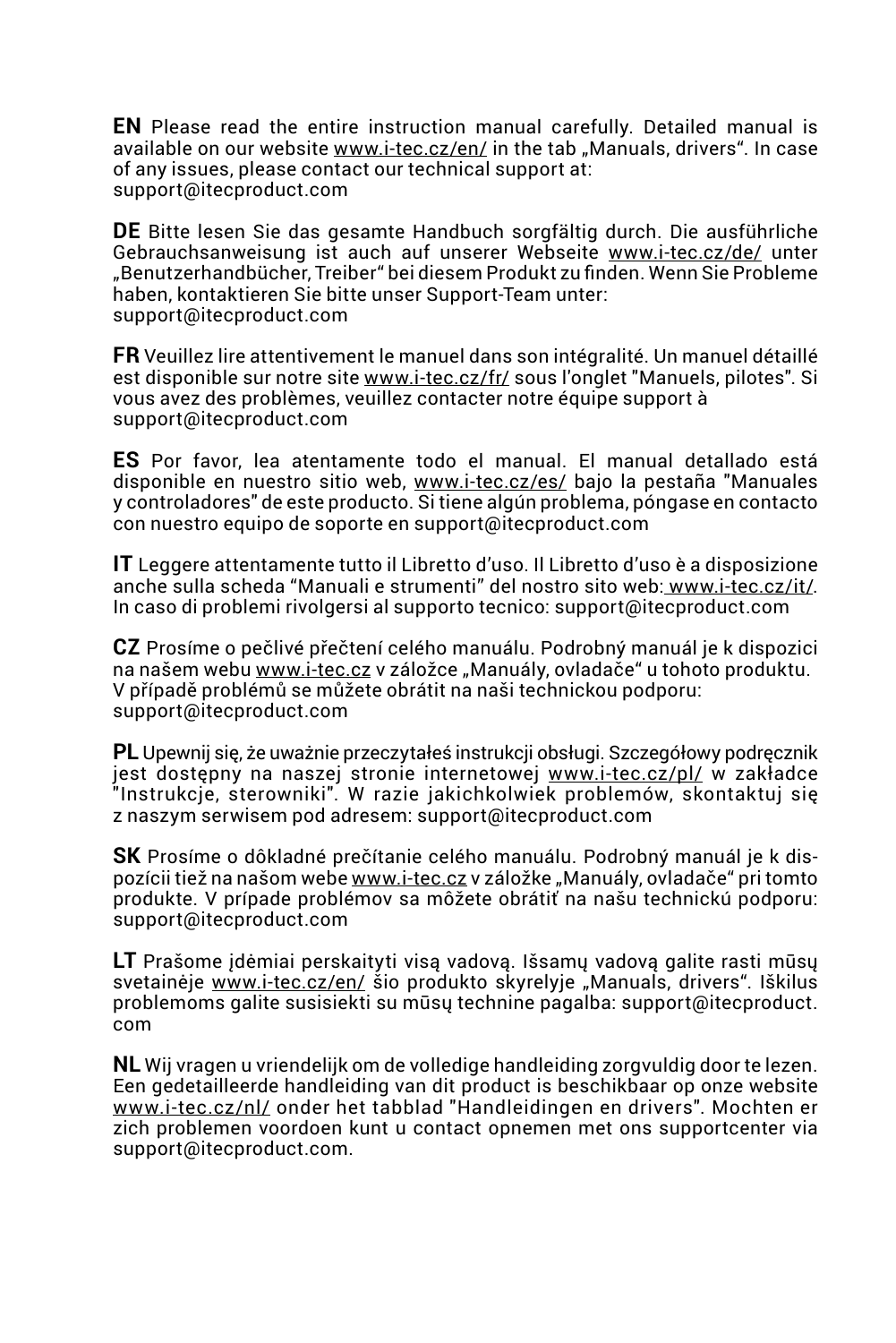**EN** Please read the entire instruction manual carefully. Detailed manual is available on our website [www.i-tec.cz/en/](http://www.i-tec.cz/en/) in the tab "Manuals, drivers". In case of any issues, please contact our technical support at: support@itecproduct.com

**DE** Bitte lesen Sie das gesamte Handbuch sorgfältig durch. Die ausführliche Gebrauchsanweisung ist auch auf unserer Webseite [www.i-tec.cz/de/](http://www.i-tec.cz/de/) unter "Benutzerhandbücher, Treiber" bei diesem Produkt zu finden. Wenn Sie Probleme haben, kontaktieren Sie bitte unser Support-Team unter: support@itecproduct.com

**FR** Veuillez lire attentivement le manuel dans son intégralité. Un manuel détaillé est disponible sur notre site [www.i-tec.cz/fr/](http://www.i-tec.cz/fr/) sous l'onglet "Manuels, pilotes". Si vous avez des problèmes, veuillez contacter notre équipe support à support@itecproduct.com

**ES** Por favor, lea atentamente todo el manual. El manual detallado está disponible en nuestro sitio web, [www.i-tec.cz/es/](http://www.i-tec.cz/es/) bajo la pestaña "Manuales y controladores" de este producto. Si tiene algún problema, póngase en contacto con nuestro equipo de soporte en support@itecproduct.com

**IT** Leggere attentamente tutto il Libretto d'uso. Il Libretto d'uso è a disposizione anche sulla scheda "Manuali e strumenti" del nostro sito web[: www.i-tec.cz/it/](http:// www.i-tec.cz/it/). In caso di problemi rivolgersi al supporto tecnico: support@itecproduct.com

**CZ** Prosíme o pečlivé přečtení celého manuálu. Podrobný manuál je k dispozici na našem webu [www.i-tec.cz](https://www.i-tec.cz) v záložce "Manuály, ovladače" u tohoto produktu. V případě problémů se můžete obrátit na naši technickou podporu: support@itecproduct.com

**PL** Upewnij się, że uważnie przeczytałeś instrukcji obsługi. Szczegółowy podręcznik jest dostępny na naszej stronie internetowej [www.i-tec.cz/pl/](http://www.i-tec.cz/pl/) w zakładce "Instrukcje, sterowniki". W razie jakichkolwiek problemów, skontaktuj się z naszym serwisem pod adresem: support@itecproduct.com

**SK** Prosíme o dôkladné prečítanie celého manuálu. Podrobný manuál je k dispozícii tiež na našom webe [www.i-tec.cz](http://www.i-tec.cz) v záložke "Manuály, ovladače" pri tomto produkte. V prípade problémov sa môžete obrátiť na našu technickú podporu: support@itecproduct.com

**LT** Prašome įdėmiai perskaityti visą vadovą. Išsamų vadovą galite rasti mūsų svetainėje [www.i-tec.cz/en/](http://www.i-tec.cz/en/) šio produkto skyrelyje "Manuals, drivers". Iškilus problemoms galite susisiekti su mūsų technine pagalba: support@itecproduct. com

**NL** Wij vragen u vriendelijk om de volledige handleiding zorgvuldig door te lezen. Een gedetailleerde handleiding van dit product is beschikbaar op onze website [www.i-tec.cz/nl/](http://www.i-tec.cz/nl/) onder het tabblad "Handleidingen en drivers". Mochten er zich problemen voordoen kunt u contact opnemen met ons supportcenter via support@itecproduct.com.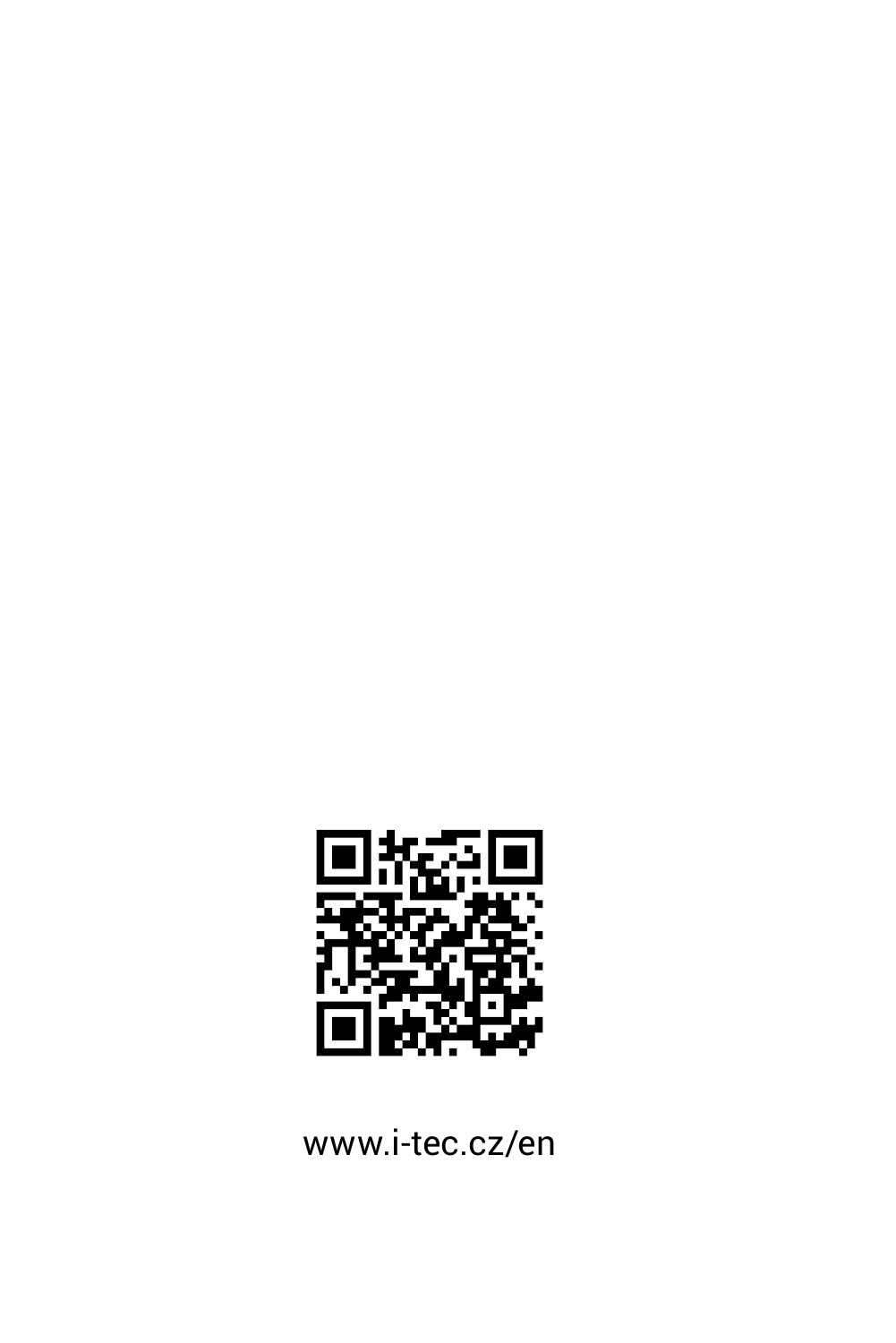

www.i-tec.cz/en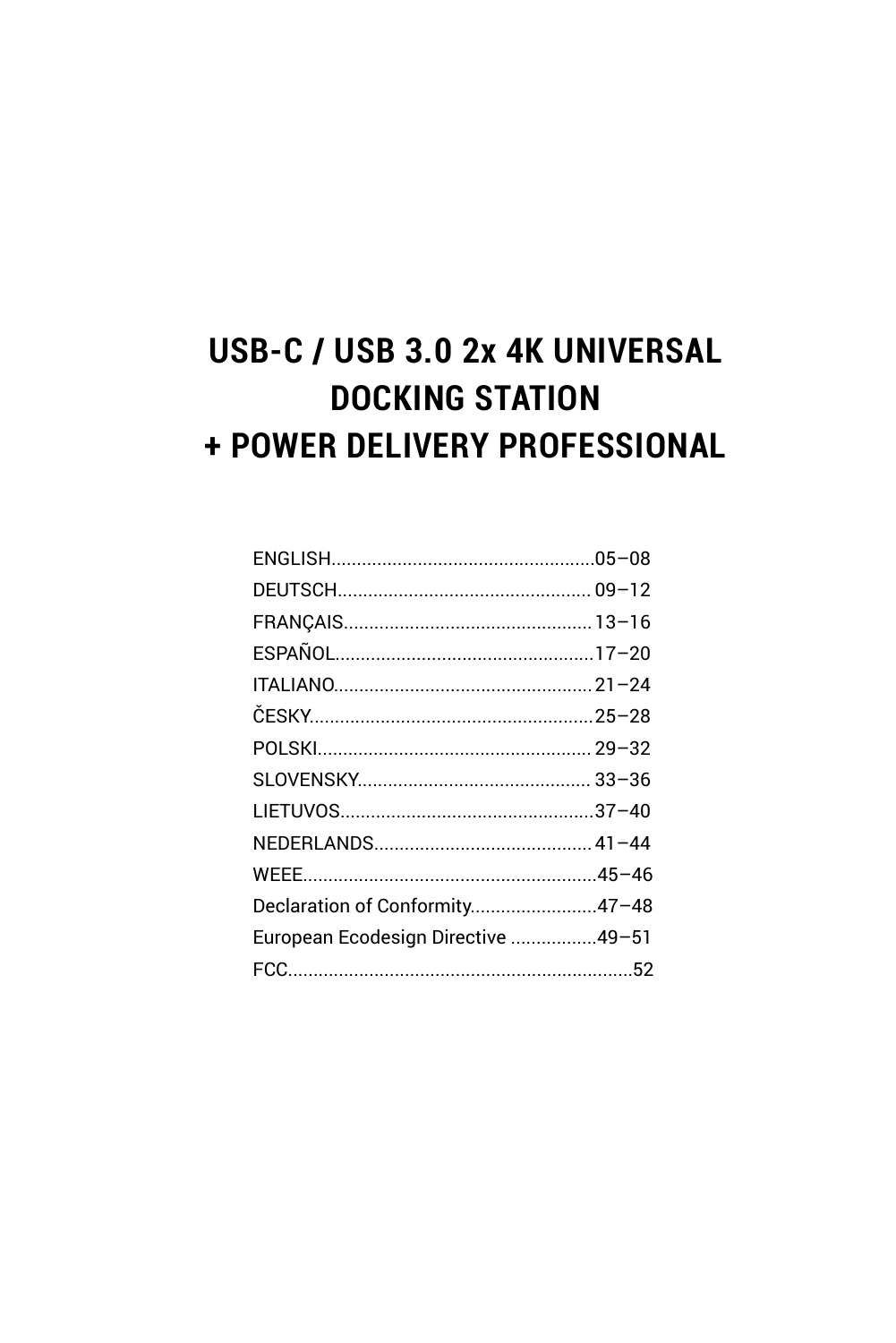## USB-C / USB 3.0 2x 4K UNIVERSAL **DOCKING STATION** + POWER DELIVERY PROFESSIONAL

| Declaration of Conformity47-48     |  |
|------------------------------------|--|
| European Ecodesign Directive 49-51 |  |
|                                    |  |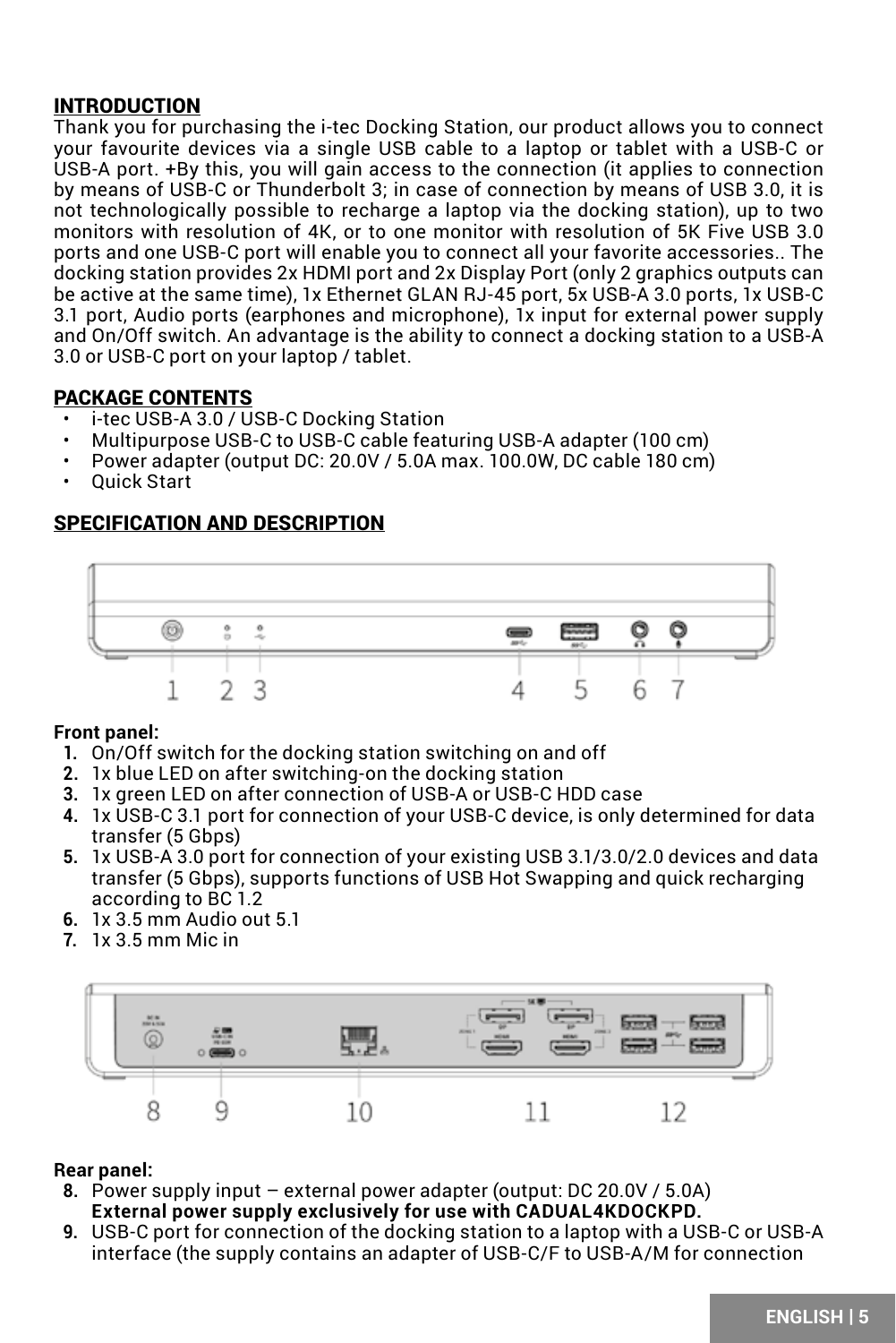### <span id="page-4-0"></span>INTRODUCTION

Thank you for purchasing the i-tec Docking Station, our product allows you to connect your favourite devices via a single USB cable to a laptop or tablet with a USB-C or USB-A port. +By this, you will gain access to the connection (it applies to connection by means of USB-C or Thunderbolt 3; in case of connection by means of USB 3.0, it is not technologically possible to recharge a laptop via the docking station), up to two monitors with resolution of 4K, or to one monitor with resolution of 5K Five USB 3.0 ports and one USB-C port will enable you to connect all your favorite accessories.. The docking station provides 2x HDMI port and 2x Display Port (only 2 graphics outputs can be active at the same time), 1x Ethernet GLAN RJ-45 port, 5x USB-A 3.0 ports, 1x USB-C 3.1 port, Audio ports (earphones and microphone), 1x input for external power supply and On/Off switch. An advantage is the ability to connect a docking station to a USB-A 3.0 or USB-C port on your laptop / tablet.

### PACKAGE CONTENTS

- i-tec USB-A 3.0 / USB-C Docking Station
- Multipurpose USB-C to USB-C cable featuring USB-A adapter (100 cm)
- Power adapter (output DC: 20.0V / 5.0A max. 100.0W, DC cable 180 cm)
- Quick Start

### SPECIFICATION AND DESCRIPTION



#### **Front panel:**

- **1.** On/Off switch for the docking station switching on and off
- **2.** 1x blue LED on after switching-on the docking station
- **3.** 1x green LED on after connection of USB-A or USB-C HDD case
- **4.** 1x USB-C 3.1 port for connection of your USB-C device, is only determined for data transfer (5 Gbps)
- **5.** 1x USB-A 3.0 port for connection of your existing USB 3.1/3.0/2.0 devices and data transfer (5 Gbps), supports functions of USB Hot Swapping and quick recharging according to BC 1.2
- **6.** 1x 3.5 mm Audio out 5.1
- **7.** 1x 3.5 mm Mic in



### **Rear panel:**

- **8.** Power supply input external power adapter (output: DC 20.0V / 5.0A) **External power supply exclusively for use with CADUAL4KDOCKPD.**
- **9.** USB-C port for connection of the docking station to a laptop with a USB-C or USB-A interface (the supply contains an adapter of USB-C/F to USB-A/M for connection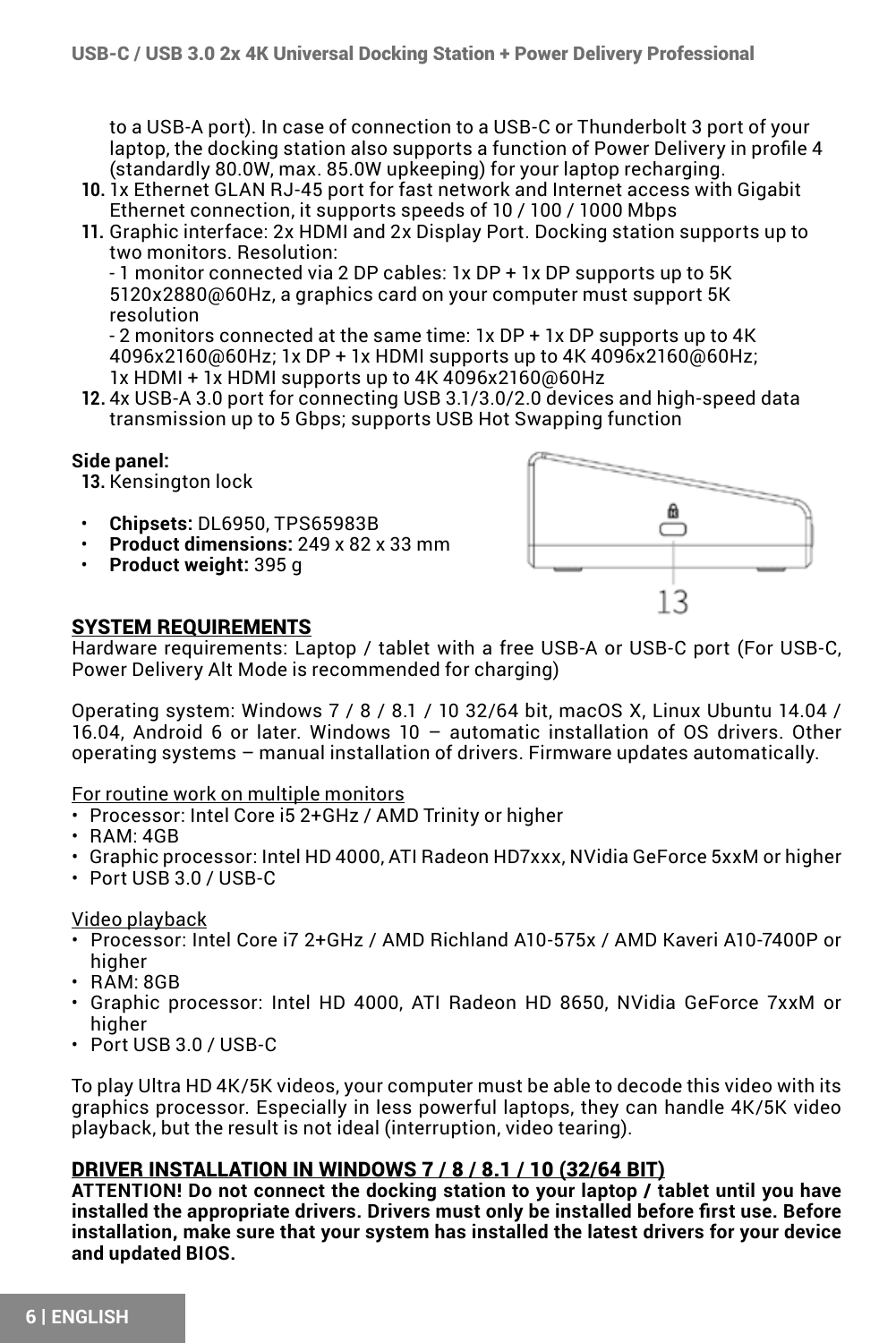to a USB-A port). In case of connection to a USB-C or Thunderbolt 3 port of your laptop, the docking station also supports a function of Power Delivery in profile 4 (standardly 80.0W, max. 85.0W upkeeping) for your laptop recharging.

- **10.** 1x Ethernet GLAN RJ-45 port for fast network and Internet access with Gigabit Ethernet connection, it supports speeds of 10 / 100 / 1000 Mbps
- **11.** Graphic interface: 2x HDMI and 2x Display Port. Docking station supports up to two monitors. Resolution:

- 1 monitor connected via 2 DP cables: 1x DP + 1x DP supports up to 5K 5120x2880@60Hz, a graphics card on your computer must support 5K resolution

- 2 monitors connected at the same time: 1x DP + 1x DP supports up to 4K 4096x2160@60Hz; 1x DP + 1x HDMI supports up to 4K 4096x2160@60Hz; 1x HDMI + 1x HDMI supports up to 4K 4096x2160@60Hz

**12.** 4x USB-A 3.0 port for connecting USB 3.1/3.0/2.0 devices and high-speed data transmission up to 5 Gbps; supports USB Hot Swapping function

#### **Side panel:**

**13.** Kensington lock

- **Chipsets:** DL6950, TPS65983B
- **Product dimensions:** 249 x 82 x 33 mm
- **Product weight:** 395 g



#### SYSTEM REQUIREMENTS

Hardware requirements: Laptop / tablet with a free USB-A or USB-C port (For USB-C, Power Delivery Alt Mode is recommended for charging)

Operating system: Windows 7 / 8 / 8.1 / 10 32/64 bit, macOS X, Linux Ubuntu 14.04 / 16.04, Android 6 or later. Windows 10 – automatic installation of OS drivers. Other operating systems – manual installation of drivers. Firmware updates automatically.

#### For routine work on multiple monitors

- Processor: Intel Core i5 2+GHz / AMD Trinity or higher
- RAM: 4GB
- Graphic processor: Intel HD 4000, ATI Radeon HD7xxx, NVidia GeForce 5xxM or higher
- Port USB 3.0 / USB-C

#### Video playback

- Processor: Intel Core i7 2+GHz / AMD Richland A10-575x / AMD Kaveri A10-7400P or higher
- RAM: 8GB
- Graphic processor: Intel HD 4000, ATI Radeon HD 8650, NVidia GeForce 7xxM or higher
- Port USB 3.0 / USB-C

To play Ultra HD 4K/5K videos, your computer must be able to decode this video with its graphics processor. Especially in less powerful laptops, they can handle 4K/5K video playback, but the result is not ideal (interruption, video tearing).

#### DRIVER INSTALLATION IN WINDOWS 7 / 8 / 8.1 / 10 (32/64 BIT)

**ATTENTION! Do not connect the docking station to your laptop / tablet until you have installed the appropriate drivers. Drivers must only be installed before first use. Before installation, make sure that your system has installed the latest drivers for your device and updated BIOS.**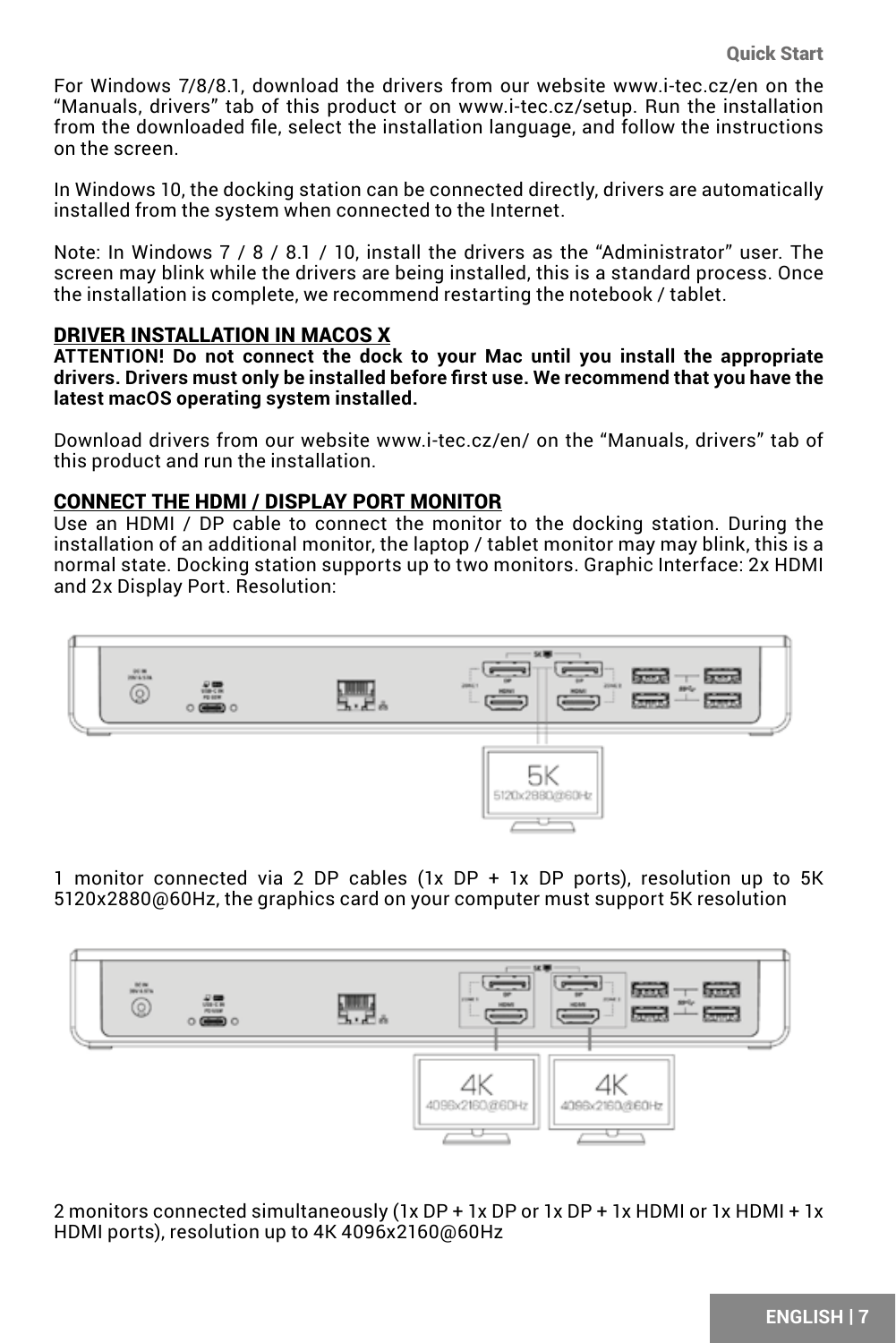For Windows 7/8/8.1, download the drivers from our website www.i-tec.cz/en on the "Manuals, drivers" tab of this product or on www.i-tec.cz/setup. Run the installation from the downloaded file, select the installation language, and follow the instructions on the screen.

In Windows 10, the docking station can be connected directly, drivers are automatically installed from the system when connected to the Internet.

Note: In Windows 7 / 8 / 8.1 / 10, install the drivers as the "Administrator" user. The screen may blink while the drivers are being installed, this is a standard process. Once the installation is complete, we recommend restarting the notebook / tablet.

### DRIVER INSTALLATION IN MACOS X

**ATTENTION! Do not connect the dock to your Mac until you install the appropriate drivers. Drivers must only be installed before first use. We recommend that you have the latest macOS operating system installed.**

Download drivers from our website www.i-tec.cz/en/ on the "Manuals, drivers" tab of this product and run the installation.

#### CONNECT THE HDMI / DISPLAY PORT MONITOR

Use an HDMI / DP cable to connect the monitor to the docking station. During the installation of an additional monitor, the laptop / tablet monitor may may blink, this is a normal state. Docking station supports up to two monitors. Graphic Interface: 2x HDMI and 2x Display Port. Resolution:



1 monitor connected via 2 DP cables (1x DP + 1x DP ports), resolution up to 5K 5120x2880@60Hz, the graphics card on your computer must support 5K resolution



2 monitors connected simultaneously ( $1x$  DP +  $1x$  DP or  $1x$  DP +  $1x$  HDMI or  $1x$  HDMI +  $1x$ HDMI ports), resolution up to 4K 4096x2160@60Hz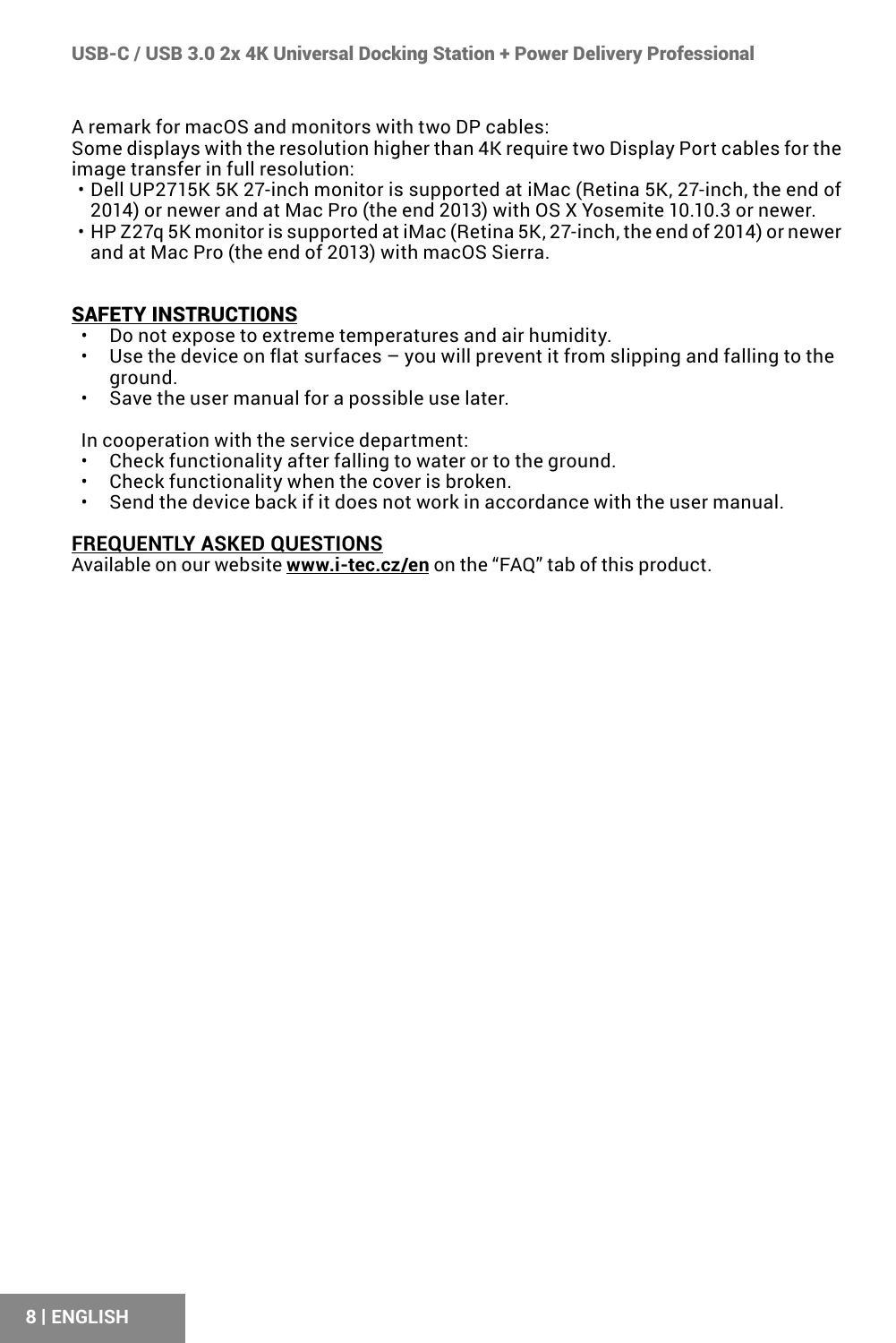A remark for macOS and monitors with two DP cables:

Some displays with the resolution higher than 4K require two Display Port cables for the image transfer in full resolution:

- Dell UP2715K 5K 27-inch monitor is supported at iMac (Retina 5K, 27-inch, the end of 2014) or newer and at Mac Pro (the end 2013) with OS X Yosemite 10.10.3 or newer.
- HP Z27q 5K monitor is supported at iMac (Retina 5K, 27-inch, the end of 2014) or newer and at Mac Pro (the end of 2013) with macOS Sierra.

### SAFETY INSTRUCTIONS

- Do not expose to extreme temperatures and air humidity.
- Use the device on flat surfaces you will prevent it from slipping and falling to the ground.
- Save the user manual for a possible use later.

In cooperation with the service department:<br>
• Check functionality after falling to water

- Check functionality after falling to water or to the ground.<br>• Check functionality when the cover is broken
- Check functionality when the cover is broken.
- Send the device back if it does not work in accordance with the user manual.

#### **FREQUENTLY ASKED QUESTIONS**

Available on our website **www.i-tec.cz/en** on the "FAQ" tab of this product.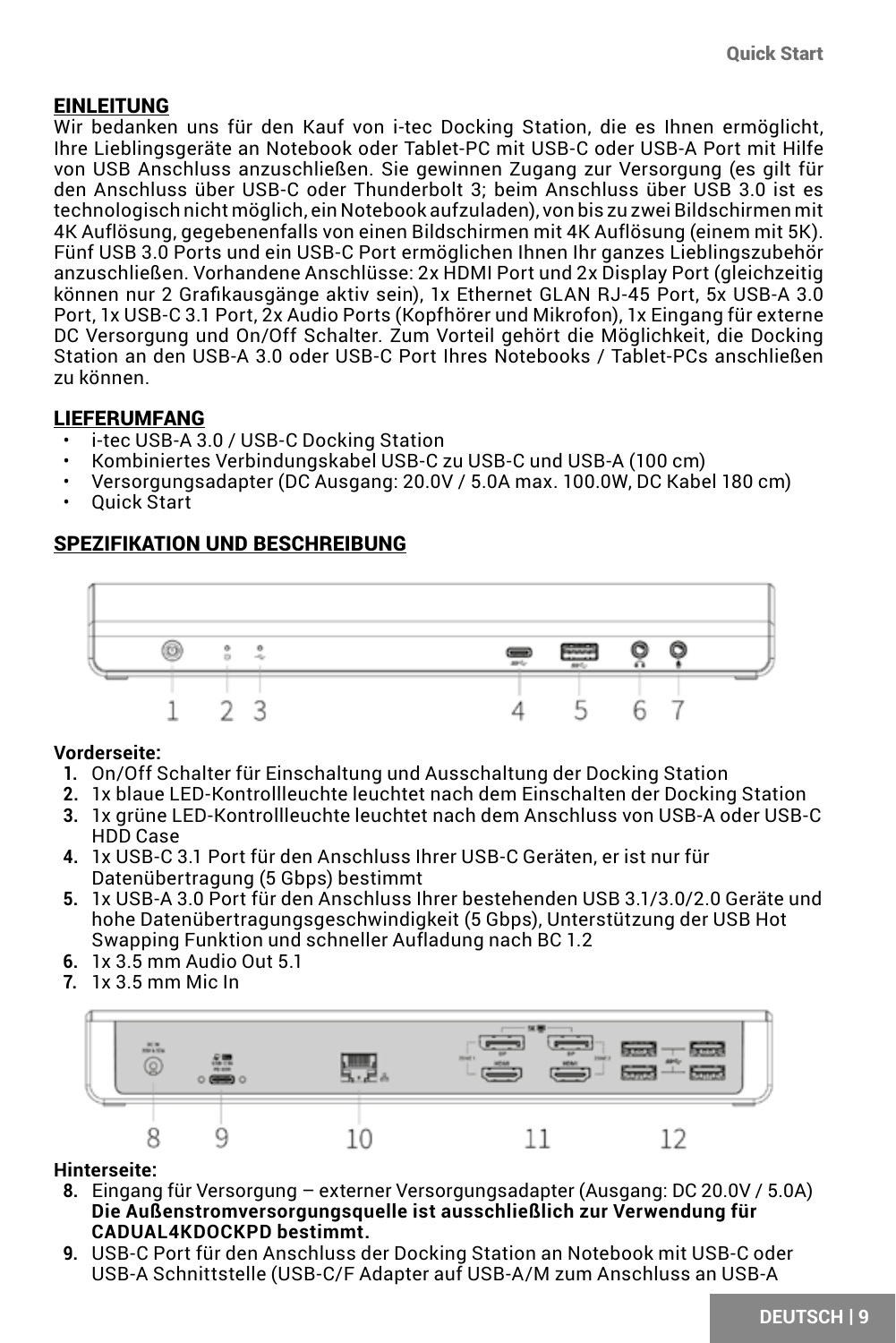### <span id="page-8-0"></span>EINLEITUNG

Wir bedanken uns für den Kauf von i-tec Docking Station, die es Ihnen ermöglicht, Ihre Lieblingsgeräte an Notebook oder Tablet-PC mit USB-C oder USB-A Port mit Hilfe von USB Anschluss anzuschließen. Sie gewinnen Zugang zur Versorgung (es gilt für den Anschluss über USB-C oder Thunderbolt 3; beim Anschluss über USB 3.0 ist es technologisch nicht möglich, ein Notebook aufzuladen), von bis zu zwei Bildschirmen mit 4K Auflösung, gegebenenfalls von einen Bildschirmen mit 4K Auflösung (einem mit 5K). Fünf USB 3.0 Ports und ein USB-C Port ermöglichen Ihnen Ihr ganzes Lieblingszubehör anzuschließen. Vorhandene Anschlüsse: 2x HDMI Port und 2x Display Port (gleichzeitig können nur 2 Grafikausgänge aktiv sein), 1x Ethernet GLAN RJ-45 Port, 5x USB-A 3.0 Port, 1x USB-C 3.1 Port, 2x Audio Ports (Kopfhörer und Mikrofon), 1x Eingang für externe DC Versorgung und On/Off Schalter. Zum Vorteil gehört die Möglichkeit, die Docking Station an den USB-A 3.0 oder USB-C Port Ihres Notebooks / Tablet-PCs anschließen zu können.

### LIEFERUMFANG

- i-tec USB-A 3.0 / USB-C Docking Station
- Kombiniertes Verbindungskabel USB-C zu USB-C und USB-A (100 cm)
- Versorgungsadapter (DC Ausgang: 20.0V / 5.0A max. 100.0W, DC Kabel 180 cm)
- Quick Start

### SPEZIFIKATION UND BESCHREIBUNG



#### **Vorderseite:**

- **1.** On/Off Schalter für Einschaltung und Ausschaltung der Docking Station
- **2.** 1x blaue LED-Kontrollleuchte leuchtet nach dem Einschalten der Docking Station
- **3.** 1x grüne LED-Kontrollleuchte leuchtet nach dem Anschluss von USB-A oder USB-C HDD Case
- **4.** 1x USB-C 3.1 Port für den Anschluss Ihrer USB-C Geräten, er ist nur für Datenübertragung (5 Gbps) bestimmt
- **5.** 1x USB-A 3.0 Port für den Anschluss Ihrer bestehenden USB 3.1/3.0/2.0 Geräte und hohe Datenübertragungsgeschwindigkeit (5 Gbps), Unterstützung der USB Hot Swapping Funktion und schneller Aufladung nach BC 1.2
- **6.** 1x 3.5 mm Audio Out 5.1
- **7.** 1x 3.5 mm Mic In



### **Hinterseite:**

- **8.** Eingang für Versorgung externer Versorgungsadapter (Ausgang: DC 20.0V / 5.0A) **Die Außenstromversorgungsquelle ist ausschließlich zur Verwendung für CADUAL4KDOCKPD bestimmt.**
- **9.** USB-C Port für den Anschluss der Docking Station an Notebook mit USB-C oder USB-A Schnittstelle (USB-C/F Adapter auf USB-A/M zum Anschluss an USB-A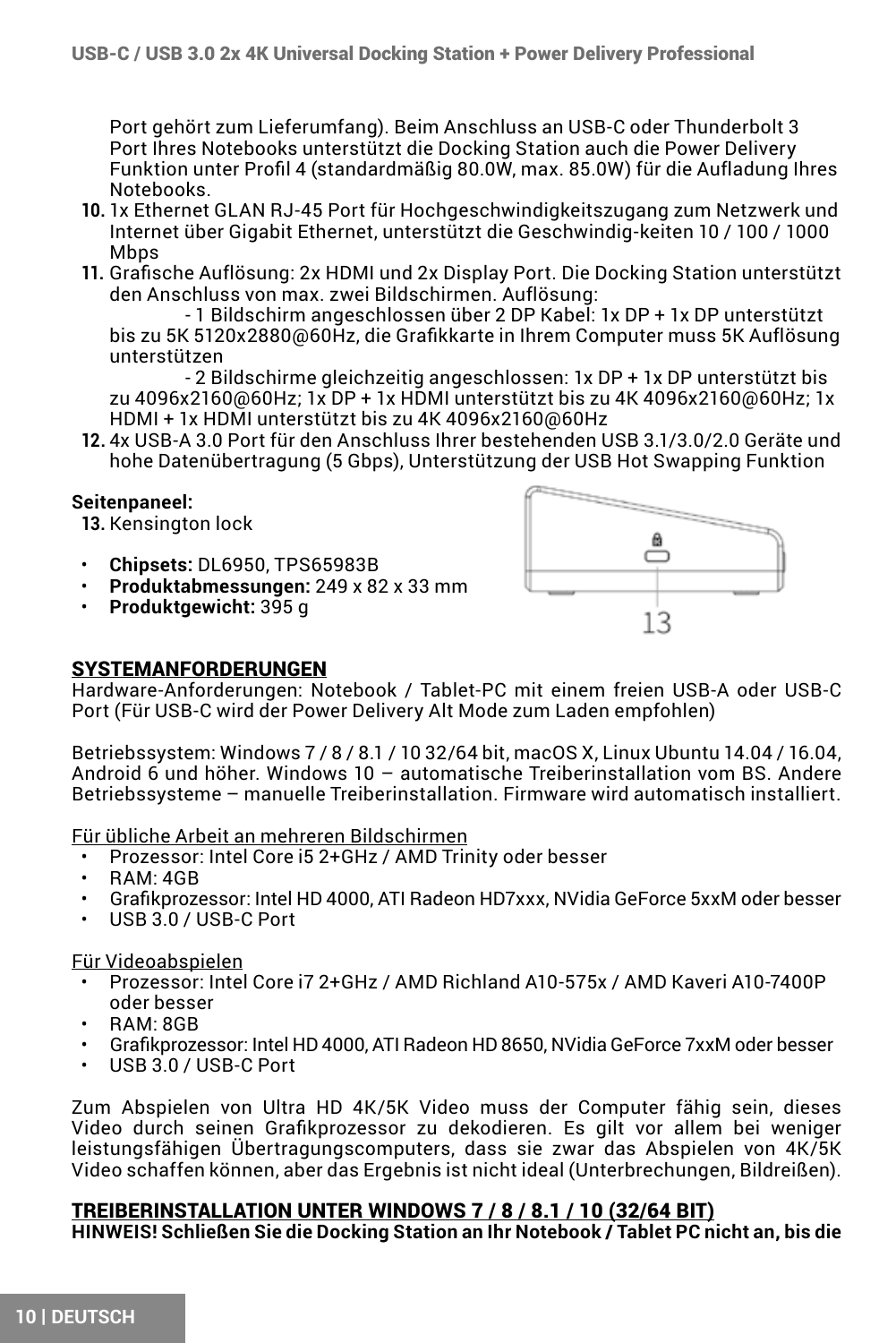Port gehört zum Lieferumfang). Beim Anschluss an USB-C oder Thunderbolt 3 Port Ihres Notebooks unterstützt die Docking Station auch die Power Delivery Funktion unter Profil 4 (standardmäßig 80.0W, max. 85.0W) für die Aufladung Ihres Notebooks.

- **10.** 1x Ethernet GLAN RJ-45 Port für Hochgeschwindigkeitszugang zum Netzwerk und Internet über Gigabit Ethernet, unterstützt die Geschwindig-keiten 10 / 100 / 1000 Mhns
- **11.** Grafische Auflösung: 2x HDMI und 2x Display Port. Die Docking Station unterstützt den Anschluss von max. zwei Bildschirmen. Auflösung:

 - 1 Bildschirm angeschlossen über 2 DP Kabel: 1x DP + 1x DP unterstützt bis zu 5K 5120x2880@60Hz, die Grafikkarte in Ihrem Computer muss 5K Auflösung unterstützen

- 2 Bildschirme gleichzeitig angeschlossen: 1x DP + 1x DP unterstützt bis zu 4096x2160@60Hz; 1x DP + 1x HDMI unterstützt bis zu 4K 4096x2160@60Hz; 1x HDMI + 1x HDMI unterstützt bis zu 4K 4096x2160@60Hz

**12.** 4x USB-A 3.0 Port für den Anschluss Ihrer bestehenden USB 3.1/3.0/2.0 Geräte und hohe Datenübertragung (5 Gbps), Unterstützung der USB Hot Swapping Funktion

#### **Seitenpaneel:**

**13.** Kensington lock

- **Chipsets:** DL6950, TPS65983B
- **Produktabmessungen:** 249 x 82 x 33 mm
- **Produktgewicht:** 395 g



#### SYSTEMANFORDERUNGEN

Hardware-Anforderungen: Notebook / Tablet-PC mit einem freien USB-A oder USB-C Port (Für USB-C wird der Power Delivery Alt Mode zum Laden empfohlen)

Betriebssystem: Windows 7 / 8 / 8.1 / 10 32/64 bit, macOS X, Linux Ubuntu 14.04 / 16.04, Android 6 und höher. Windows 10 – automatische Treiberinstallation vom BS. Andere Betriebssysteme – manuelle Treiberinstallation. Firmware wird automatisch installiert.

Für übliche Arbeit an mehreren Bildschirmen

- Prozessor: Intel Core i5 2+GHz / AMD Trinity oder besser
- RAM: 4GB
- Grafikprozessor: Intel HD 4000, ATI Radeon HD7xxx, NVidia GeForce 5xxM oder besser
- USB 3.0 / USB-C Port

#### Für Videoabspielen

- Prozessor: Intel Core i7 2+GHz / AMD Richland A10-575x / AMD Kaveri A10-7400P oder besser
- RAM: 8GB
- Grafikprozessor: Intel HD 4000, ATI Radeon HD 8650, NVidia GeForce 7xxM oder besser
- USB 3.0 / USB-C Port

Zum Abspielen von Ultra HD 4K/5K Video muss der Computer fähig sein, dieses Video durch seinen Grafikprozessor zu dekodieren. Es gilt vor allem bei weniger leistungsfähigen Übertragungscomputers, dass sie zwar das Abspielen von 4K/5K Video schaffen können, aber das Ergebnis ist nicht ideal (Unterbrechungen, Bildreißen).

#### TREIBERINSTALLATION UNTER WINDOWS 7 / 8 / 8.1 / 10 (32/64 BIT)

**HINWEIS! Schließen Sie die Docking Station an Ihr Notebook / Tablet PC nicht an, bis die**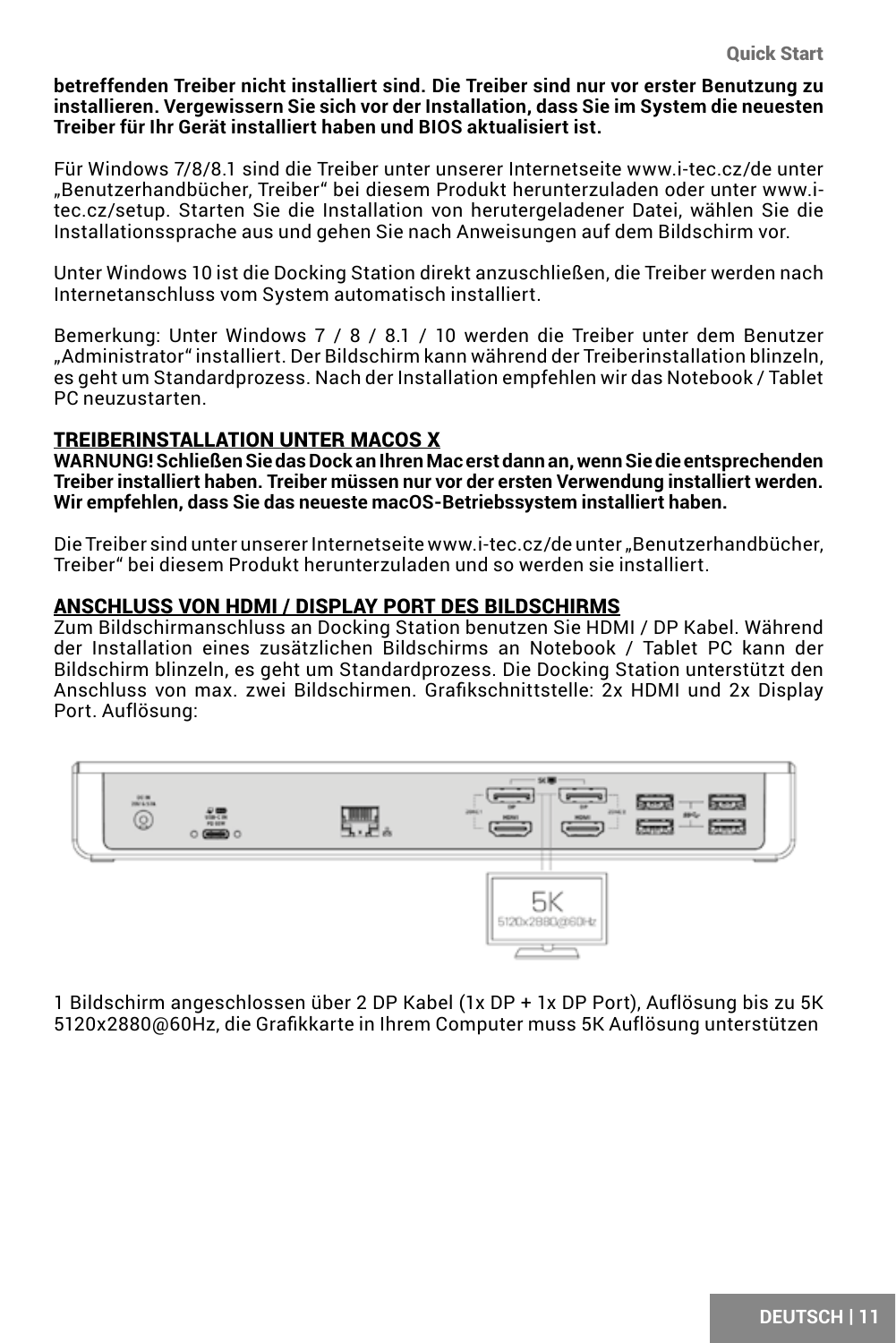**betreffenden Treiber nicht installiert sind. Die Treiber sind nur vor erster Benutzung zu installieren. Vergewissern Sie sich vor der Installation, dass Sie im System die neuesten Treiber für Ihr Gerät installiert haben und BIOS aktualisiert ist.**

Für Windows 7/8/8.1 sind die Treiber unter unserer Internetseite www.i-tec.cz/de unter "Benutzerhandbücher, Treiber" bei diesem Produkt herunterzuladen oder unter www.itec.cz/setup. Starten Sie die Installation von herutergeladener Datei, wählen Sie die Installationssprache aus und gehen Sie nach Anweisungen auf dem Bildschirm vor.

Unter Windows 10 ist die Docking Station direkt anzuschließen, die Treiber werden nach Internetanschluss vom System automatisch installiert.

Bemerkung: Unter Windows 7 / 8 / 8.1 / 10 werden die Treiber unter dem Benutzer "Administrator" installiert. Der Bildschirm kann während der Treiberinstallation blinzeln, es geht um Standardprozess. Nach der Installation empfehlen wir das Notebook / Tablet PC neuzustarten.

#### TREIBERINSTALLATION UNTER MACOS X

**WARNUNG! Schließen Sie das Dock an Ihren Mac erst dann an, wenn Sie die entsprechenden Treiber installiert haben. Treiber müssen nur vor der ersten Verwendung installiert werden. Wir empfehlen, dass Sie das neueste macOS-Betriebssystem installiert haben.**

Die Treiber sind unter unserer Internetseite www.i-tec.cz/de unter "Benutzerhandbücher, Treiber" bei diesem Produkt herunterzuladen und so werden sie installiert.

#### ANSCHLUSS VON HDMI / DISPLAY PORT DES BILDSCHIRMS

Zum Bildschirmanschluss an Docking Station benutzen Sie HDMI / DP Kabel. Während der Installation eines zusätzlichen Bildschirms an Notebook / Tablet PC kann der Bildschirm blinzeln, es geht um Standardprozess. Die Docking Station unterstützt den Anschluss von max. zwei Bildschirmen. Grafikschnittstelle: 2x HDMI und 2x Display Port. Auflösung:



1 Bildschirm angeschlossen über 2 DP Kabel (1x DP + 1x DP Port), Auflösung bis zu 5K 5120x2880@60Hz, die Grafikkarte in Ihrem Computer muss 5K Auflösung unterstützen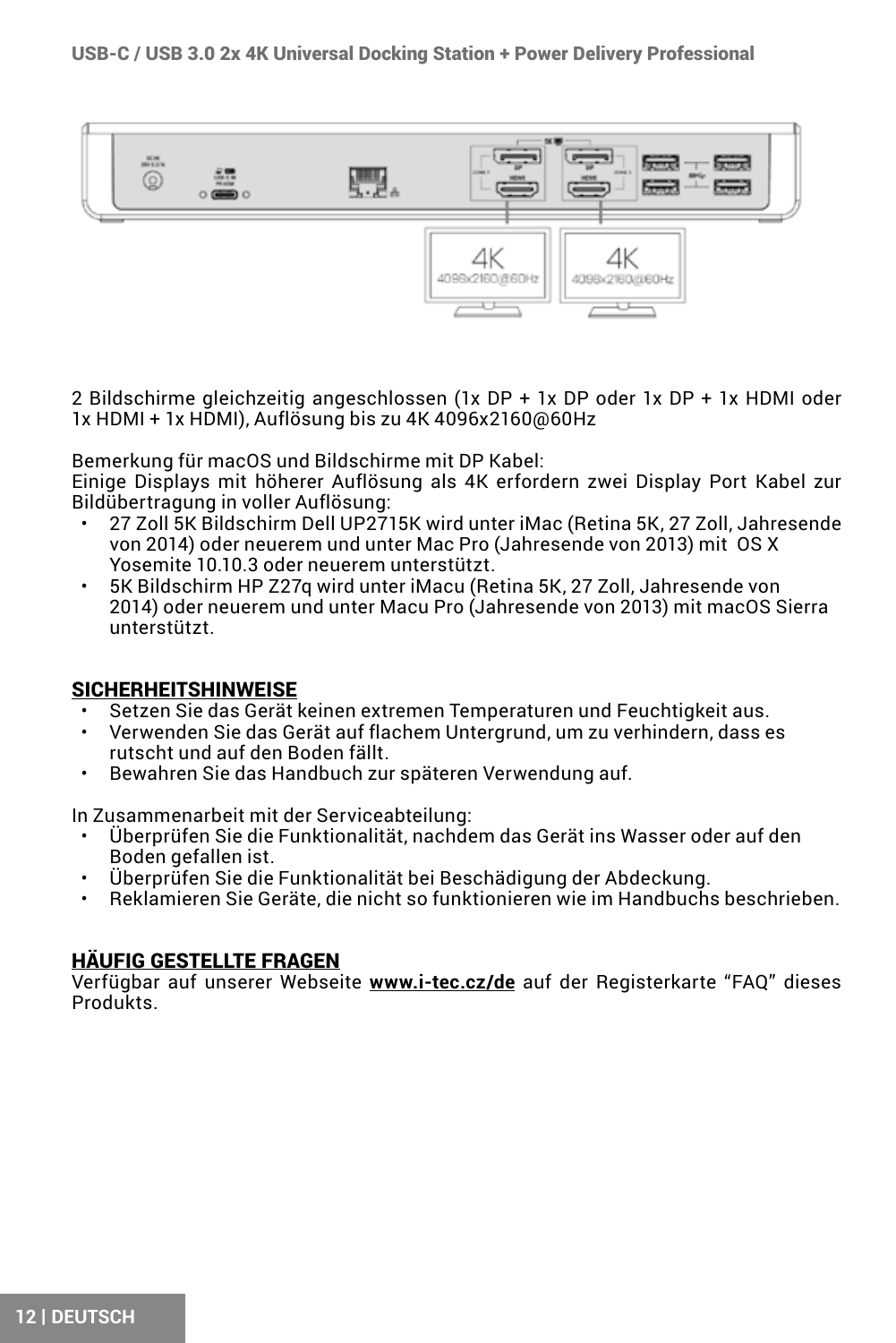

2 Bildschirme gleichzeitig angeschlossen (1x DP + 1x DP oder 1x DP + 1x HDMI oder 1x HDMI + 1x HDMI), Auflösung bis zu 4K 4096x2160@60Hz

Bemerkung für macOS und Bildschirme mit DP Kabel:

Einige Displays mit höherer Auflösung als 4K erfordern zwei Display Port Kabel zur Bildübertragung in voller Auflösung:

- 27 Zoll 5K Bildschirm Dell UP2715K wird unter iMac (Retina 5K, 27 Zoll, Jahresende von 2014) oder neuerem und unter Mac Pro (Jahresende von 2013) mit OS X Yosemite 10.10.3 oder neuerem unterstützt.
- 5K Bildschirm HP Z27q wird unter iMacu (Retina 5K, 27 Zoll, Jahresende von 2014) oder neuerem und unter Macu Pro (Jahresende von 2013) mit macOS Sierra unterstützt.

### SICHERHEITSHINWEISE

- Setzen Sie das Gerät keinen extremen Temperaturen und Feuchtigkeit aus.
- Verwenden Sie das Gerät auf flachem Untergrund, um zu verhindern, dass es rutscht und auf den Boden fällt.
- Bewahren Sie das Handbuch zur späteren Verwendung auf.

In Zusammenarbeit mit der Serviceabteilung:

- Überprüfen Sie die Funktionalität, nachdem das Gerät ins Wasser oder auf den Boden gefallen ist.
- Überprüfen Sie die Funktionalität bei Beschädigung der Abdeckung.
- Reklamieren Sie Geräte, die nicht so funktionieren wie im Handbuchs beschrieben.

#### HÄUFIG GESTELLTE FRAGEN

Verfügbar auf unserer Webseite **www.i-tec.cz/de** auf der Registerkarte "FAQ" dieses Produkts.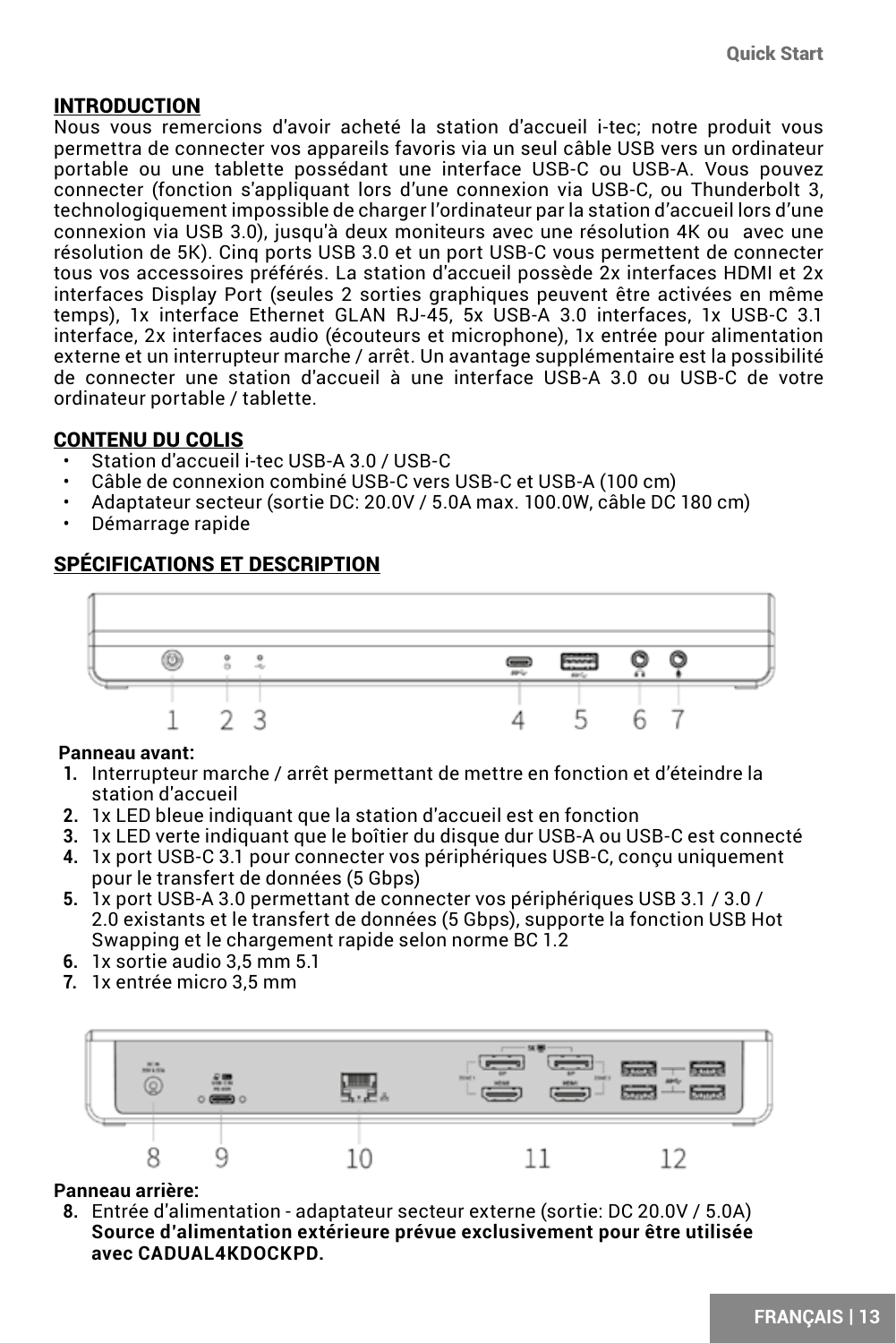### <span id="page-12-0"></span>INTRODUCTION

Nous vous remercions d'avoir acheté la station d'accueil i-tec; notre produit vous permettra de connecter vos appareils favoris via un seul câble USB vers un ordinateur portable ou une tablette possédant une interface USB-C ou USB-A. Vous pouvez connecter (fonction s'appliquant lors d'une connexion via USB-C, ou Thunderbolt 3, technologiquement impossible de charger l'ordinateur par la station d'accueil lors d'une connexion via USB 3.0), jusqu'à deux moniteurs avec une résolution 4K ou avec une résolution de 5K). Cinq ports USB 3.0 et un port USB-C vous permettent de connecter tous vos accessoires préférés. La station d'accueil possède 2x interfaces HDMI et 2x interfaces Display Port (seules 2 sorties graphiques peuvent être activées en même temps), 1x interface Ethernet GLAN RJ-45, 5x USB-A 3.0 interfaces, 1x USB-C 3.1 interface, 2x interfaces audio (écouteurs et microphone), 1x entrée pour alimentation externe et un interrupteur marche / arrêt. Un avantage supplémentaire est la possibilité de connecter une station d'accueil à une interface USB-A 3.0 ou USB-C de votre ordinateur portable / tablette.

### CONTENU DU COLIS

- Station d'accueil i-tec USB-A 3.0 / USB-C
- Câble de connexion combiné USB-C vers USB-C et USB-A (100 cm)
- Adaptateur secteur (sortie DC: 20.0V / 5.0A max. 100.0W, câble DC 180 cm)
- Démarrage rapide

### SPÉCIFICATIONS ET DESCRIPTION



#### **Panneau avant:**

- **1.** Interrupteur marche / arrêt permettant de mettre en fonction et d'éteindre la station d'accueil
- **2.** 1x LED bleue indiquant que la station d'accueil est en fonction
- **3.** 1x LED verte indiquant que le boîtier du disque dur USB-A ou USB-C est connecté
- **4.** 1x port USB-C 3.1 pour connecter vos périphériques USB-C, conçu uniquement pour le transfert de données (5 Gbps)
- **5.** 1x port USB-A 3.0 permettant de connecter vos périphériques USB 3.1 / 3.0 / 2.0 existants et le transfert de données (5 Gbps), supporte la fonction USB Hot Swapping et le chargement rapide selon norme BC 1.2
- **6.** 1x sortie audio 3,5 mm 5.1
- **7.** 1x entrée micro 3,5 mm



### **Panneau arrière:**

**8.** Entrée d'alimentation - adaptateur secteur externe (sortie: DC 20.0V / 5.0A) **Source d'alimentation extérieure prévue exclusivement pour être utilisée avec CADUAL4KDOCKPD.**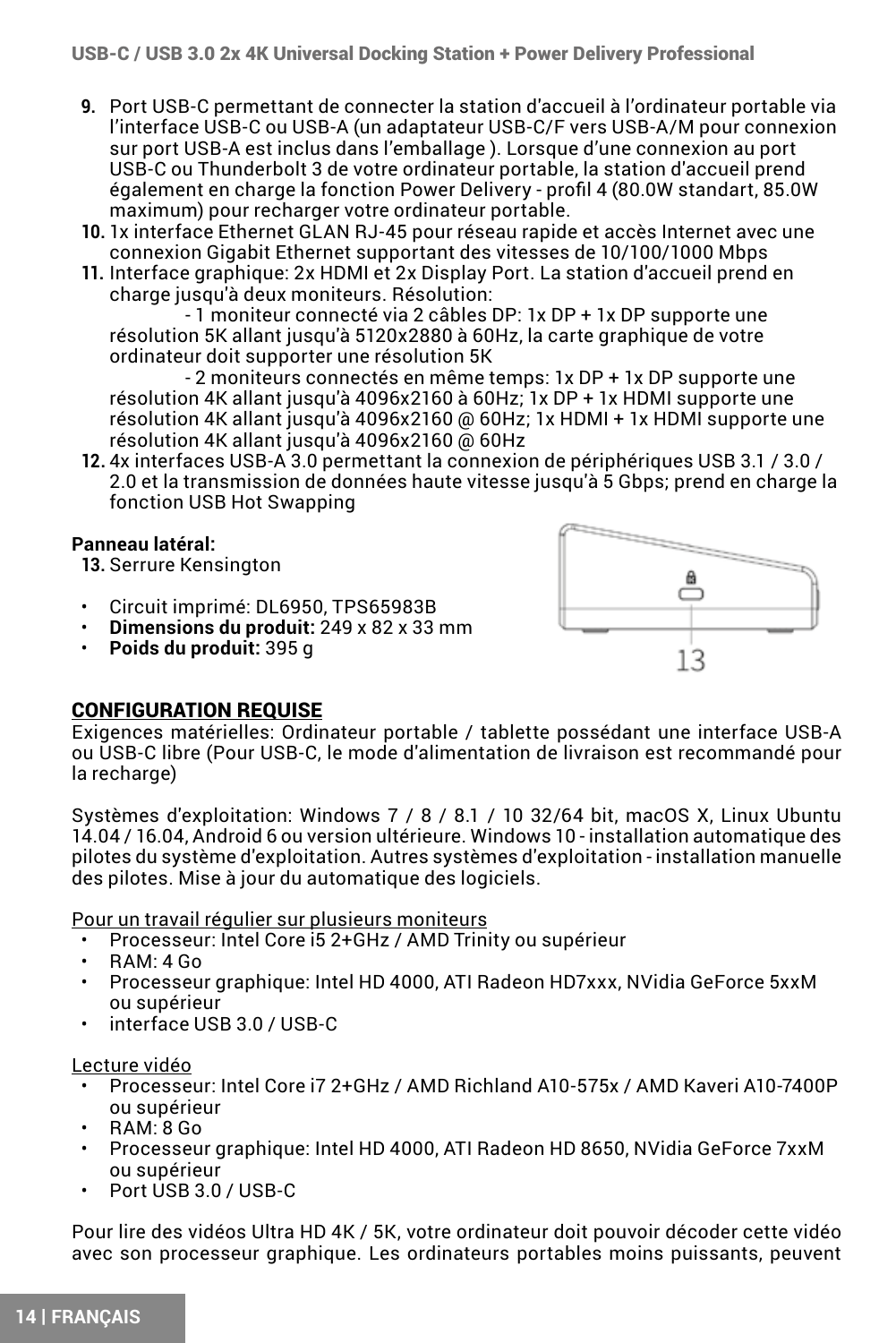- **9.** Port USB-C permettant de connecter la station d'accueil à l'ordinateur portable via l'interface USB-C ou USB-A (un adaptateur USB-C/F vers USB-A/M pour connexion sur port USB-A est inclus dans l'emballage ). Lorsque d'une connexion au port USB-C ou Thunderbolt 3 de votre ordinateur portable, la station d'accueil prend également en charge la fonction Power Delivery - profil 4 (80.0W standart, 85.0W maximum) pour recharger votre ordinateur portable.
- **10.** 1x interface Ethernet GLAN RJ-45 pour réseau rapide et accès Internet avec une connexion Gigabit Ethernet supportant des vitesses de 10/100/1000 Mbps
- **11.** Interface graphique: 2x HDMI et 2x Display Port. La station d'accueil prend en charge jusqu'à deux moniteurs. Résolution:

- 1 moniteur connecté via 2 câbles DP: 1x DP + 1x DP supporte une résolution 5K allant jusqu'à 5120x2880 à 60Hz, la carte graphique de votre ordinateur doit supporter une résolution 5K

- 2 moniteurs connectés en même temps: 1x DP + 1x DP supporte une résolution 4K allant jusqu'à 4096x2160 à 60Hz; 1x DP + 1x HDMI supporte une résolution 4K allant jusqu'à 4096x2160 @ 60Hz; 1x HDMI + 1x HDMI supporte une résolution 4K allant jusqu'à 4096x2160 @ 60Hz

**12.** 4x interfaces USB-A 3.0 permettant la connexion de périphériques USB 3.1 / 3.0 / 2.0 et la transmission de données haute vitesse jusqu'à 5 Gbps; prend en charge la fonction USB Hot Swapping

#### **Panneau latéral:**

**13.** Serrure Kensington

- Circuit imprimé: DL6950, TPS65983B
- **Dimensions du produit:** 249 x 82 x 33 mm
- **Poids du produit:** 395 g



### CONFIGURATION REQUISE

Exigences matérielles: Ordinateur portable / tablette possédant une interface USB-A ou USB-C libre (Pour USB-C, le mode d'alimentation de livraison est recommandé pour la recharge)

Systèmes d'exploitation: Windows 7 / 8 / 8.1 / 10 32/64 bit, macOS X, Linux Ubuntu 14.04 / 16.04, Android 6 ou version ultérieure. Windows 10 - installation automatique des pilotes du système d'exploitation. Autres systèmes d'exploitation - installation manuelle des pilotes. Mise à jour du automatique des logiciels.

Pour un travail régulier sur plusieurs moniteurs

- Processeur: Intel Core i5 2+GHz / AMD Trinity ou supérieur
- RAM: 4 Go
- Processeur graphique: Intel HD 4000, ATI Radeon HD7xxx, NVidia GeForce 5xxM ou supérieur
- interface USB 3.0 / USB-C

Lecture vidéo

- Processeur: Intel Core i7 2+GHz / AMD Richland A10-575x / AMD Kaveri A10-7400P ou supérieur
- RAM: 8 Go
- Processeur graphique: Intel HD 4000, ATI Radeon HD 8650, NVidia GeForce 7xxM ou supérieur
- Port USB 3.0 / USB-C

Pour lire des vidéos Ultra HD 4K / 5K, votre ordinateur doit pouvoir décoder cette vidéo avec son processeur graphique. Les ordinateurs portables moins puissants, peuvent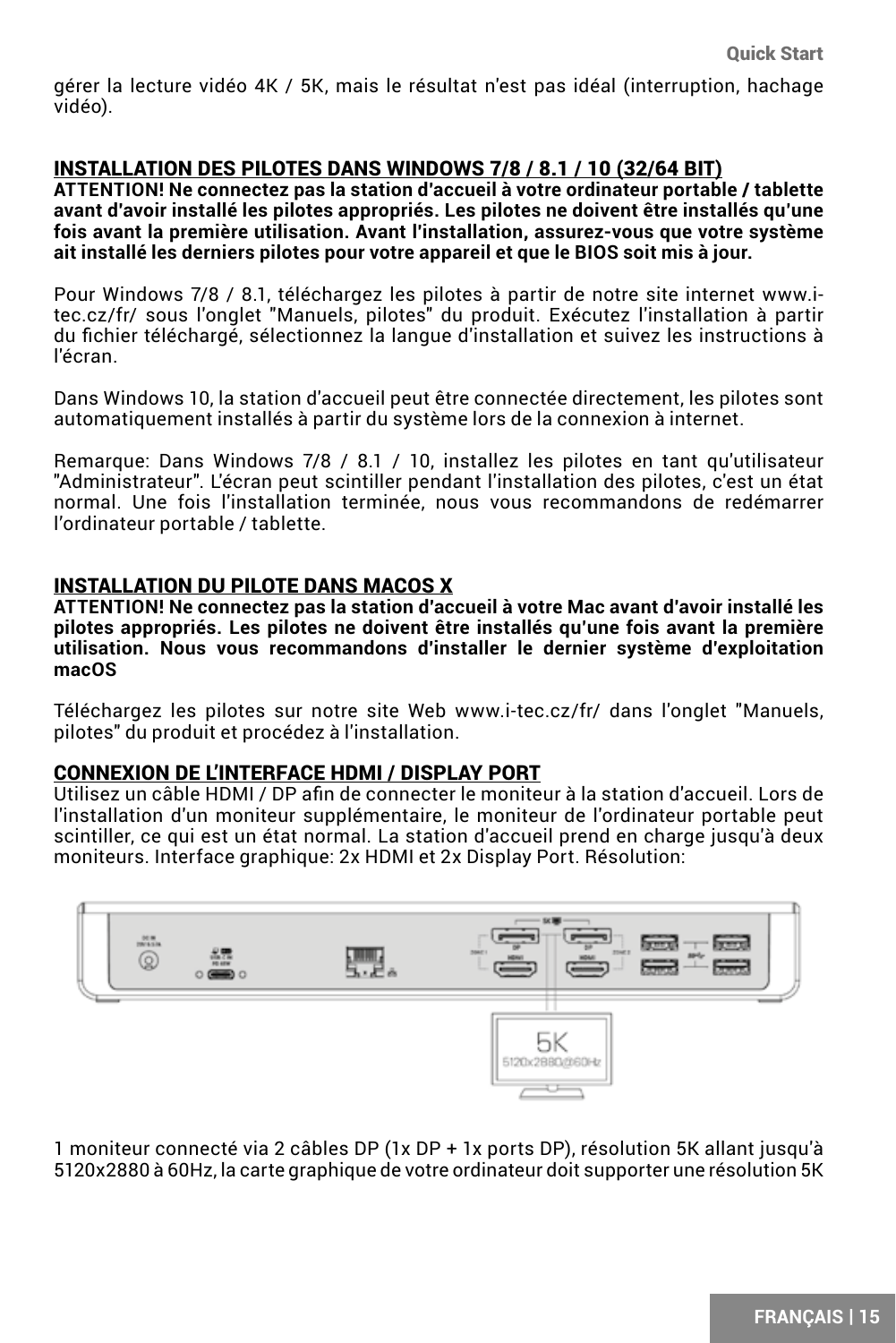gérer la lecture vidéo 4K / 5K, mais le résultat n'est pas idéal (interruption, hachage vidéo).

### INSTALLATION DES PILOTES DANS WINDOWS 7/8 / 8.1 / 10 (32/64 BIT)

**ATTENTION! Ne connectez pas la station d'accueil à votre ordinateur portable / tablette avant d'avoir installé les pilotes appropriés. Les pilotes ne doivent être installés qu'une fois avant la première utilisation. Avant l'installation, assurez-vous que votre système ait installé les derniers pilotes pour votre appareil et que le BIOS soit mis à jour.**

Pour Windows 7/8 / 8.1, téléchargez les pilotes à partir de notre site internet www.itec.cz/fr/ sous l'onglet "Manuels, pilotes" du produit. Exécutez l'installation à partir du fichier téléchargé, sélectionnez la langue d'installation et suivez les instructions à l'écran.

Dans Windows 10, la station d'accueil peut être connectée directement, les pilotes sont automatiquement installés à partir du système lors de la connexion à internet.

Remarque: Dans Windows 7/8 / 8.1 / 10, installez les pilotes en tant qu'utilisateur "Administrateur". L'écran peut scintiller pendant l'installation des pilotes, c'est un état normal. Une fois l'installation terminée, nous vous recommandons de redémarrer l'ordinateur portable / tablette.

#### INSTALLATION DU PILOTE DANS MACOS X

**ATTENTION! Ne connectez pas la station d'accueil à votre Mac avant d'avoir installé les pilotes appropriés. Les pilotes ne doivent être installés qu'une fois avant la première utilisation. Nous vous recommandons d'installer le dernier système d'exploitation macOS**

Téléchargez les pilotes sur notre site Web www.i-tec.cz/fr/ dans l'onglet "Manuels, pilotes" du produit et procédez à l'installation.

### CONNEXION DE L'INTERFACE HDMI / DISPLAY PORT

Utilisez un câble HDMI / DP afin de connecter le moniteur à la station d'accueil. Lors de l'installation d'un moniteur supplémentaire, le moniteur de l'ordinateur portable peut scintiller, ce qui est un état normal. La station d'accueil prend en charge jusqu'à deux moniteurs. Interface graphique: 2x HDMI et 2x Display Port. Résolution:



1 moniteur connecté via 2 câbles DP (1x DP + 1x ports DP), résolution 5K allant jusqu'à 5120x2880 à 60Hz, la carte graphique de votre ordinateur doit supporter une résolution 5K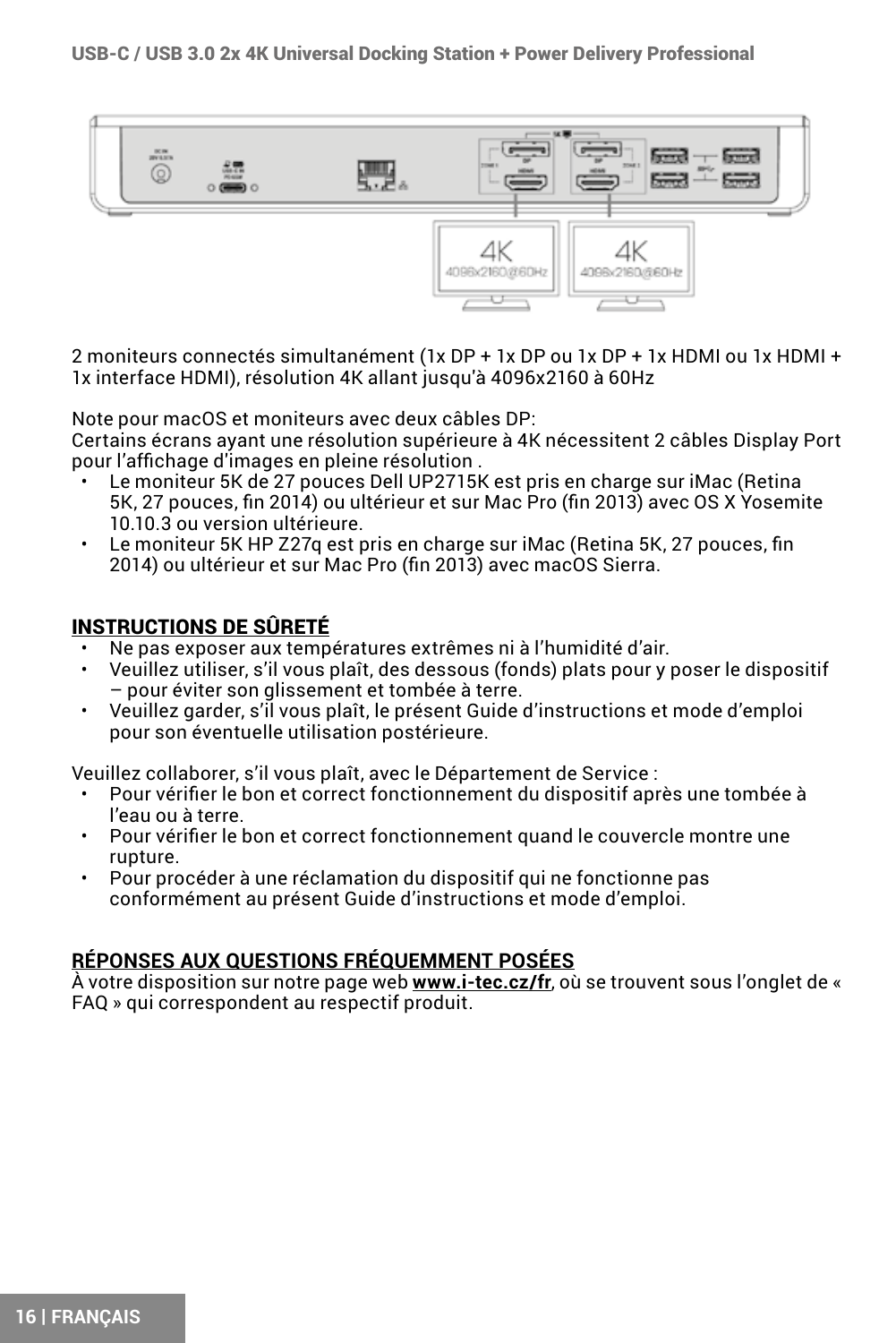

2 moniteurs connectés simultanément (1x DP + 1x DP ou 1x DP + 1x HDMI ou 1x HDMI + 1x interface HDMI), résolution 4K allant jusqu'à 4096x2160 à 60Hz

Note pour macOS et moniteurs avec deux câbles DP:

Certains écrans ayant une résolution supérieure à 4K nécessitent 2 câbles Display Port pour l'affichage d'images en pleine résolution .

- Le moniteur 5K de 27 pouces Dell UP2715K est pris en charge sur iMac (Retina 5K, 27 pouces, fin 2014) ou ultérieur et sur Mac Pro (fin 2013) avec OS X Yosemite 10.10.3 ou version ultérieure.
- Le moniteur 5K HP Z27q est pris en charge sur iMac (Retina 5K, 27 pouces, fin 2014) ou ultérieur et sur Mac Pro (fin 2013) avec macOS Sierra.

### INSTRUCTIONS DE SÛRETÉ

- Ne pas exposer aux températures extrêmes ni à l'humidité d'air.
- Veuillez utiliser, s'il vous plaît, des dessous (fonds) plats pour y poser le dispositif – pour éviter son glissement et tombée à terre.
- Veuillez garder, s'il vous plaît, le présent Guide d'instructions et mode d'emploi pour son éventuelle utilisation postérieure.

Veuillez collaborer, s'il vous plaît, avec le Département de Service :

- Pour vérifier le bon et correct fonctionnement du dispositif après une tombée à l'eau ou à terre.
- Pour vérifier le bon et correct fonctionnement quand le couvercle montre une rupture.
- Pour procéder à une réclamation du dispositif qui ne fonctionne pas conformément au présent Guide d'instructions et mode d'emploi.

### **RÉPONSES AUX QUESTIONS FRÉQUEMMENT POSÉES**

À votre disposition sur notre page web **www.i-tec.cz/fr**, où se trouvent sous l'onglet de « FAQ » qui correspondent au respectif produit.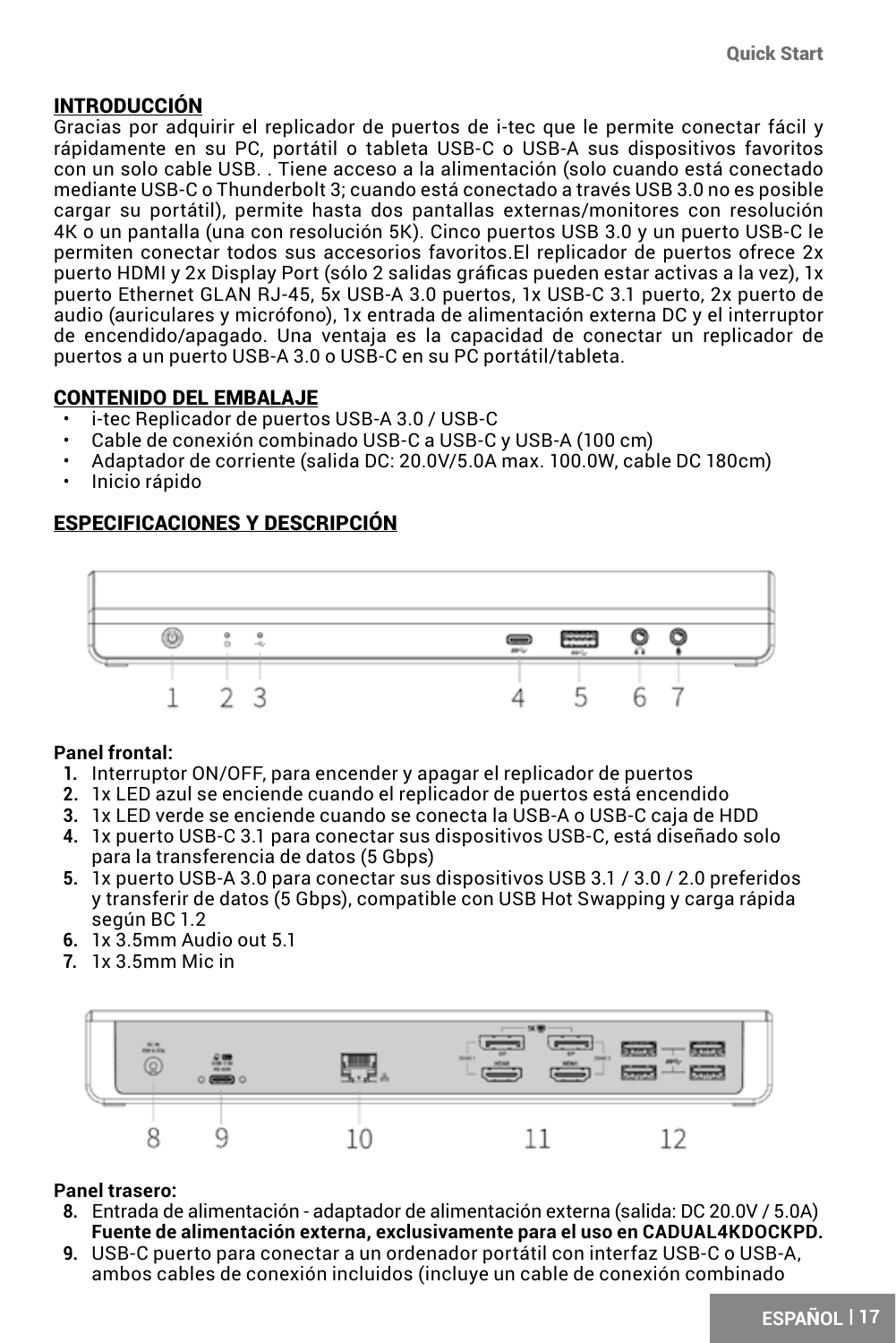### <span id="page-16-0"></span>INTRODUCCIÓN

Gracias por adquirir el replicador de puertos de i-tec que le permite conectar fácil y rápidamente en su PC, portátil o tableta USB-C o USB-A sus dispositivos favoritos con un solo cable USB. . Tiene acceso a la alimentación (solo cuando está conectado mediante USB-C o Thunderbolt 3; cuando está conectado a través USB 3.0 no es posible cargar su portátil), permite hasta dos pantallas externas/monitores con resolución 4K o un pantalla (una con resolución 5K). Cinco puertos USB 3.0 y un puerto USB-C le permiten conectar todos sus accesorios favoritos.El replicador de puertos ofrece 2x puerto HDMI y 2x Display Port (sólo 2 salidas gráficas pueden estar activas a la vez), 1x puerto Ethernet GLAN RJ-45, 5x USB-A 3.0 puertos, 1x USB-C 3.1 puerto, 2x puerto de audio (auriculares y micrófono), 1x entrada de alimentación externa DC y el interruptor de encendido/apagado. Una ventaja es la capacidad de conectar un replicador de puertos a un puerto USB-A 3.0 o USB-C en su PC portátil/tableta.

### CONTENIDO DEL EMBALAJE

- i-tec Replicador de puertos USB-A 3.0 / USB-C
- Cable de conexión combinado USB-C a USB-C y USB-A (100 cm)
- Adaptador de corriente (salida DC: 20.0V/5.0A max. 100.0W, cable DC 180cm)
- Inicio rápido

### ESPECIFICACIONES Y DESCRIPCIÓN



### **Panel frontal:**

- **1.** Interruptor ON/OFF, para encender y apagar el replicador de puertos
- **2.** 1x LED azul se enciende cuando el replicador de puertos está encendido
- **3.** 1x LED verde se enciende cuando se conecta la USB-A o USB-C caja de HDD
- **4.** 1x puerto USB-C 3.1 para conectar sus dispositivos USB-C, está diseñado solo para la transferencia de datos (5 Gbps)
- **5.** 1x puerto USB-A 3.0 para conectar sus dispositivos USB 3.1 / 3.0 / 2.0 preferidos y transferir de datos (5 Gbps), compatible con USB Hot Swapping y carga rápida según BC 1.2
- **6.** 1x 3.5mm Audio out 5.1
- **7.** 1x 3.5mm Mic in



### **Panel trasero:**

- **8.** Entrada de alimentación adaptador de alimentación externa (salida: DC 20.0V / 5.0A) **Fuente de alimentación externa, exclusivamente para el uso en CADUAL4KDOCKPD.**
- **9.** USB-C puerto para conectar a un ordenador portátil con interfaz USB-C o USB-A, ambos cables de conexión incluidos (incluye un cable de conexión combinado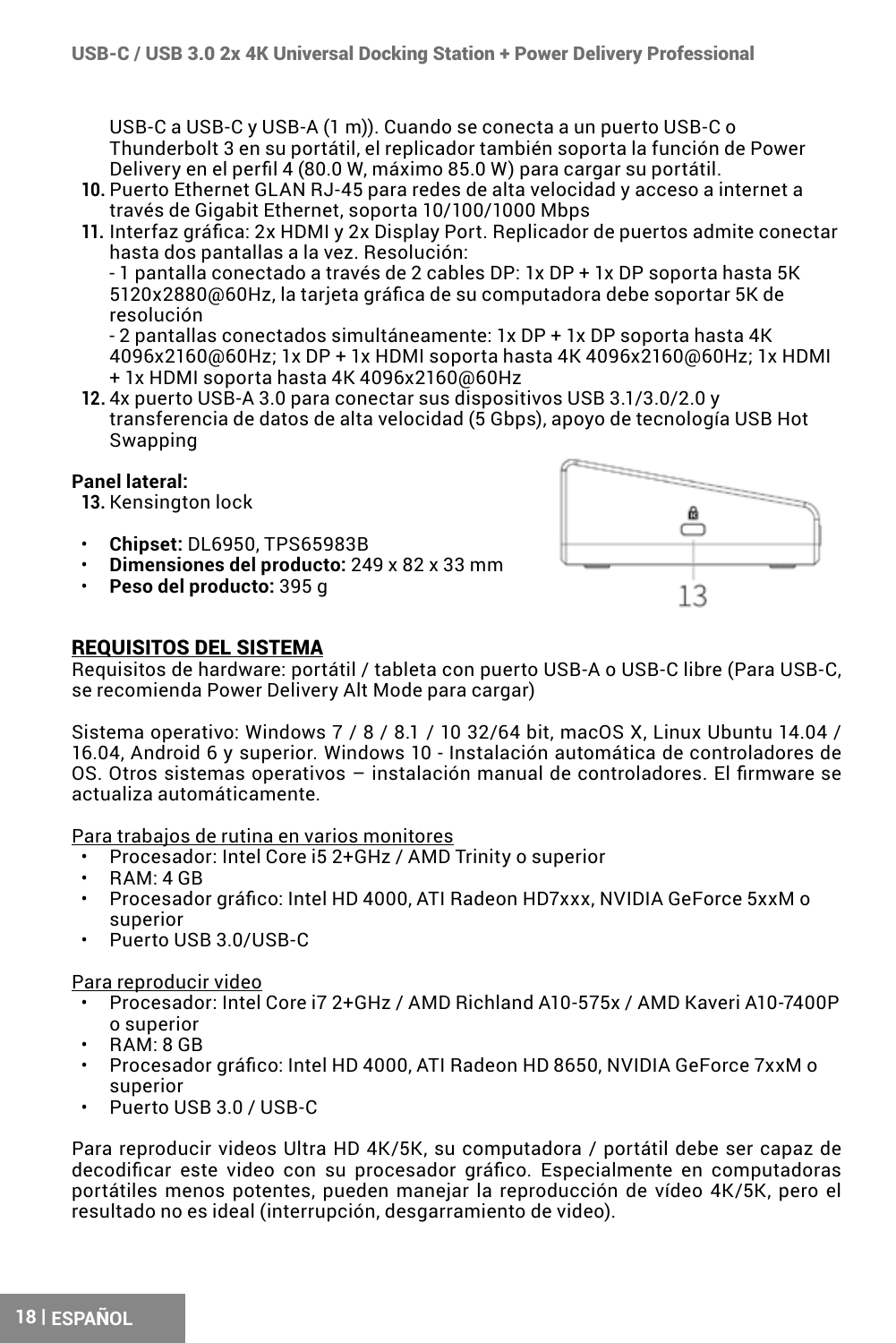USB-C a USB-C y USB-A (1 m)). Cuando se conecta a un puerto USB-C o Thunderbolt 3 en su portátil, el replicador también soporta la función de Power Delivery en el perfil 4 (80.0 W, máximo 85.0 W) para cargar su portátil.

- **10.** Puerto Ethernet GLAN RJ-45 para redes de alta velocidad y acceso a internet a través de Gigabit Ethernet, soporta 10/100/1000 Mbps
- **11.** Interfaz gráfica: 2x HDMI y 2x Display Port. Replicador de puertos admite conectar hasta dos pantallas a la vez. Resolución:

- 1 pantalla conectado a través de 2 cables DP: 1x DP + 1x DP soporta hasta 5K 5120x2880@60Hz, la tarjeta gráfica de su computadora debe soportar 5K de resolución

- 2 pantallas conectados simultáneamente: 1x DP + 1x DP soporta hasta 4K 4096x2160@60Hz; 1x DP + 1x HDMI soporta hasta 4K 4096x2160@60Hz; 1x HDMI + 1x HDMI soporta hasta 4K 4096x2160@60Hz

**12.** 4x puerto USB-A 3.0 para conectar sus dispositivos USB 3.1/3.0/2.0 y transferencia de datos de alta velocidad (5 Gbps), apoyo de tecnología USB Hot Swapping

#### **Panel lateral:**

**13.** Kensington lock

- **Chipset:** DL6950, TPS65983B
- **Dimensiones del producto:** 249 x 82 x 33 mm
- **Peso del producto:** 395 g



#### REQUISITOS DEL SISTEMA

Requisitos de hardware: portátil / tableta con puerto USB-A o USB-C libre (Para USB-C, se recomienda Power Delivery Alt Mode para cargar)

Sistema operativo: Windows 7 / 8 / 8.1 / 10 32/64 bit, macOS X, Linux Ubuntu 14.04 / 16.04, Android 6 y superior. Windows 10 - Instalación automática de controladores de OS. Otros sistemas operativos – instalación manual de controladores. El firmware se actualiza automáticamente.

Para trabajos de rutina en varios monitores

- Procesador: Intel Core i5 2+GHz / AMD Trinity o superior
- RAM: 4 GB
- Procesador gráfico: Intel HD 4000, ATI Radeon HD7xxx, NVIDIA GeForce 5xxM o superior
- Puerto USB 3.0/USB-C

Para reproducir video

- Procesador: Intel Core i7 2+GHz / AMD Richland A10-575x / AMD Kaveri A10-7400P o superior
- RAM: 8 GB
- Procesador gráfico: Intel HD 4000, ATI Radeon HD 8650, NVIDIA GeForce 7xxM o superior
- Puerto USB 3.0 / USB-C

Para reproducir videos Ultra HD 4K/5K, su computadora / portátil debe ser capaz de decodificar este video con su procesador gráfico. Especialmente en computadoras portátiles menos potentes, pueden manejar la reproducción de vídeo 4K/5K, pero el resultado no es ideal (interrupción, desgarramiento de video).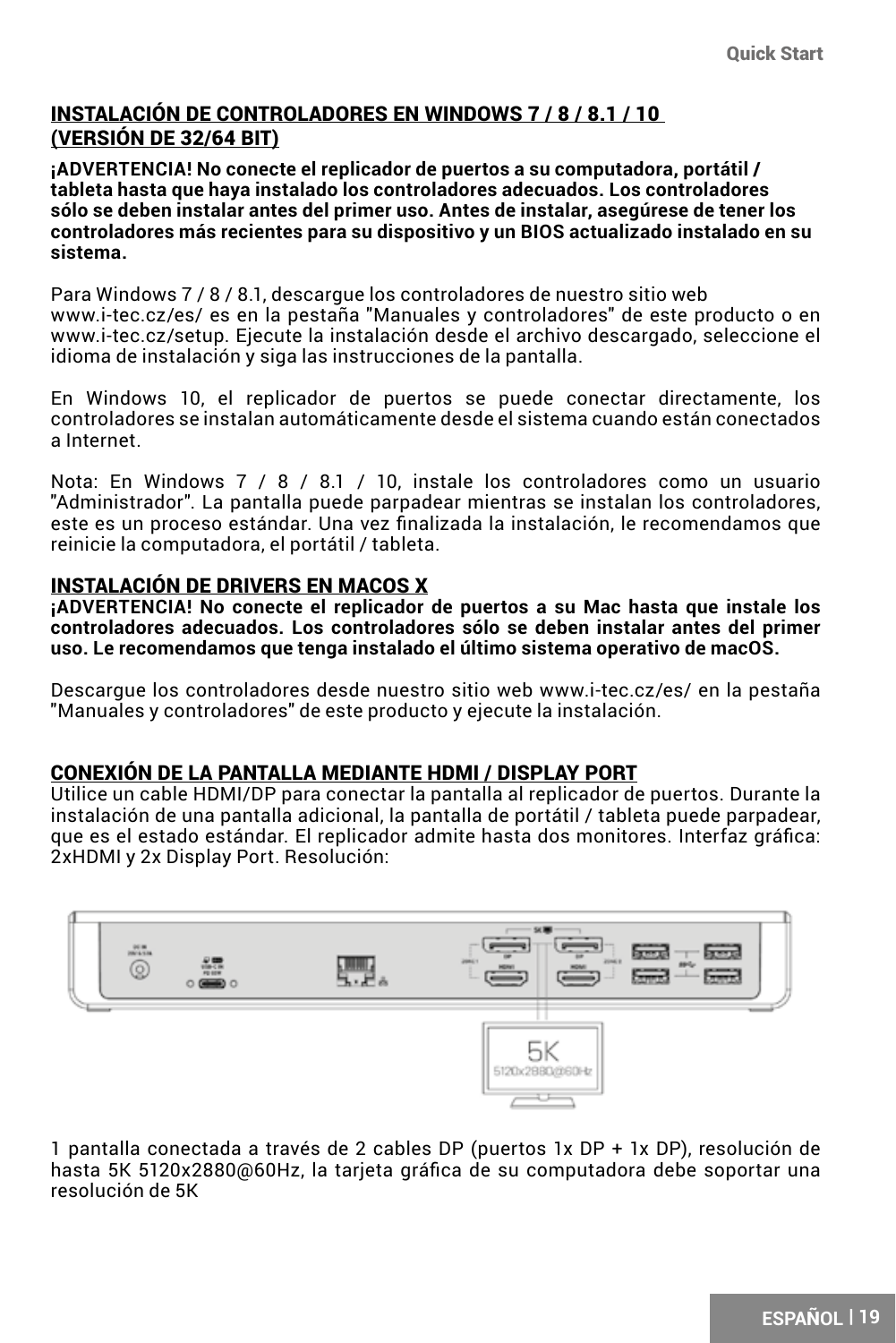### INSTALACIÓN DE CONTROLADORES EN WINDOWS 7 / 8 / 8.1 / 10 (VERSIÓN DE 32/64 BIT)

**¡ADVERTENCIA! No conecte el replicador de puertos a su computadora, portátil / tableta hasta que haya instalado los controladores adecuados. Los controladores sólo se deben instalar antes del primer uso. Antes de instalar, asegúrese de tener los controladores más recientes para su dispositivo y un BIOS actualizado instalado en su sistema.**

Para Windows 7 / 8 / 8.1, descargue los controladores de nuestro sitio web www.i-tec.cz/es/ es en la pestaña "Manuales y controladores" de este producto o en www.i-tec.cz/setup. Ejecute la instalación desde el archivo descargado, seleccione el idioma de instalación y siga las instrucciones de la pantalla.

En Windows 10, el replicador de puertos se puede conectar directamente, los controladores se instalan automáticamente desde el sistema cuando están conectados a Internet.

Nota: En Windows 7 / 8 / 8.1 / 10, instale los controladores como un usuario "Administrador". La pantalla puede parpadear mientras se instalan los controladores, este es un proceso estándar. Una vez finalizada la instalación, le recomendamos que reinicie la computadora, el portátil / tableta.

#### INSTALACIÓN DE DRIVERS EN MACOS X

**¡ADVERTENCIA! No conecte el replicador de puertos a su Mac hasta que instale los controladores adecuados. Los controladores sólo se deben instalar antes del primer uso. Le recomendamos que tenga instalado el último sistema operativo de macOS.**

Descargue los controladores desde nuestro sitio web www.i-tec.cz/es/ en la pestaña "Manuales y controladores" de este producto y ejecute la instalación.

### CONEXIÓN DE LA PANTALLA MEDIANTE HDMI / DISPLAY PORT

Utilice un cable HDMI/DP para conectar la pantalla al replicador de puertos. Durante la instalación de una pantalla adicional, la pantalla de portátil / tableta puede parpadear, que es el estado estándar. El replicador admite hasta dos monitores. Interfaz gráfica: 2xHDMI y 2x Display Port. Resolución:



1 pantalla conectada a través de 2 cables DP (puertos 1x DP + 1x DP), resolución de hasta 5K 5120x2880@60Hz, la tarjeta gráfica de su computadora debe soportar una resolución de 5K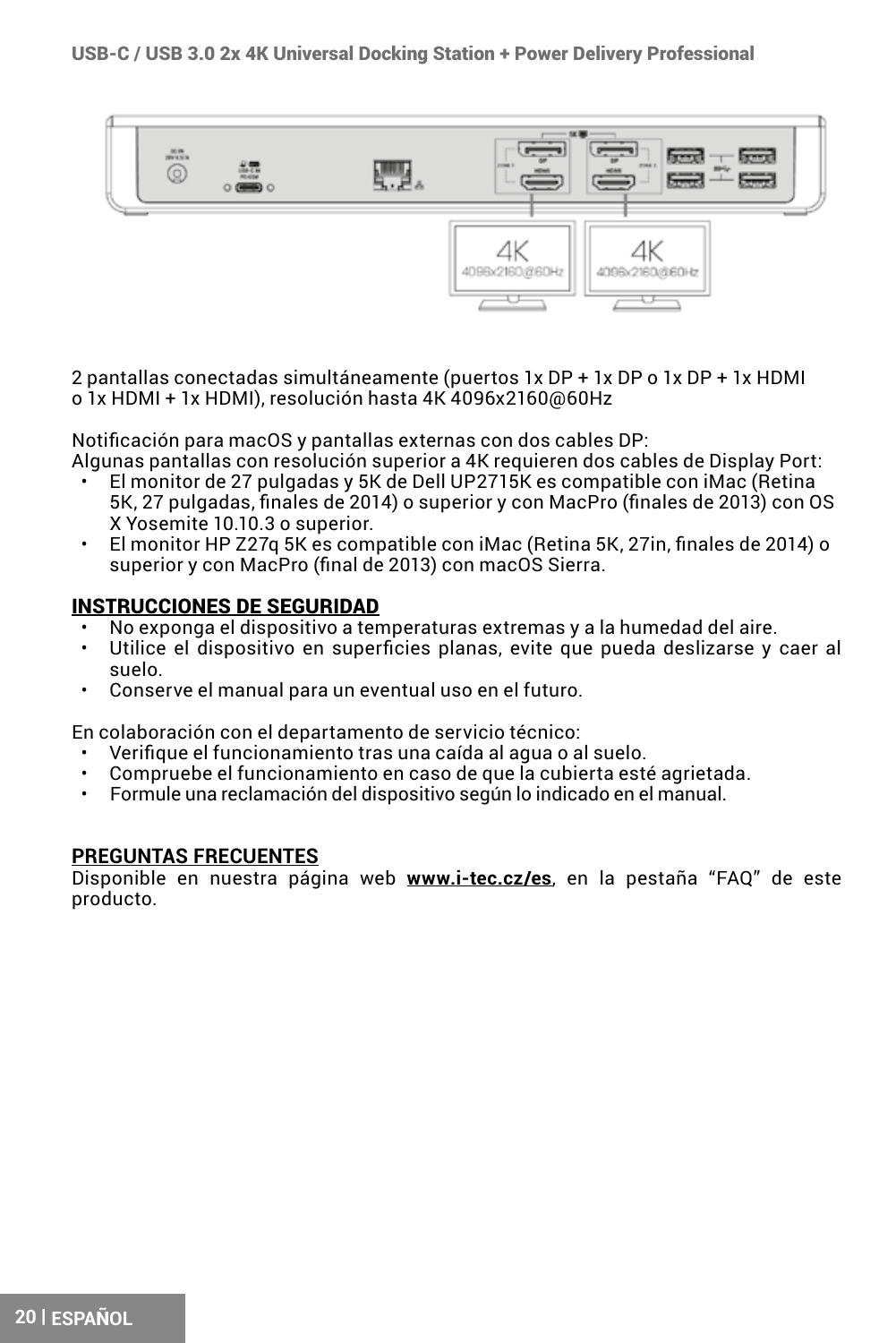

2 pantallas conectadas simultáneamente (puertos 1x DP + 1x DP o 1x DP + 1x HDMI o 1x HDMI + 1x HDMI), resolución hasta 4K 4096x2160@60Hz

Notificación para macOS y pantallas externas con dos cables DP:

- Algunas pantallas con resolución superior a 4K requieren dos cables de Display Port:
	- El monitor de 27 pulgadas y 5K de Dell UP2715K es compatible con iMac (Retina 5K, 27 pulgadas, finales de 2014) o superior y con MacPro (finales de 2013) con OS X Yosemite 10.10.3 o superior.
	- El monitor HP Z27q 5K es compatible con iMac (Retina 5K, 27in, finales de 2014) o superior y con MacPro (final de 2013) con macOS Sierra.

#### INSTRUCCIONES DE SEGURIDAD

- No exponga el dispositivo a temperaturas extremas y a la humedad del aire.
- Utilice el dispositivo en superficies planas, evite que pueda deslizarse y caer al suelo.
- Conserve el manual para un eventual uso en el futuro.

En colaboración con el departamento de servicio técnico:

- Verifique el funcionamiento tras una caída al agua o al suelo.
- Compruebe el funcionamiento en caso de que la cubierta esté agrietada.
- Formule una reclamación del dispositivo según lo indicado en el manual.

#### **PREGUNTAS FRECUENTES**

Disponible en nuestra página web **www.i-tec.cz/es**, en la pestaña "FAQ" de este producto.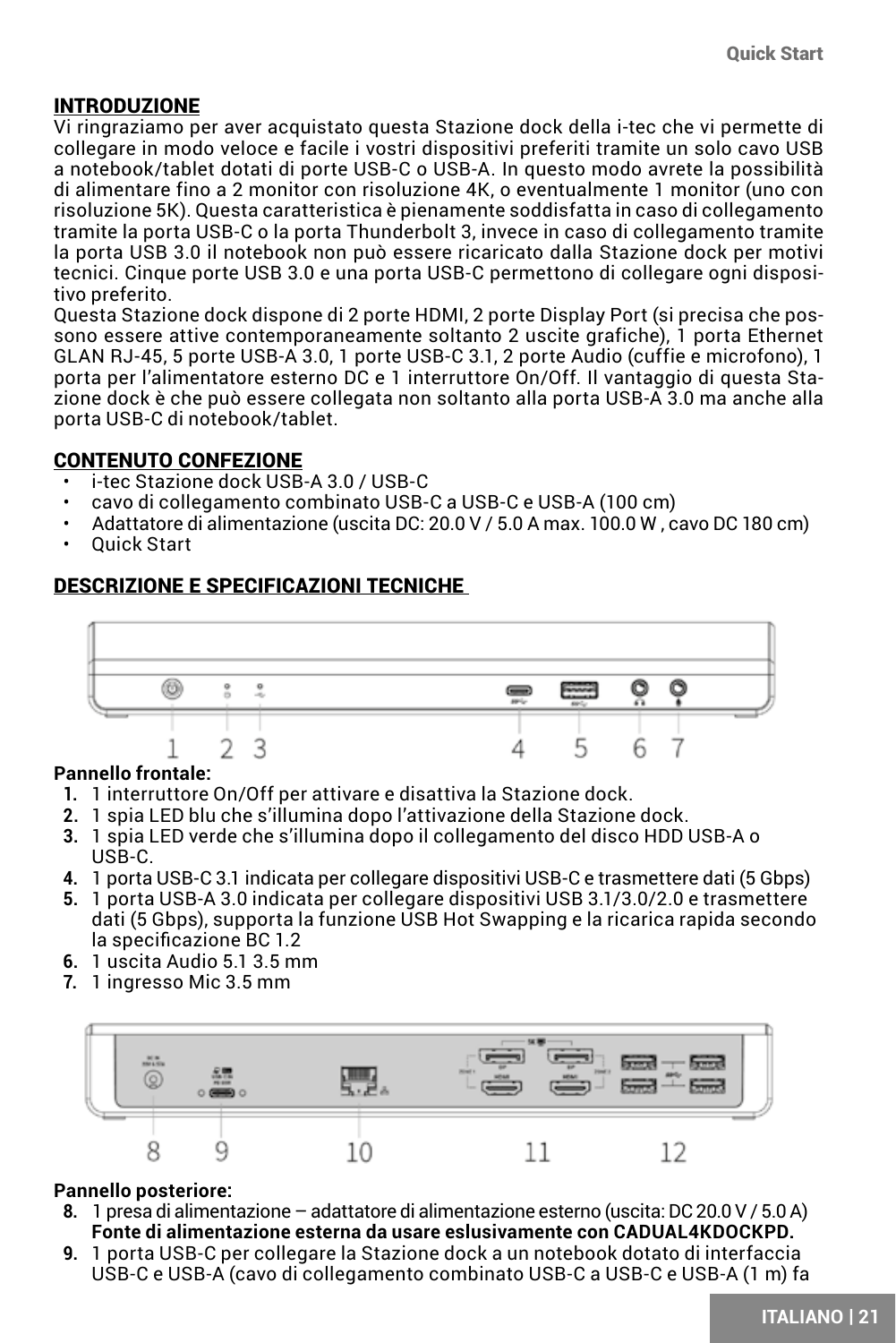### <span id="page-20-0"></span>INTRODUZIONE

Vi ringraziamo per aver acquistato questa Stazione dock della i-tec che vi permette di collegare in modo veloce e facile i vostri dispositivi preferiti tramite un solo cavo USB a notebook/tablet dotati di porte USB-C o USB-A. In questo modo avrete la possibilità di alimentare fino a 2 monitor con risoluzione 4K, o eventualmente 1 monitor (uno con risoluzione 5K). Questa caratteristica è pienamente soddisfatta in caso di collegamento tramite la porta USB-C o la porta Thunderbolt 3, invece in caso di collegamento tramite la porta USB 3.0 il notebook non può essere ricaricato dalla Stazione dock per motivi tecnici. Cinque porte USB 3.0 e una porta USB-C permettono di collegare ogni dispositivo preferito.

Questa Stazione dock dispone di 2 porte HDMI, 2 porte Display Port (si precisa che possono essere attive contemporaneamente soltanto 2 uscite grafiche), 1 porta Ethernet GLAN RJ-45, 5 porte USB-A 3.0, 1 porte USB-C 3.1, 2 porte Audio (cuffie e microfono), 1 porta per l'alimentatore esterno DC e 1 interruttore On/Off. Il vantaggio di questa Stazione dock è che può essere collegata non soltanto alla porta USB-A 3.0 ma anche alla porta USB-C di notebook/tablet.

### CONTENUTO CONFEZIONE

- i-tec Stazione dock USB-A 3.0 / USB-C
- cavo di collegamento combinato USB-C a USB-C e USB-A (100 cm)
- Adattatore di alimentazione (uscita DC: 20.0 V / 5.0 A max. 100.0 W , cavo DC 180 cm)
- Quick Start

### DESCRIZIONE E SPECIFICAZIONI TECNICHE



### **Pannello frontale:**

- **1.** 1 interruttore On/Off per attivare e disattiva la Stazione dock.
- **2.** 1 spia LED blu che s'illumina dopo l'attivazione della Stazione dock.
- **3.** 1 spia LED verde che s'illumina dopo il collegamento del disco HDD USB-A o USB-C.
- **4.** 1 porta USB-C 3.1 indicata per collegare dispositivi USB-C e trasmettere dati (5 Gbps)
- **5.** 1 porta USB-A 3.0 indicata per collegare dispositivi USB 3.1/3.0/2.0 e trasmettere dati (5 Gbps), supporta la funzione USB Hot Swapping e la ricarica rapida secondo la specificazione BC 1.2
- **6.** 1 uscita Audio 5.1 3.5 mm
- **7.** 1 ingresso Mic 3.5 mm



### **Pannello posteriore:**

- **8.** 1 presa di alimentazione adattatore di alimentazione esterno (uscita: DC 20.0 V / 5.0 A) **Fonte di alimentazione esterna da usare eslusivamente con CADUAL4KDOCKPD.**
- **9.** 1 porta USB-C per collegare la Stazione dock a un notebook dotato di interfaccia USB-C e USB-A (cavo di collegamento combinato USB-C a USB-C e USB-A (1 m) fa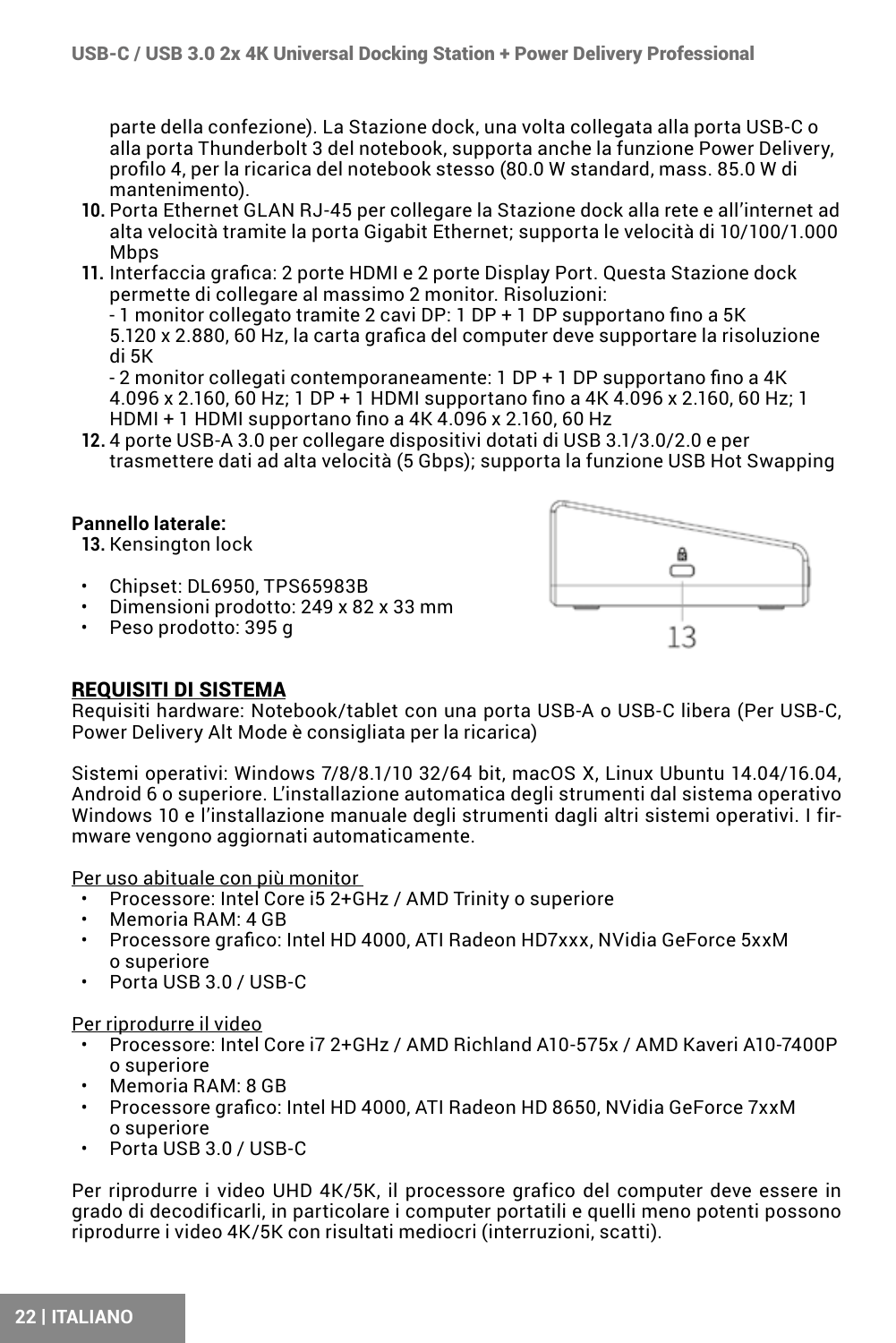parte della confezione). La Stazione dock, una volta collegata alla porta USB-C o alla porta Thunderbolt 3 del notebook, supporta anche la funzione Power Delivery, profilo 4, per la ricarica del notebook stesso (80.0 W standard, mass. 85.0 W di mantenimento).

- **10.** Porta Ethernet GLAN RJ-45 per collegare la Stazione dock alla rete e all'internet ad alta velocità tramite la porta Gigabit Ethernet; supporta le velocità di 10/100/1.000 Mhns
- **11.** Interfaccia grafica: 2 porte HDMI e 2 porte Display Port. Questa Stazione dock permette di collegare al massimo 2 monitor. Risoluzioni:

- 1 monitor collegato tramite 2 cavi DP: 1 DP + 1 DP supportano fino a 5K 5.120 x 2.880, 60 Hz, la carta grafica del computer deve supportare la risoluzione di 5K

- 2 monitor collegati contemporaneamente: 1 DP + 1 DP supportano fino a 4K 4.096 x 2.160, 60 Hz; 1 DP + 1 HDMI supportano fino a 4K 4.096 x 2.160, 60 Hz; 1 HDMI + 1 HDMI supportano fino a 4K 4.096 x 2.160, 60 Hz

**12.** 4 porte USB-A 3.0 per collegare dispositivi dotati di USB 3.1/3.0/2.0 e per trasmettere dati ad alta velocità (5 Gbps); supporta la funzione USB Hot Swapping

### **Pannello laterale:**

**13.** Kensington lock

- Chipset: DL6950, TPS65983B
- Dimensioni prodotto: 249 x 82 x 33 mm
- Peso prodotto: 395 g



### REQUISITI DI SISTEMA

Requisiti hardware: Notebook/tablet con una porta USB-A o USB-C libera (Per USB-C, Power Delivery Alt Mode è consigliata per la ricarica)

Sistemi operativi: Windows 7/8/8 1/10 32/64 bit, macOS X, Linux Ubuntu 14.04/16.04 Android 6 o superiore. L'installazione automatica degli strumenti dal sistema operativo Windows 10 e l'installazione manuale degli strumenti dagli altri sistemi operativi. I firmware vengono aggiornati automaticamente.

Per uso abituale con più monitor

- Processore: Intel Core i5 2+GHz / AMD Trinity o superiore
- Memoria RAM: 4 GB
- Processore grafico: Intel HD 4000, ATI Radeon HD7xxx, NVidia GeForce 5xxM o superiore
- Porta USB 3.0 / USB-C

#### Per riprodurre il video

- Processore: Intel Core i7 2+GHz / AMD Richland A10-575x / AMD Kaveri A10-7400P o superiore
- Memoria RAM: 8 GB
- Processore grafico: Intel HD 4000, ATI Radeon HD 8650, NVidia GeForce 7xxM o superiore
- Porta USB 3.0 / USB-C

Per riprodurre i video UHD 4K/5K, il processore grafico del computer deve essere in grado di decodificarli, in particolare i computer portatili e quelli meno potenti possono riprodurre i video 4K/5K con risultati mediocri (interruzioni, scatti).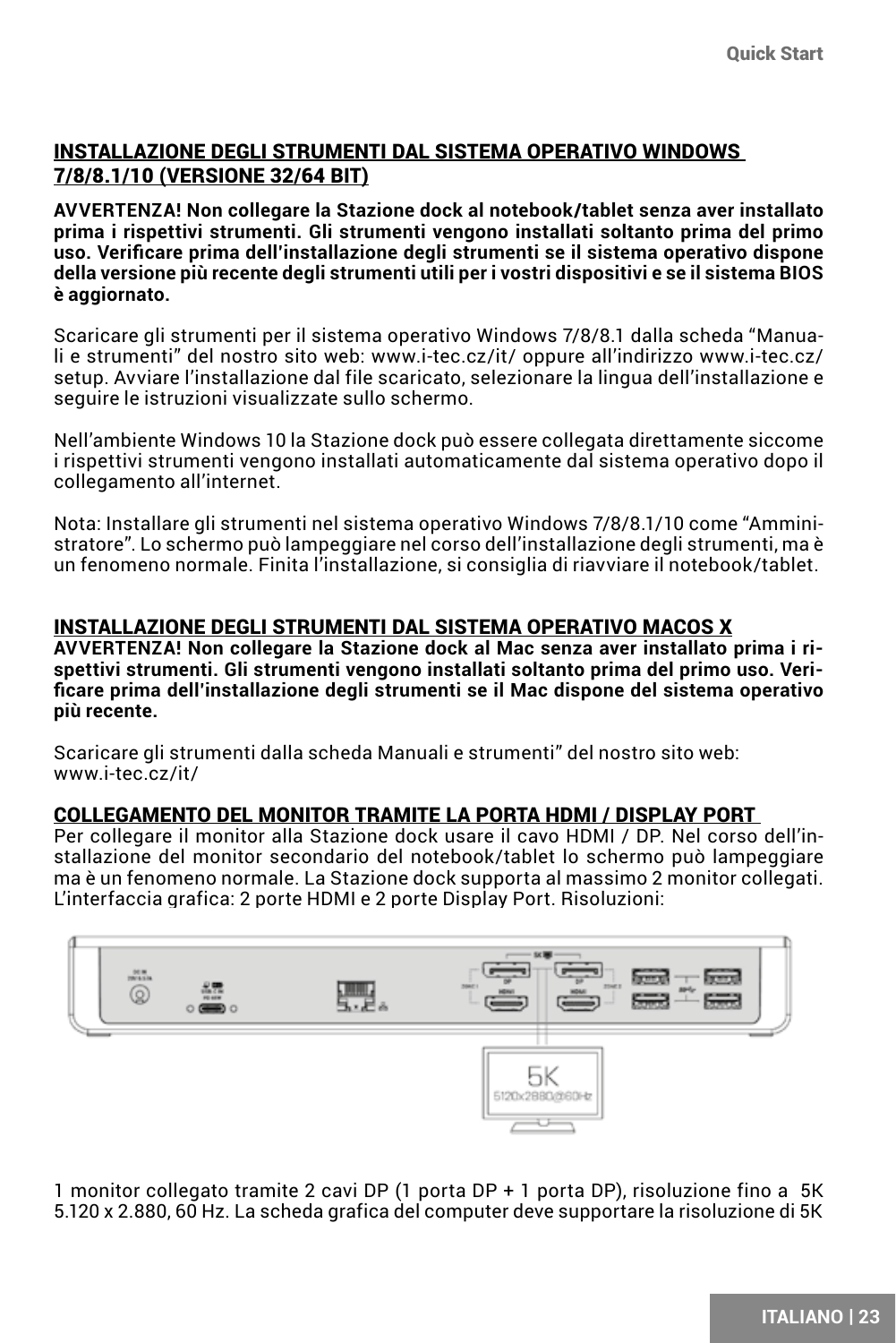### INSTALLAZIONE DEGLI STRUMENTI DAL SISTEMA OPERATIVO WINDOWS 7/8/8.1/10 (VERSIONE 32/64 BIT)

**AVVERTENZA! Non collegare la Stazione dock al notebook/tablet senza aver installato prima i rispettivi strumenti. Gli strumenti vengono installati soltanto prima del primo uso. Verificare prima dell'installazione degli strumenti se il sistema operativo dispone della versione più recente degli strumenti utili per i vostri dispositivi e se il sistema BIOS è aggiornato.**

Scaricare gli strumenti per il sistema operativo Windows 7/8/8.1 dalla scheda "Manuali e strumenti" del nostro sito web: www.i-tec.cz/it/ oppure all'indirizzo www.i-tec.cz/ setup. Avviare l'installazione dal file scaricato, selezionare la lingua dell'installazione e seguire le istruzioni visualizzate sullo schermo.

Nell'ambiente Windows 10 la Stazione dock può essere collegata direttamente siccome i rispettivi strumenti vengono installati automaticamente dal sistema operativo dopo il collegamento all'internet.

Nota: Installare gli strumenti nel sistema operativo Windows 7/8/8.1/10 come "Amministratore". Lo schermo può lampeggiare nel corso dell'installazione degli strumenti, ma è un fenomeno normale. Finita l'installazione, si consiglia di riavviare il notebook/tablet.

#### INSTALLAZIONE DEGLI STRUMENTI DAL SISTEMA OPERATIVO MACOS X

**AVVERTENZA! Non collegare la Stazione dock al Mac senza aver installato prima i rispettivi strumenti. Gli strumenti vengono installati soltanto prima del primo uso. Verificare prima dell'installazione degli strumenti se il Mac dispone del sistema operativo più recente.**

Scaricare gli strumenti dalla scheda Manuali e strumenti" del nostro sito web: www.i-tec.cz/it/

#### COLLEGAMENTO DEL MONITOR TRAMITE LA PORTA HDMI / DISPLAY PORT

Per collegare il monitor alla Stazione dock usare il cavo HDMI / DP. Nel corso dell'installazione del monitor secondario del notebook/tablet lo schermo può lampeggiare ma è un fenomeno normale. La Stazione dock supporta al massimo 2 monitor collegati. L'interfaccia grafica: 2 porte HDMI e 2 porte Display Port. Risoluzioni:



1 monitor collegato tramite 2 cavi DP (1 porta DP + 1 porta DP), risoluzione fino a 5K 5.120 x 2.880, 60 Hz. La scheda grafica del computer deve supportare la risoluzione di 5K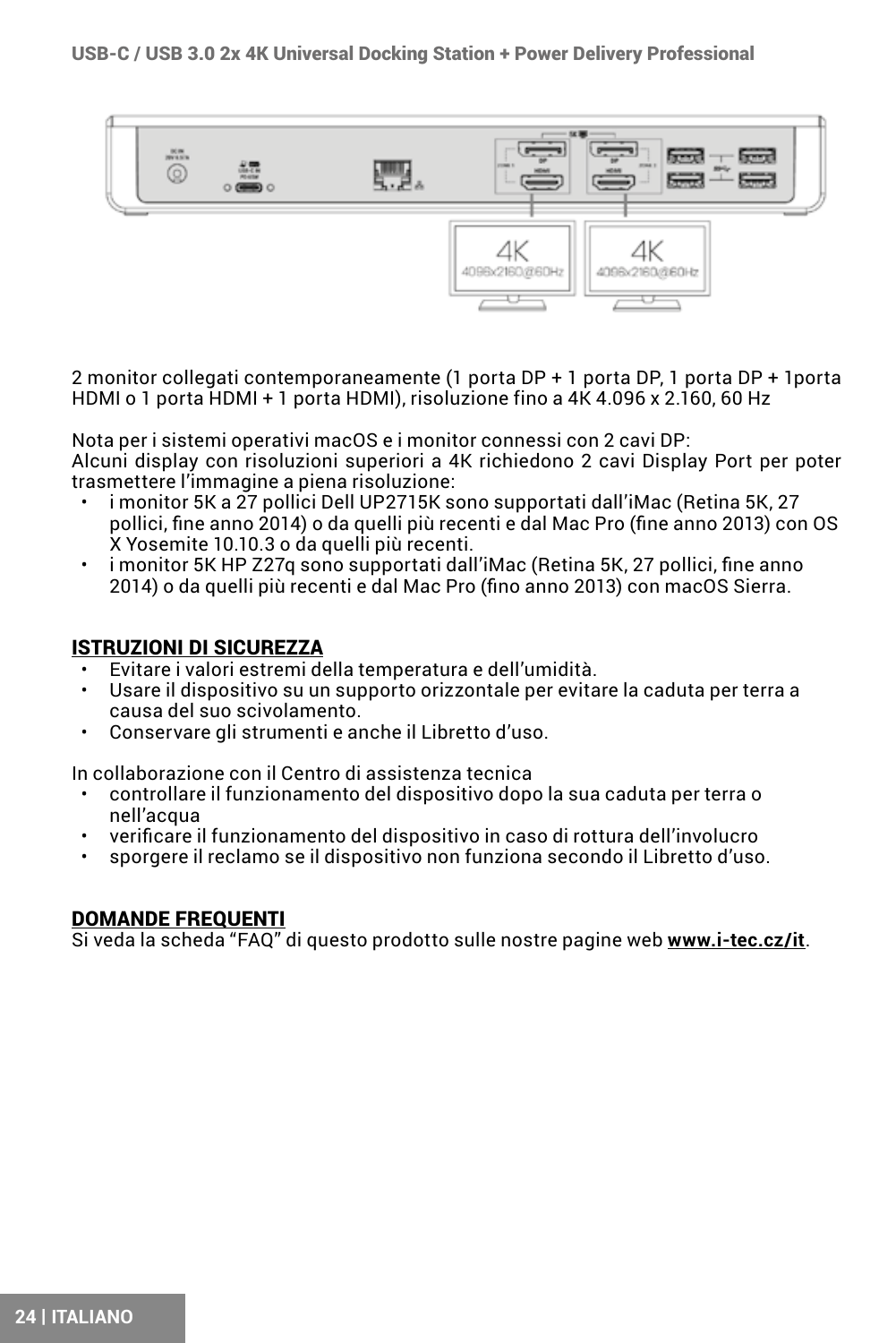USB-C / USB 3.0 2x 4K Universal Docking Station + Power Delivery Professional



2 monitor collegati contemporaneamente (1 porta DP + 1 porta DP, 1 porta DP + 1porta HDMI o 1 porta HDMI + 1 porta HDMI), risoluzione fino a 4K 4.096 x 2.160, 60 Hz

Nota per i sistemi operativi macOS e i monitor connessi con 2 cavi DP: Alcuni display con risoluzioni superiori a 4K richiedono 2 cavi Display Port per poter trasmettere l'immagine a piena risoluzione:

- i monitor 5K a 27 pollici Dell UP2715K sono supportati dall'iMac (Retina 5K, 27 pollici, fine anno 2014) o da quelli più recenti e dal Mac Pro (fine anno 2013) con OS X Yosemite 10.10.3 o da quelli più recenti.
- i monitor 5K HP Z27q sono supportati dall'iMac (Retina 5K, 27 pollici, fine anno 2014) o da quelli più recenti e dal Mac Pro (fino anno 2013) con macOS Sierra.

#### ISTRUZIONI DI SICUREZZA

- Evitare i valori estremi della temperatura e dell'umidità.
- Usare il dispositivo su un supporto orizzontale per evitare la caduta per terra a causa del suo scivolamento.
- Conservare gli strumenti e anche il Libretto d'uso.

In collaborazione con il Centro di assistenza tecnica

- controllare il funzionamento del dispositivo dopo la sua caduta per terra o nell'acqua
- verificare il funzionamento del dispositivo in caso di rottura dell'involucro
- sporgere il reclamo se il dispositivo non funziona secondo il Libretto d'uso.

#### DOMANDE FREQUENTI

Si veda la scheda "FAQ" di questo prodotto sulle nostre pagine web **www.i-tec.cz/it**.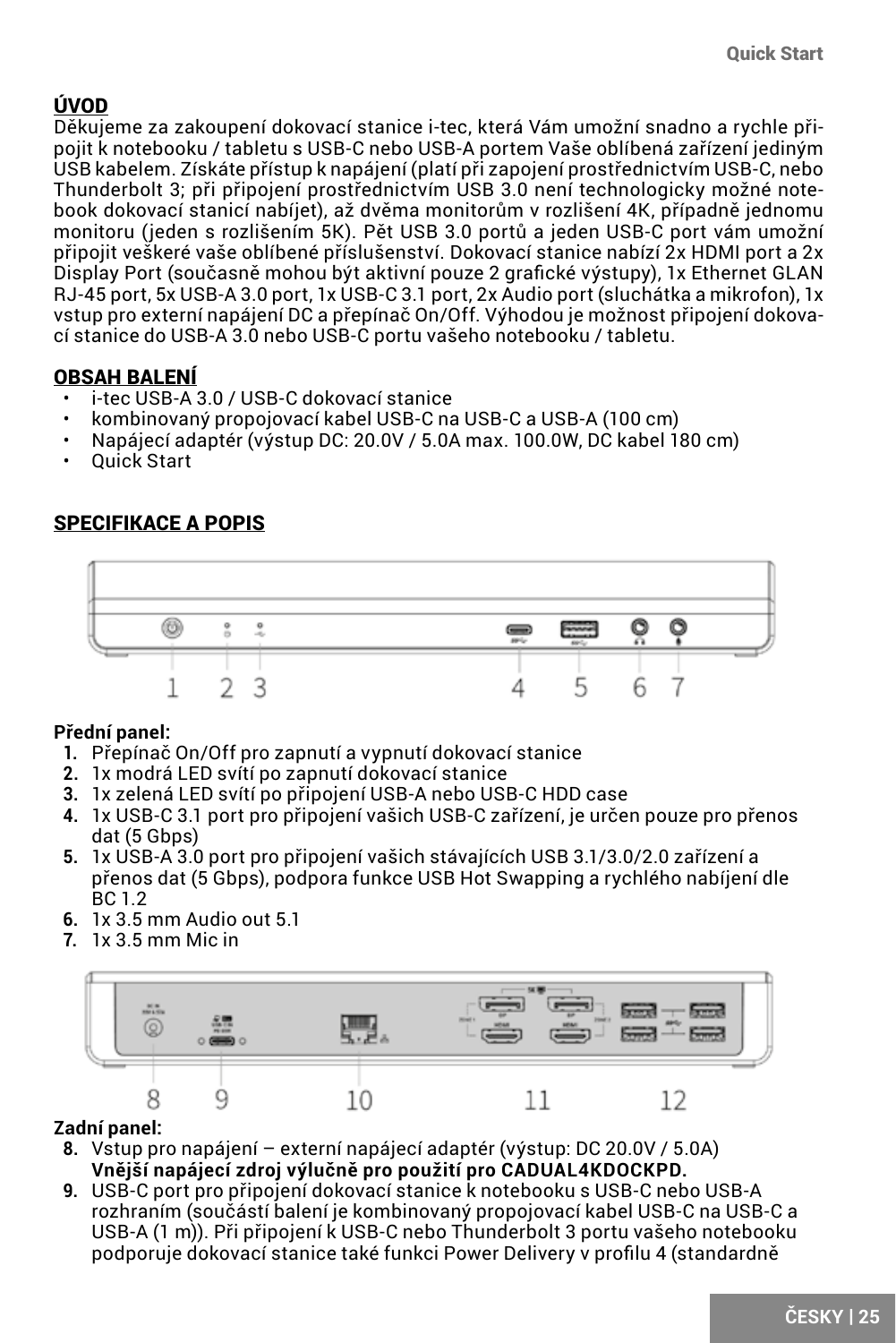### <span id="page-24-0"></span>ÚVOD

Děkujeme za zakoupení dokovací stanice i-tec, která Vám umožní snadno a rychle připojit k notebooku / tabletu s USB-C nebo USB-A portem Vaše oblíbená zařízení jediným USB kabelem. Získáte přístup k napájení (platí při zapojení prostřednictvím USB-C, nebo Thunderbolt 3; při připojení prostřednictvím USB 3.0 není technologicky možné notebook dokovací stanicí nabíjet), až dvěma monitorům v rozlišení 4K, případně jednomu monitoru (jeden s rozlišením 5K). Pět USB 3.0 portů a jeden USB-C port vám umožní připojit veškeré vaše oblíbené příslušenství. Dokovací stanice nabízí 2x HDMI port a 2x Display Port (současně mohou být aktivní pouze 2 grafické výstupy), 1x Ethernet GLAN RJ-45 port, 5x USB-A 3.0 port, 1x USB-C 3.1 port, 2x Audio port (sluchátka a mikrofon), 1x vstup pro externí napájení DC a přepínač On/Off. Výhodou je možnost připojení dokovací stanice do USB-A 3.0 nebo USB-C portu vašeho notebooku / tabletu.

### OBSAH BALENÍ

- i-tec USB-A 3.0 / USB-C dokovací stanice
- kombinovaný propojovací kabel USB-C na USB-C a USB-A (100 cm)
- Napájecí adaptér (výstup DC: 20.0V / 5.0A max. 100.0W, DC kabel 180 cm)
- Quick Start

### SPECIFIKACE A POPIS



### **Přední panel:**

- **1.** Přepínač On/Off pro zapnutí a vypnutí dokovací stanice
- **2.** 1x modrá LED svítí po zapnutí dokovací stanice
- **3.** 1x zelená LED svítí po připojení USB-A nebo USB-C HDD case
- **4.** 1x USB-C 3.1 port pro připojení vašich USB-C zařízení, je určen pouze pro přenos dat (5 Gbps)
- **5.** 1x USB-A 3.0 port pro připojení vašich stávajících USB 3.1/3.0/2.0 zařízení a přenos dat (5 Gbps), podpora funkce USB Hot Swapping a rychlého nabíjení dle BC 1.2
- **6.** 1x 3.5 mm Audio out 5.1
- **7.** 1x 3.5 mm Mic in



### **Zadní panel:**

- **8.** Vstup pro napájení externí napájecí adaptér (výstup: DC 20.0V / 5.0A) **Vnější napájecí zdroj výlučně pro použití pro CADUAL4KDOCKPD.**
- **9.** USB-C port pro připojení dokovací stanice k notebooku s USB-C nebo USB-A rozhraním (součástí balení je kombinovaný propojovací kabel USB-C na USB-C a USB-A (1 m)). Při připojení k USB-C nebo Thunderbolt 3 portu vašeho notebooku podporuje dokovací stanice také funkci Power Delivery v profilu 4 (standardně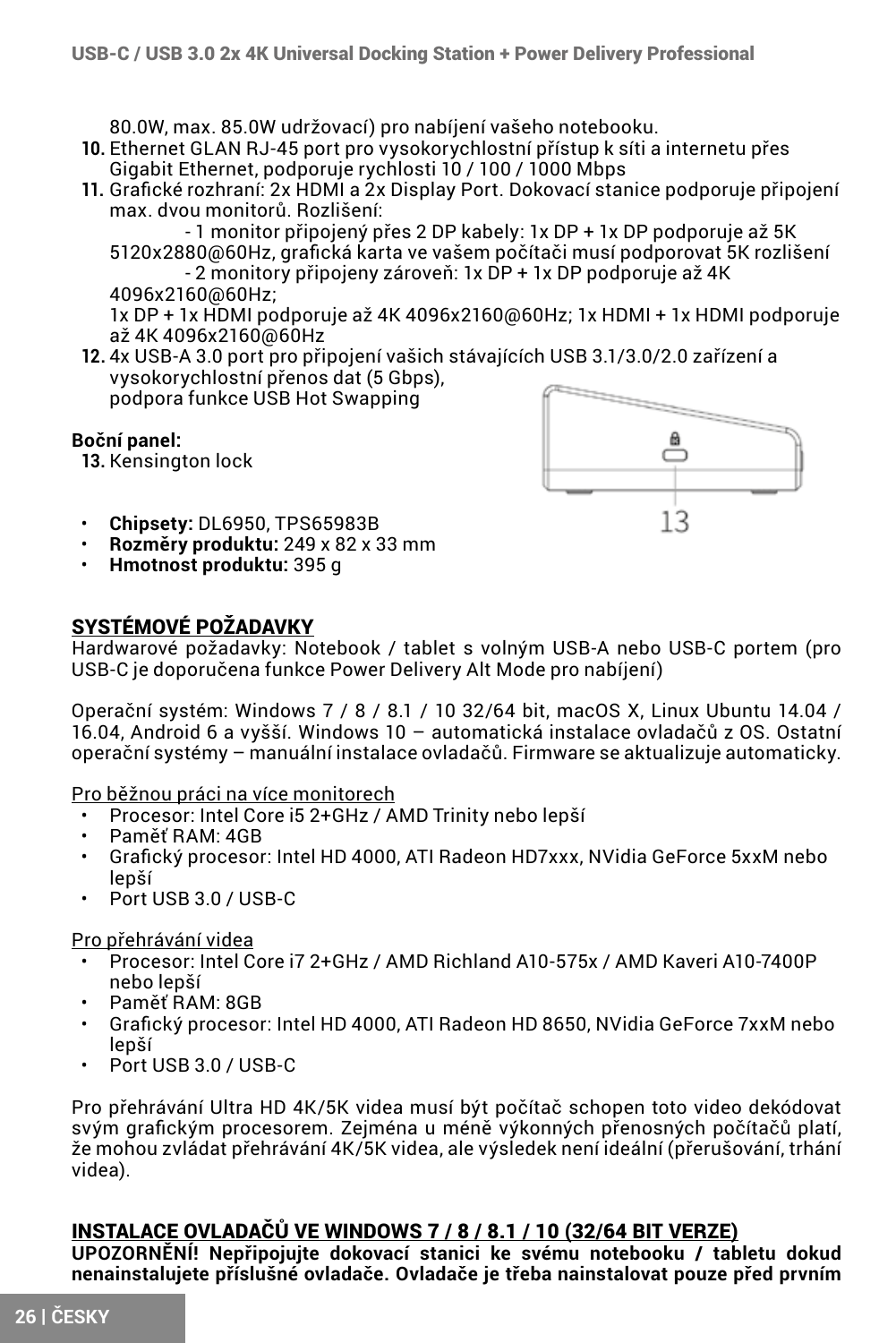80.0W, max. 85.0W udržovací) pro nabíjení vašeho notebooku.

- **10.** Ethernet GLAN RJ-45 port pro vysokorychlostní přístup k síti a internetu přes Gigabit Ethernet, podporuje rychlosti 10 / 100 / 1000 Mbps
- **11.** Grafické rozhraní: 2x HDMI a 2x Display Port. Dokovací stanice podporuje připojení max. dvou monitorů. Rozlišení:

- 1 monitor připojený přes 2 DP kabely: 1x DP + 1x DP podporuje až 5K 5120x2880@60Hz, grafická karta ve vašem počítači musí podporovat 5K rozlišení

- 2 monitory připojeny zároveň: 1x DP + 1x DP podporuje až 4K 4096x2160@60Hz;

1x DP + 1x HDMI podporuje až 4K 4096x2160@60Hz; 1x HDMI + 1x HDMI podporuje až 4K 4096x2160@60Hz

**12.** 4x USB-A 3.0 port pro připojení vašich stávajících USB 3.1/3.0/2.0 zařízení a vysokorychlostní přenos dat (5 Gbps),

podpora funkce USB Hot Swapping

#### **Boční panel:**

**13.** Kensington lock



- **Chipsety:** DL6950, TPS65983B
- **Rozměry produktu:** 249 x 82 x 33 mm
- **Hmotnost produktu:** 395 g

### SYSTÉMOVÉ POŽADAVKY

Hardwarové požadavky: Notebook / tablet s volným USB-A nebo USB-C portem (pro USB-C je doporučena funkce Power Delivery Alt Mode pro nabíjení)

Operační systém: Windows 7 / 8 / 8.1 / 10 32/64 bit, macOS X, Linux Ubuntu 14.04 / 16.04, Android 6 a vyšší. Windows 10 – automatická instalace ovladačů z OS. Ostatní operační systémy – manuální instalace ovladačů. Firmware se aktualizuje automaticky.

Pro běžnou práci na více monitorech

- Procesor: Intel Core i5 2+GHz / AMD Trinity nebo lepší
- Paměť RAM: 4GB
- Grafický procesor: Intel HD 4000, ATI Radeon HD7xxx, NVidia GeForce 5xxM nebo lepší
- Port USB 3.0 / USB-C

Pro přehrávání videa

- Procesor: Intel Core i7 2+GHz / AMD Richland A10-575x / AMD Kaveri A10-7400P nebo lepší
- Paměť RAM: 8GB
- Grafický procesor: Intel HD 4000, ATI Radeon HD 8650, NVidia GeForce 7xxM nebo lepší
- Port USB 3.0 / USB-C

Pro přehrávání Ultra HD 4K/5K videa musí být počítač schopen toto video dekódovat svým grafickým procesorem. Zejména u méně výkonných přenosných počítačů platí, že mohou zvládat přehrávání 4K/5K videa, ale výsledek není ideální (přerušování, trhání videa).

### INSTALACE OVLADAČŮ VE WINDOWS 7 / 8 / 8.1 / 10 (32/64 BIT VERZE)

**UPOZORNĚNÍ! Nepřipojujte dokovací stanici ke svému notebooku / tabletu dokud nenainstalujete příslušné ovladače. Ovladače je třeba nainstalovat pouze před prvním**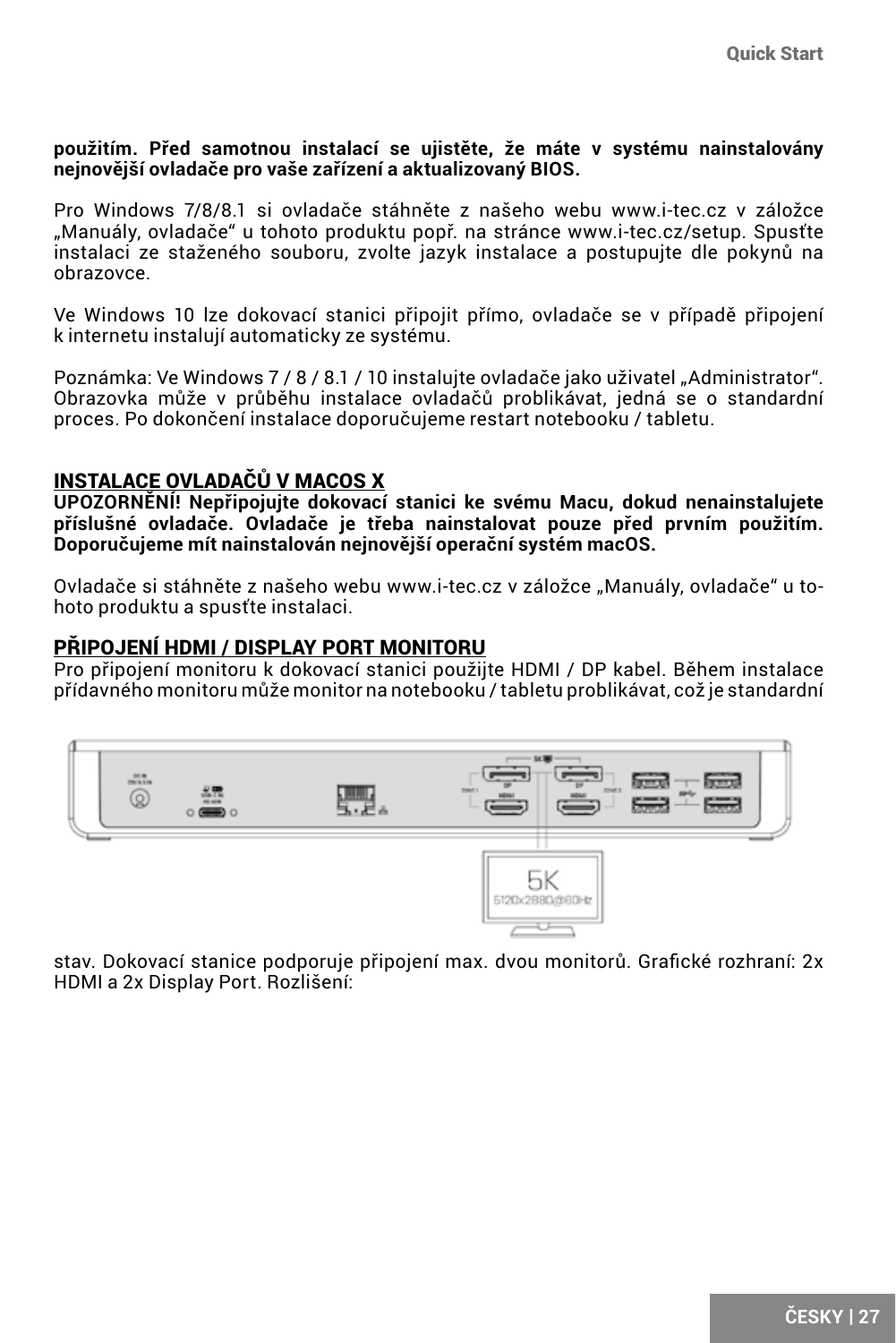#### **použitím. Před samotnou instalací se ujistěte, že máte v systému nainstalovány nejnovější ovladače pro vaše zařízení a aktualizovaný BIOS.**

Pro Windows 7/8/8.1 si ovladače stáhněte z našeho webu www.i-tec.cz v záložce "Manuály, ovladače" u tohoto produktu popř. na stránce www.i-tec.cz/setup. Spusťte instalaci ze staženého souboru, zvolte jazyk instalace a postupujte dle pokynů na obrazovce.

Ve Windows 10 lze dokovací stanici připojit přímo, ovladače se v případě připojení k internetu instalují automaticky ze systému.

Poznámka: Ve Windows 7 / 8 / 8.1 / 10 instaluite ovladače jako uživatel "Administrator". Obrazovka může v průběhu instalace ovladačů problikávat, jedná se o standardní proces. Po dokončení instalace doporučujeme restart notebooku / tabletu.

### INSTALACE OVLADAČŮ V MACOS X

**UPOZORNĚNÍ! Nepřipojujte dokovací stanici ke svému Macu, dokud nenainstalujete příslušné ovladače. Ovladače je třeba nainstalovat pouze před prvním použitím. Doporučujeme mít nainstalován nejnovější operační systém macOS.**

Ovladače si stáhněte z našeho webu www.i-tec.cz v záložce "Manuály, ovladače" u tohoto produktu a spusťte instalaci.

#### PŘIPOJENÍ HDMI / DISPLAY PORT MONITORU

Pro připojení monitoru k dokovací stanici použijte HDMI / DP kabel. Během instalace přídavného monitoru může monitor na notebooku / tabletu problikávat, což je standardní



stav. Dokovací stanice podporuje připojení max. dvou monitorů. Grafické rozhraní: 2x HDMI a 2x Display Port. Rozlišení: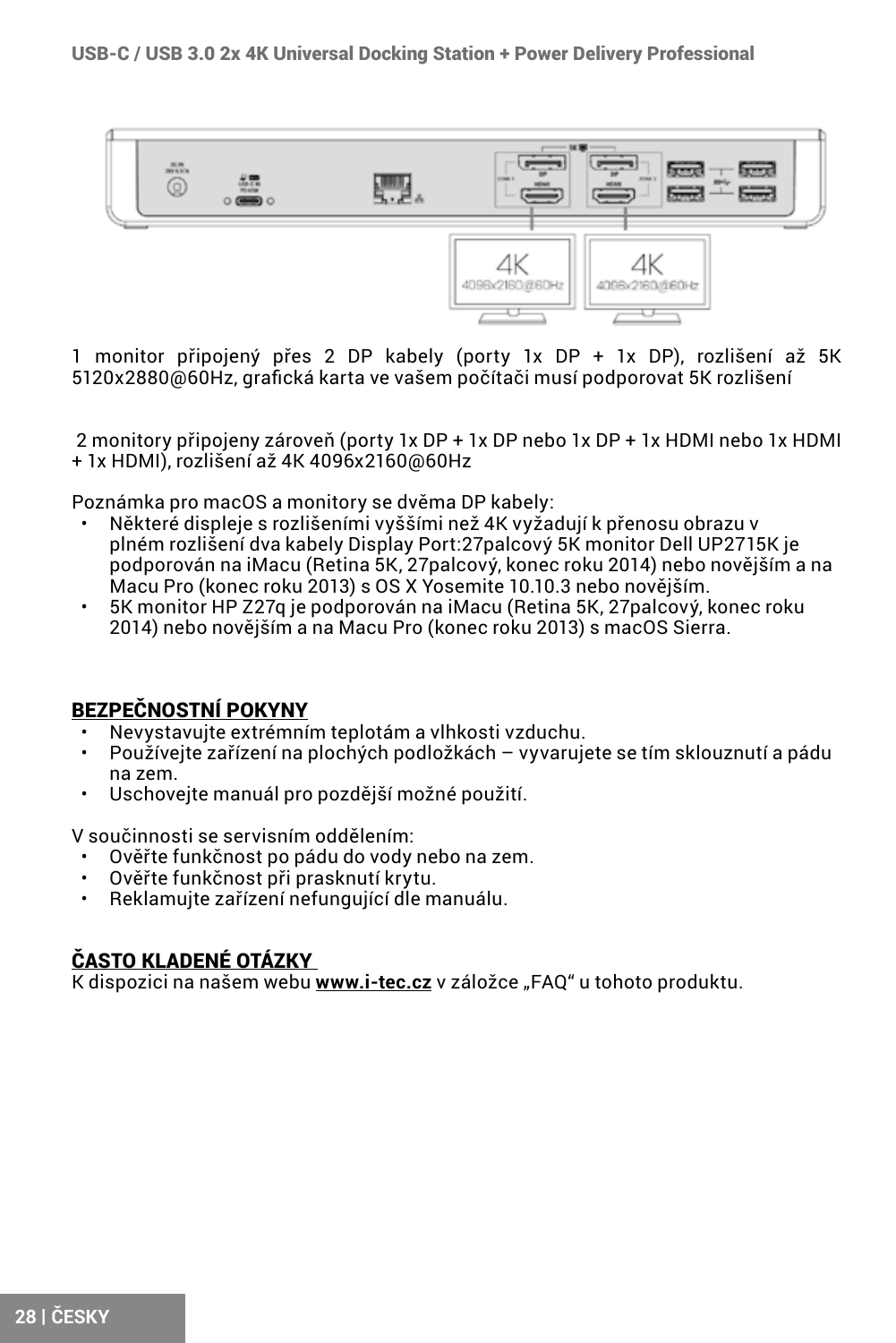

1 monitor připojený přes 2 DP kabely (porty 1x DP + 1x DP), rozlišení až 5K 5120x2880@60Hz, grafická karta ve vašem počítači musí podporovat 5K rozlišení

 2 monitory připojeny zároveň (porty 1x DP + 1x DP nebo 1x DP + 1x HDMI nebo 1x HDMI + 1x HDMI), rozlišení až 4K 4096x2160@60Hz

Poznámka pro macOS a monitory se dvěma DP kabely:

- Některé displeje s rozlišeními vyššími než 4K vyžadují k přenosu obrazu v plném rozlišení dva kabely Display Port:27palcový 5K monitor Dell UP2715K je podporován na iMacu (Retina 5K, 27palcový, konec roku 2014) nebo novějším a na Macu Pro (konec roku 2013) s OS X Yosemite 10.10.3 nebo novějším.
- 5K monitor HP Z27q je podporován na iMacu (Retina 5K, 27palcový, konec roku 2014) nebo novějším a na Macu Pro (konec roku 2013) s macOS Sierra.

### BEZPEČNOSTNÍ POKYNY

- Nevystavujte extrémním teplotám a vlhkosti vzduchu.
- Používejte zařízení na plochých podložkách vyvarujete se tím sklouznutí a pádu na zem.
- Uschovejte manuál pro pozdější možné použití.

V součinnosti se servisním oddělením:

- Ověřte funkčnost po pádu do vody nebo na zem.
- Ověřte funkčnost při prasknutí krytu.
- Reklamujte zařízení nefungující dle manuálu.

### ČASTO KLADENÉ OTÁZKY

K dispozici na našem webu **www.i-tec.cz** v záložce "FAQ" u tohoto produktu.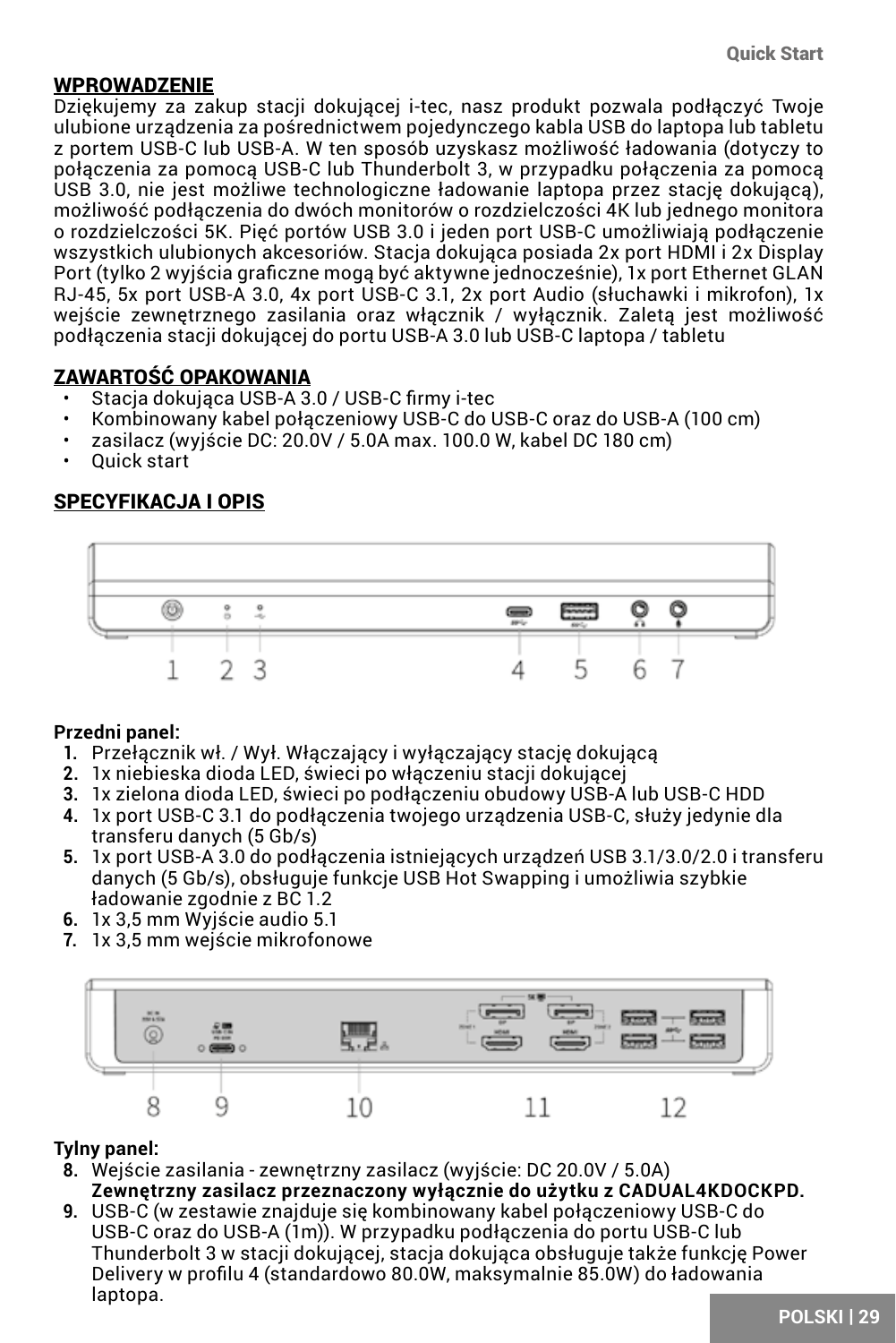### <span id="page-28-0"></span>WPROWADZENIE

Dziękujemy za zakup stacji dokującej i-tec, nasz produkt pozwala podłączyć Twoje ulubione urządzenia za pośrednictwem pojedynczego kabla USB do laptopa lub tabletu z portem USB-C lub USB-A. W ten sposób uzyskasz możliwość ładowania (dotyczy to połączenia za pomocą USB-C lub Thunderbolt 3, w przypadku połączenia za pomocą USB 3.0, nie jest możliwe technologiczne ładowanie laptopa przez stację dokującą), możliwość podłączenia do dwóch monitorów o rozdzielczości 4K lub jednego monitora o rozdzielczości 5K. Pięć portów USB 3.0 i jeden port USB-C umożliwiają podłączenie wszystkich ulubionych akcesoriów. Stacja dokująca posiada 2x port HDMI i 2x Display Port (tylko 2 wyjścia graficzne mogą być aktywne jednocześnie), 1x port Ethernet GLAN RJ-45, 5x port USB-A 3.0, 4x port USB-C 3.1, 2x port Audio (słuchawki i mikrofon), 1x wejście zewnętrznego zasilania oraz włącznik / wyłącznik. Zaletą jest możliwość podłączenia stacji dokującej do portu USB-A 3.0 lub USB-C laptopa / tabletu

### ZAWARTOŚĆ OPAKOWANIA

- Stacja dokująca USB-A 3.0 / USB-C firmy i-tec
- Kombinowany kabel połączeniowy USB-C do USB-C oraz do USB-A (100 cm)
- zasilacz (wyjście DC: 20.0V / 5.0A max. 100.0 W, kabel DC 180 cm)
- Quick start

### SPECYFIKACJA I OPIS



#### **Przedni panel:**

- **1.** Przełącznik wł. / Wył. Włączający i wyłączający stację dokującą
- **2.** 1x niebieska dioda LED, świeci po włączeniu stacji dokującej
- **3.** 1x zielona dioda LED, świeci po podłączeniu obudowy USB-A lub USB-C HDD
- **4.** 1x port USB-C 3.1 do podłączenia twojego urządzenia USB-C, służy jedynie dla transferu danych (5 Gb/s)
- **5.** 1x port USB-A 3.0 do podłączenia istniejących urządzeń USB 3.1/3.0/2.0 i transferu danych (5 Gb/s), obsługuje funkcje USB Hot Swapping i umożliwia szybkie ładowanie zgodnie z BC 1.2
- **6.** 1x 3,5 mm Wyjście audio 5.1
- **7.** 1x 3,5 mm wejście mikrofonowe



#### **Tylny panel:**

- **8.** Wejście zasilania zewnętrzny zasilacz (wyjście: DC 20.0V / 5.0A) **Zewnętrzny zasilacz przeznaczony wyłącznie do użytku z CADUAL4KDOCKPD.**
- **9.** USB-C (w zestawie znajduje się kombinowany kabel połączeniowy USB-C do USB-C oraz do USB-A (1m)). W przypadku podłączenia do portu USB-C lub Thunderbolt 3 w stacji dokującej, stacja dokująca obsługuje także funkcję Power Delivery w profilu 4 (standardowo 80.0W, maksymalnie 85.0W) do ładowania laptopa.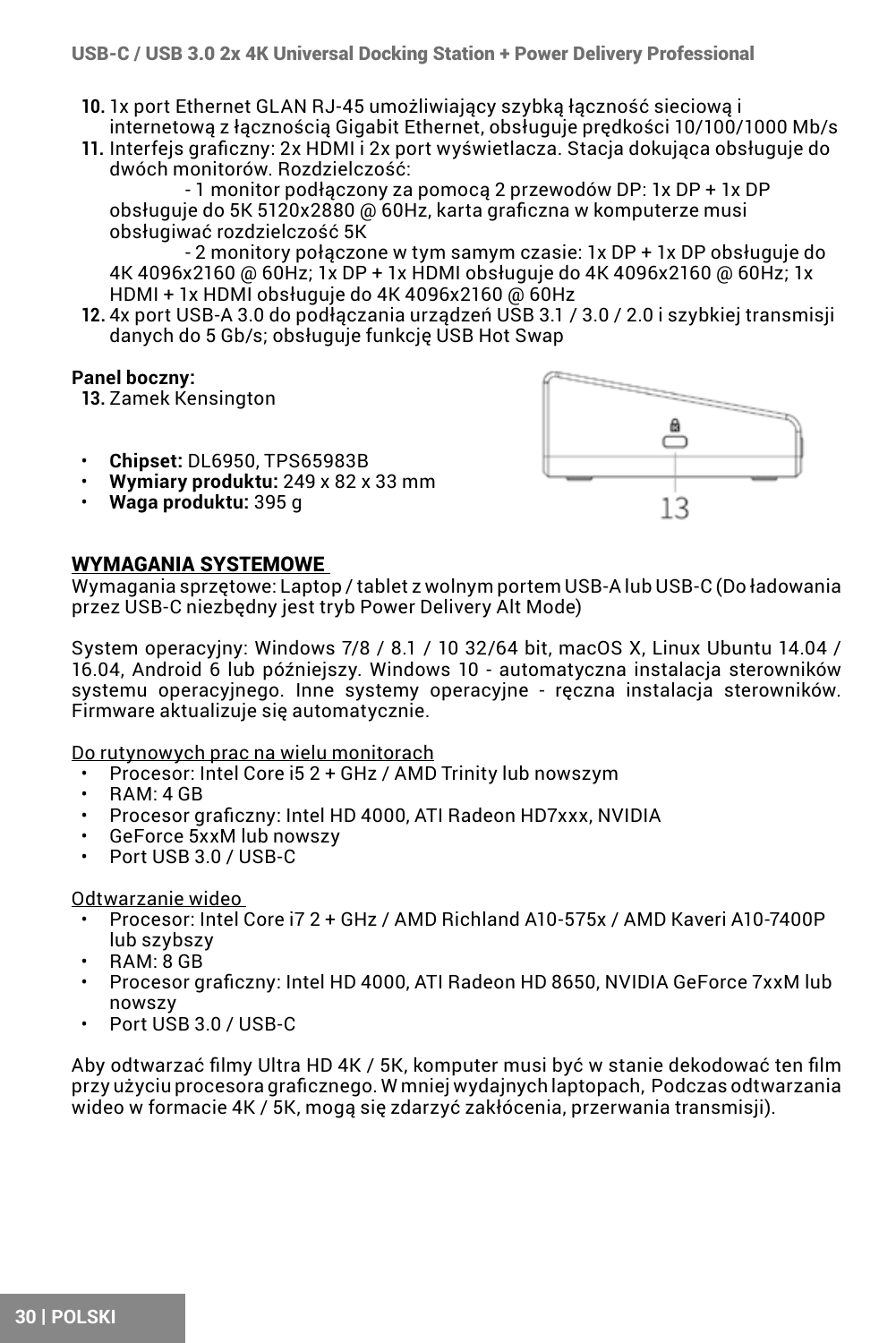- **10.** 1x port Ethernet GLAN RJ-45 umożliwiający szybką łączność sieciową i internetową z łącznością Gigabit Ethernet, obsługuje prędkości 10/100/1000 Mb/s
- **11.** Interfejs graficzny: 2x HDMI i 2x port wyświetlacza. Stacja dokująca obsługuje do dwóch monitorów. Rozdzielczość:

 - 1 monitor podłączony za pomocą 2 przewodów DP: 1x DP + 1x DP obsługuje do 5K 5120x2880 @ 60Hz, karta graficzna w komputerze musi obsługiwać rozdzielczość 5K

 - 2 monitory połączone w tym samym czasie: 1x DP + 1x DP obsługuje do 4K 4096x2160 @ 60Hz; 1x DP + 1x HDMI obsługuje do 4K 4096x2160 @ 60Hz; 1x HDMI + 1x HDMI obsługuje do 4K 4096x2160 @ 60Hz

**12.** 4x port USB-A 3.0 do podłączania urządzeń USB 3.1 / 3.0 / 2.0 i szybkiej transmisji danych do 5 Gb/s; obsługuje funkcję USB Hot Swap

### **Panel boczny:**

**13.** Zamek Kensington

- **Chipset:** DL6950, TPS65983B
- **Wymiary produktu:** 249 x 82 x 33 mm
- **Waga produktu:** 395 g



### WYMAGANIA SYSTEMOWE

Wymagania sprzętowe: Laptop / tablet z wolnym portem USB-A lub USB-C (Do ładowania przez USB-C niezbędny jest tryb Power Delivery Alt Mode)

System operacyjny: Windows 7/8 / 8.1 / 10 32/64 bit, macOS X, Linux Ubuntu 14.04 / 16.04, Android 6 lub późniejszy. Windows 10 - automatyczna instalacja sterowników systemu operacyjnego. Inne systemy operacyjne - ręczna instalacja sterowników. Firmware aktualizuje się automatycznie.

Do rutynowych prac na wielu monitorach

- Procesor: Intel Core i5 2 + GHz / AMD Trinity lub nowszym
- RAM: 4 GB
- Procesor graficzny: Intel HD 4000, ATI Radeon HD7xxx, NVIDIA
- GeForce 5xxM lub nowszy
- Port USB 3.0 / USB-C

Odtwarzanie wideo

- Procesor: Intel Core i7 2 + GHz / AMD Richland A10-575x / AMD Kaveri A10-7400P lub szybszy
- RAM: 8 GB
- Procesor graficzny: Intel HD 4000, ATI Radeon HD 8650, NVIDIA GeForce 7xxM lub nowszy
- Port USB 3.0 / USB-C

Aby odtwarzać filmy Ultra HD 4K / 5K, komputer musi być w stanie dekodować ten film przy użyciu procesora graficznego. W mniej wydajnych laptopach, Podczas odtwarzania wideo w formacie 4K / 5K, mogą się zdarzyć zakłócenia, przerwania transmisji).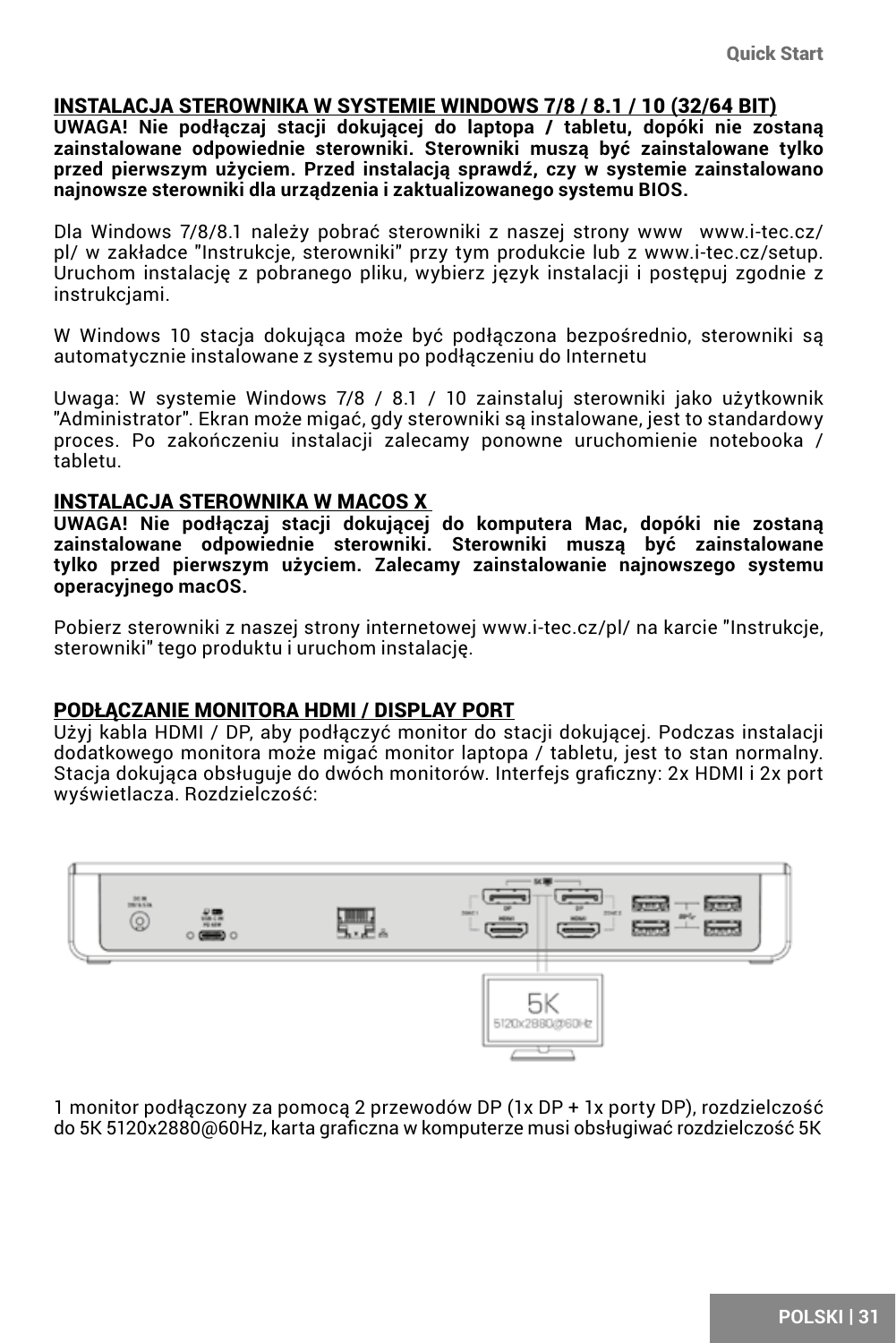#### INSTALACJA STEROWNIKA W SYSTEMIE WINDOWS 7/8 / 8.1 / 10 (32/64 BIT)

**UWAGA! Nie podłączaj stacji dokującej do laptopa / tabletu, dopóki nie zostaną zainstalowane odpowiednie sterowniki. Sterowniki muszą być zainstalowane tylko przed pierwszym użyciem. Przed instalacją sprawdź, czy w systemie zainstalowano najnowsze sterowniki dla urządzenia i zaktualizowanego systemu BIOS.**

Dla Windows 7/8/8.1 należy pobrać sterowniki z naszej strony www www.i-tec.cz/ pl/ w zakładce "Instrukcje, sterowniki" przy tym produkcie lub z www.i-tec.cz/setup. Uruchom instalację z pobranego pliku, wybierz język instalacji i postępuj zgodnie z instrukcjami.

W Windows 10 stacja dokująca może być podłączona bezpośrednio, sterowniki są automatycznie instalowane z systemu po podłączeniu do Internetu

Uwaga: W systemie Windows 7/8 / 8.1 / 10 zainstaluj sterowniki jako użytkownik "Administrator". Ekran może migać, gdy sterowniki są instalowane, jest to standardowy proces. Po zakończeniu instalacji zalecamy ponowne uruchomienie notebooka / tabletu.

#### INSTALACJA STEROWNIKA W MACOS X

**UWAGA! Nie podłączaj stacji dokującej do komputera Mac, dopóki nie zostaną zainstalowane odpowiednie sterowniki. Sterowniki muszą być zainstalowane tylko przed pierwszym użyciem. Zalecamy zainstalowanie najnowszego systemu operacyjnego macOS.**

Pobierz sterowniki z naszej strony internetowej www.i-tec.cz/pl/ na karcie "Instrukcje, sterowniki" tego produktu i uruchom instalację.

#### PODŁĄCZANIE MONITORA HDMI / DISPLAY PORT

Użyj kabla HDMI / DP, aby podłączyć monitor do stacji dokującej. Podczas instalacji dodatkowego monitora może migać monitor laptopa / tabletu, jest to stan normalny. Stacja dokująca obsługuje do dwóch monitorów. Interfejs graficzny: 2x HDMI i 2x port wyświetlacza. Rozdzielczość:



1 monitor podłączony za pomocą 2 przewodów DP (1x DP + 1x porty DP), rozdzielczość do 5K 5120x2880@60Hz, karta graficzna w komputerze musi obsługiwać rozdzielczość 5K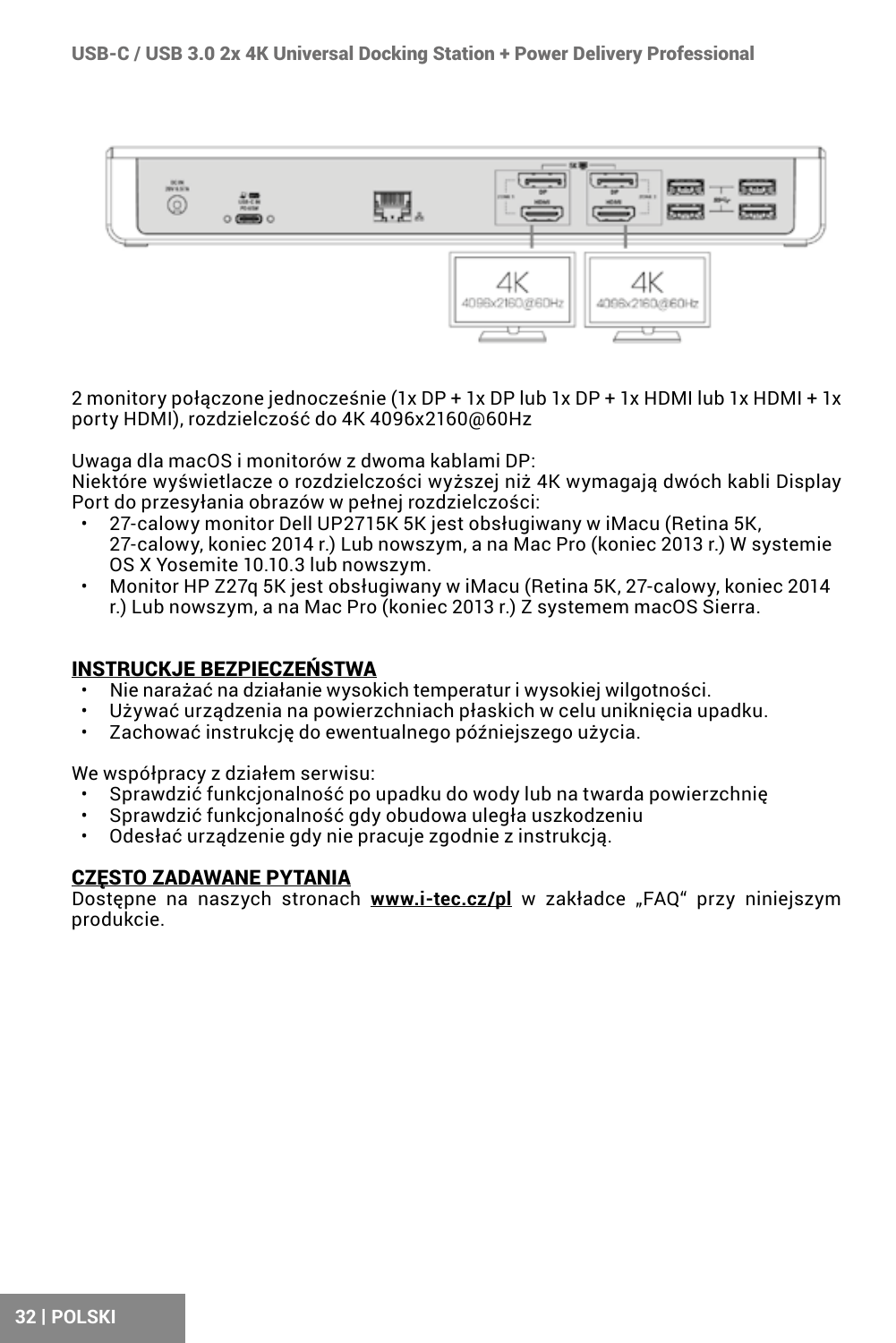

2 monitory połączone jednocześnie (1x DP + 1x DP lub 1x DP + 1x HDMI lub 1x HDMI + 1x porty HDMI), rozdzielczość do 4K 4096x2160@60Hz

Uwaga dla macOS i monitorów z dwoma kablami DP:

Niektóre wyświetlacze o rozdzielczości wyższej niż 4K wymagają dwóch kabli Display Port do przesyłania obrazów w pełnej rozdzielczości:

- 27-calowy monitor Dell UP2715K 5K jest obsługiwany w iMacu (Retina 5K, 27-calowy, koniec 2014 r.) Lub nowszym, a na Mac Pro (koniec 2013 r.) W systemie OS X Yosemite 10.10.3 lub nowszym.
- Monitor HP Z27q 5K jest obsługiwany w iMacu (Retina 5K, 27-calowy, koniec 2014 r.) Lub nowszym, a na Mac Pro (koniec 2013 r.) Z systemem macOS Sierra.

#### INSTRUCKJE BEZPIECZEŃSTWA

- Nie narażać na działanie wysokich temperatur i wysokiej wilgotności.
- Używać urządzenia na powierzchniach płaskich w celu uniknięcia upadku.
- Zachować instrukcję do ewentualnego późniejszego użycia.

We współpracy z działem serwisu:

- Sprawdzić funkcjonalność po upadku do wody lub na twarda powierzchnię
- Sprawdzić funkcjonalność gdy obudowa uległa uszkodzeniu
- Odesłać urządzenie gdy nie pracuje zgodnie z instrukcją.

### **CZESTO ZADAWANE PYTANIA**

Dostępne na naszych stronach **www.i-tec.cz/pl** w zakładce "FAQ" przy niniejszym produkcie.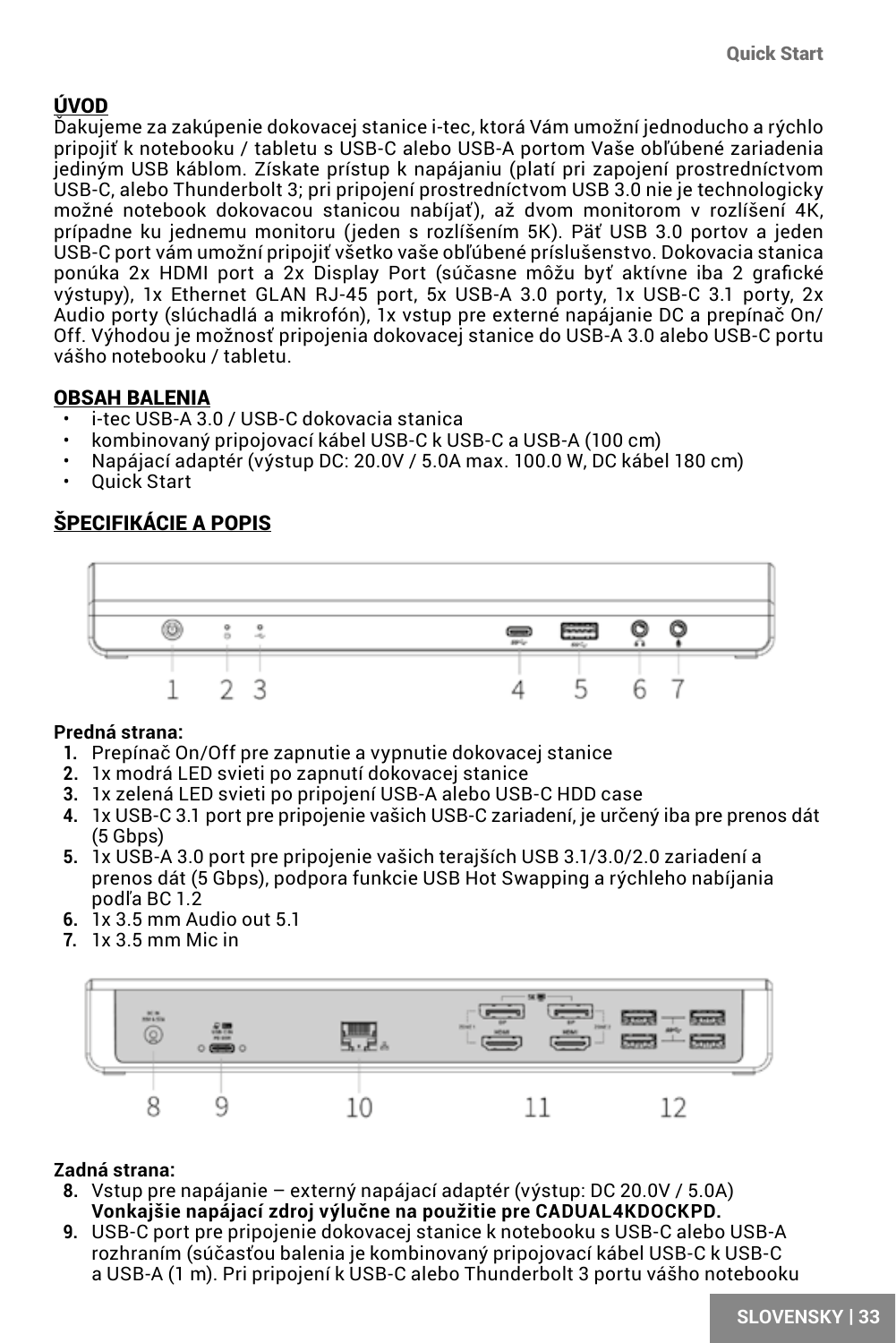### <span id="page-32-0"></span>ÚVOD

Ďakujeme za zakúpenie dokovacej stanice i-tec, ktorá Vám umožní jednoducho a rýchlo pripojiť k notebooku / tabletu s USB-C alebo USB-A portom Vaše obľúbené zariadenia jediným USB káblom. Získate prístup k napájaniu (platí pri zapojení prostredníctvom USB-C, alebo Thunderbolt 3; pri pripojení prostredníctvom USB 3.0 nie je technologicky možné notebook dokovacou stanicou nabíjať), až dvom monitorom v rozlíšení 4K, prípadne ku jednemu monitoru (jeden s rozlíšením 5K). Päť USB 3.0 portov a jeden USB-C port vám umožní pripojiť všetko vaše obľúbené príslušenstvo. Dokovacia stanica ponúka 2x HDMI port a 2x Display Port (súčasne môžu byť aktívne iba 2 grafické výstupy), 1x Ethernet GLAN RJ-45 port, 5x USB-A 3.0 porty, 1x USB-C 3.1 porty, 2x Audio porty (slúchadlá a mikrofón), 1x vstup pre externé napájanie DC a prepínač On/ Off. Výhodou je možnosť pripojenia dokovacej stanice do USB-A 3.0 alebo USB-C portu vášho notebooku / tabletu.

### OBSAH BALENIA

- i-tec USB-A 3.0 / USB-C dokovacia stanica
- kombinovaný pripojovací kábel USB-C k USB-C a USB-A (100 cm)
- Napájací adaptér (výstup DC: 20.0V / 5.0A max. 100.0 W, DC kábel 180 cm)
- Quick Start

### ŠPECIFIKÁCIE A POPIS



### **Predná strana:**

- **1.** Prepínač On/Off pre zapnutie a vypnutie dokovacej stanice
- **2.** 1x modrá LED svieti po zapnutí dokovacej stanice
- **3.** 1x zelená LED svieti po pripojení USB-A alebo USB-C HDD case
- **4.** 1x USB-C 3.1 port pre pripojenie vašich USB-C zariadení, je určený iba pre prenos dát  $(5$  Gbps)
- **5.** 1x USB-A 3.0 port pre pripojenie vašich terajších USB 3.1/3.0/2.0 zariadení a prenos dát (5 Gbps), podpora funkcie USB Hot Swapping a rýchleho nabíjania podľa BC 1.2
- **6.** 1x 3.5 mm Audio out 5.1
- **7.** 1x 3.5 mm Mic in



### **Zadná strana:**

- **8.** Vstup pre napájanie externý napájací adaptér (výstup: DC 20.0V / 5.0A) **Vonkajšie napájací zdroj výlučne na použitie pre CADUAL4KDOCKPD.**
- **9.** USB-C port pre pripojenie dokovacej stanice k notebooku s USB-C alebo USB-A rozhraním (súčasťou balenia je kombinovaný pripojovací kábel USB-C k USB-C a USB-A (1 m). Pri pripojení k USB-C alebo Thunderbolt 3 portu vášho notebooku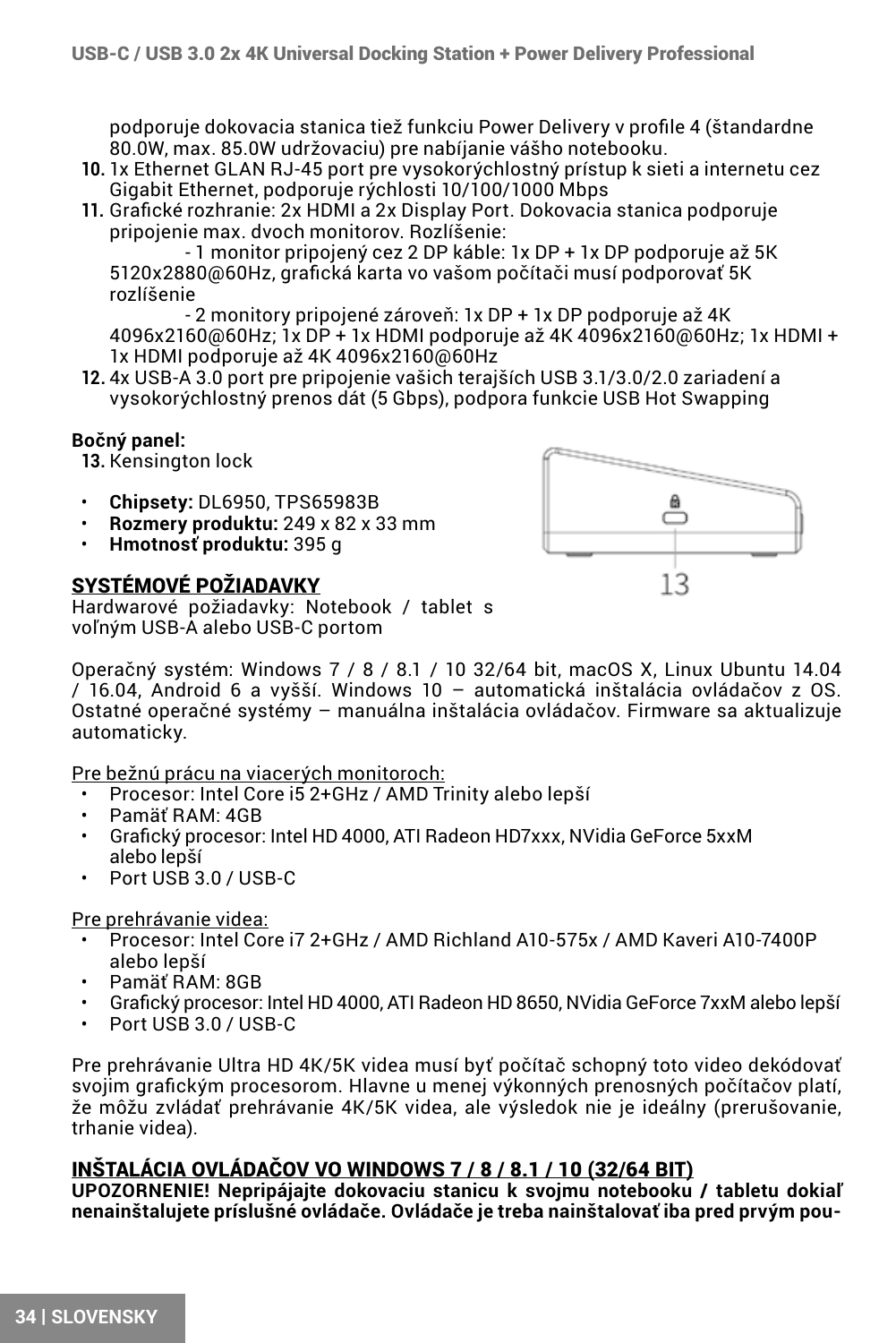podporuje dokovacia stanica tiež funkciu Power Delivery v profile 4 (štandardne 80.0W, max. 85.0W udržovaciu) pre nabíjanie vášho notebooku.

- **10.** 1x Ethernet GLAN RJ-45 port pre vysokorýchlostný prístup k sieti a internetu cez Gigabit Ethernet, podporuje rýchlosti 10/100/1000 Mbps
- **11.** Grafické rozhranie: 2x HDMI a 2x Display Port. Dokovacia stanica podporuje pripojenie max. dvoch monitorov. Rozlíšenie:

 - 1 monitor pripojený cez 2 DP káble: 1x DP + 1x DP podporuje až 5K 5120x2880@60Hz, grafická karta vo vašom počítači musí podporovať 5K rozlíšenie

 - 2 monitory pripojené zároveň: 1x DP + 1x DP podporuje až 4K 4096x2160@60Hz; 1x DP + 1x HDMI podporuje až 4K 4096x2160@60Hz; 1x HDMI + 1x HDMI podporuje až 4K 4096x2160@60Hz

**12.** 4x USB-A 3.0 port pre pripojenie vašich terajších USB 3.1/3.0/2.0 zariadení a vysokorýchlostný prenos dát (5 Gbps), podpora funkcie USB Hot Swapping

#### **Bočný panel:**

**13.** Kensington lock

- **Chipsety:** DL6950, TPS65983B
- **Rozmery produktu:** 249 x 82 x 33 mm
- **Hmotnosť produktu:** 395 g

### SYSTÉMOVÉ POŽIADAVKY



Hardwarové požiadavky: Notebook / tablet s voľným USB-A alebo USB-C portom

Operačný systém: Windows 7 / 8 / 8.1 / 10 32/64 bit, macOS X, Linux Ubuntu 14.04 / 16.04, Android 6 a vyšší. Windows 10 – automatická inštalácia ovládačov z OS. Ostatné operačné systémy – manuálna inštalácia ovládačov. Firmware sa aktualizuje automaticky.

#### Pre bežnú prácu na viacerých monitoroch:

- Procesor: Intel Core i5 2+GHz / AMD Trinity alebo lepší
- Pamäť RAM: 4GB
- Grafický procesor: Intel HD 4000, ATI Radeon HD7xxx, NVidia GeForce 5xxM alebo lepší
- Port USB 3.0 / USB-C

### Pre prehrávanie videa:

- Procesor: Intel Core i7 2+GHz / AMD Richland A10-575x / AMD Kaveri A10-7400P alebo lepší
- Pamäť RAM: 8GB
- Grafický procesor: Intel HD 4000, ATI Radeon HD 8650, NVidia GeForce 7xxM alebo lepší<br>• Port USB 3.0 / USB-C
- Port USB 3.0 / USB-C

Pre prehrávanie Ultra HD 4K/5K videa musí byť počítač schopný toto video dekódovať svojim grafickým procesorom. Hlavne u menej výkonných prenosných počítačov platí, že môžu zvládať prehrávanie 4K/5K videa, ale výsledok nie je ideálny (prerušovanie, trhanie videa).

### INŠTALÁCIA OVLÁDAČOV VO WINDOWS 7 / 8 / 8.1 / 10 (32/64 BIT)

**UPOZORNENIE! Nepripájajte dokovaciu stanicu k svojmu notebooku / tabletu dokiaľ nenainštalujete príslušné ovládače. Ovládače je treba nainštalovať iba pred prvým pou-**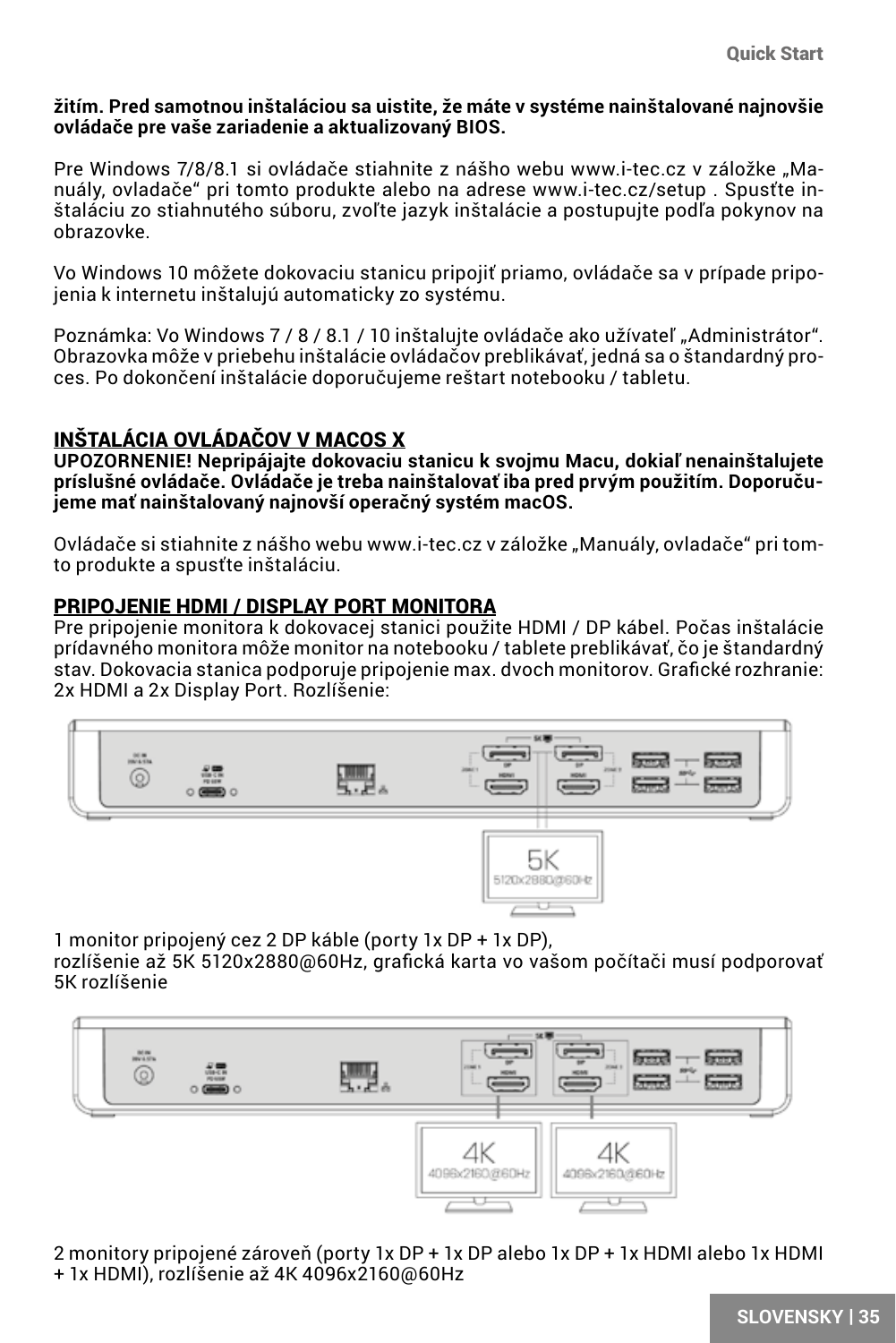#### **žitím. Pred samotnou inštaláciou sa uistite, že máte v systéme nainštalované najnovšie ovládače pre vaše zariadenie a aktualizovaný BIOS.**

Pre Windows 7/8/8.1 si ovládače stiahnite z nášho webu www.i-tec.cz v záložke "Manuály, ovladače" pri tomto produkte alebo na adrese www.i-tec.cz/setup . Spusťte inštaláciu zo stiahnutého súboru, zvoľte jazyk inštalácie a postupujte podľa pokynov na obrazovke.

Vo Windows 10 môžete dokovaciu stanicu pripojiť priamo, ovládače sa v prípade pripojenia k internetu inštalujú automaticky zo systému.

Poznámka: Vo Windows 7 / 8 / 8.1 / 10 inštalujte ovládače ako užívateľ "Administrátor". Obrazovka môže v priebehu inštalácie ovládačov preblikávať, jedná sa o štandardný proces. Po dokončení inštalácie doporučujeme reštart notebooku / tabletu.

### INŠTALÁCIA OVLÁDAČOV V MACOS X

**UPOZORNENIE! Nepripájajte dokovaciu stanicu k svojmu Macu, dokiaľ nenainštalujete príslušné ovládače. Ovládače je treba nainštalovať iba pred prvým použitím. Doporučujeme mať nainštalovaný najnovší operačný systém macOS.**

Ovládače si stiahnite z nášho webu www.i-tec.cz v záložke "Manuály, ovladače" pri tomto produkte a spusťte inštaláciu.

### PRIPOJENIE HDMI / DISPLAY PORT MONITORA

Pre pripojenie monitora k dokovacej stanici použite HDMI / DP kábel. Počas inštalácie prídavného monitora môže monitor na notebooku / tablete preblikávať, čo je štandardný stav. Dokovacia stanica podporuje pripojenie max. dvoch monitorov. Grafické rozhranie: 2x HDMI a 2x Display Port. Rozlíšenie:



1 monitor pripojený cez 2 DP káble (porty 1x DP + 1x DP),

rozlíšenie až 5K 5120x2880@60Hz, grafická karta vo vašom počítači musí podporovať 5K rozlíšenie



2 monitory pripojené zároveň (porty 1x DP + 1x DP alebo 1x DP + 1x HDMI alebo 1x HDMI + 1x HDMI), rozlíšenie až 4K 4096x2160@60Hz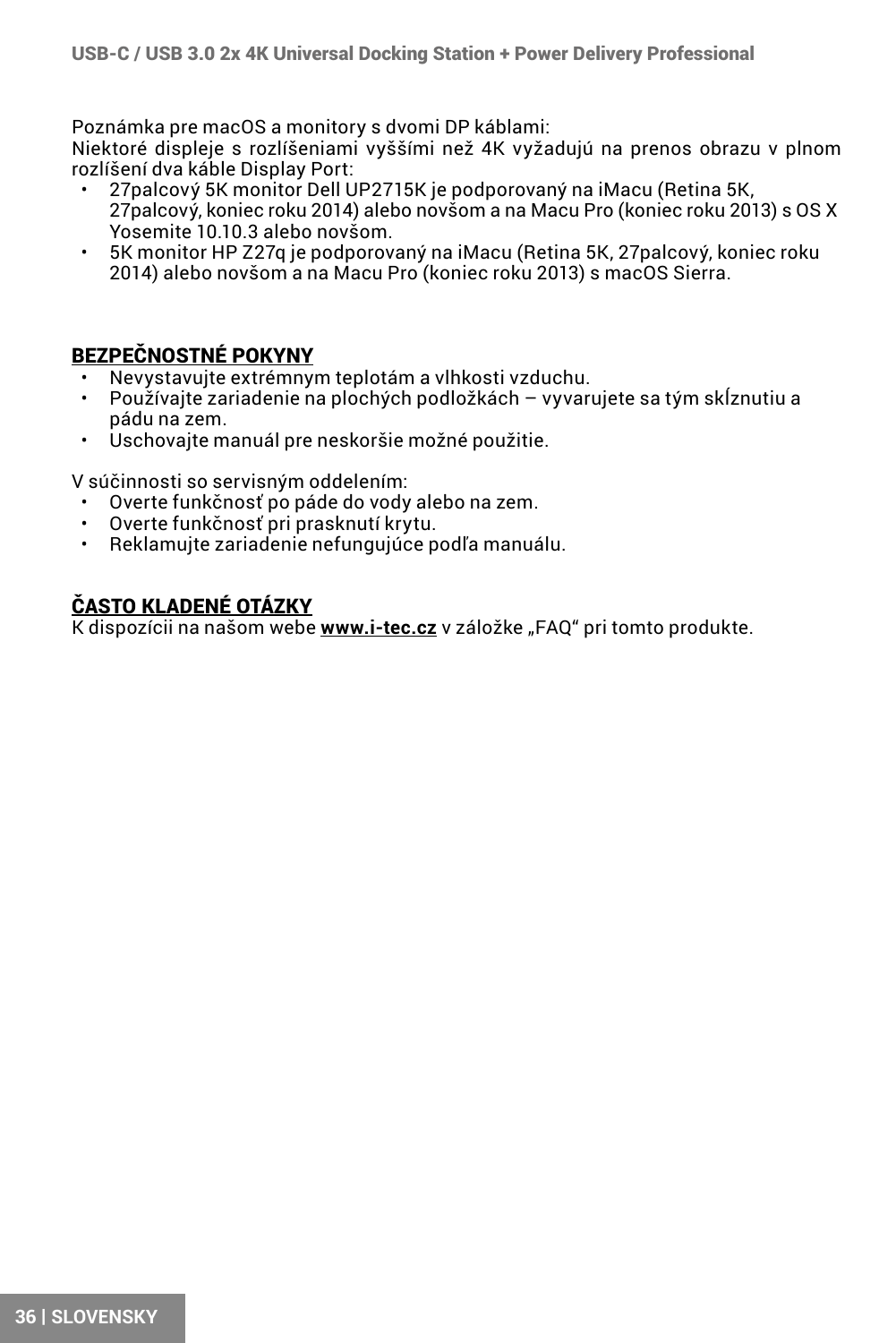Poznámka pre macOS a monitory s dvomi DP káblami:

Niektoré displeje s rozlíšeniami vyššími než 4K vyžadujú na prenos obrazu v plnom rozlíšení dva káble Display Port:

- 27palcový 5K monitor Dell UP2715K je podporovaný na iMacu (Retina 5K, 27palcový, koniec roku 2014) alebo novšom a na Macu Pro (koniec roku 2013) s OS X Yosemite 10.10.3 alebo novšom.
- 5K monitor HP Z27q je podporovaný na iMacu (Retina 5K, 27palcový, koniec roku 2014) alebo novšom a na Macu Pro (koniec roku 2013) s macOS Sierra.

### BEZPEČNOSTNÉ POKYNY

- Nevystavujte extrémnym teplotám a vlhkosti vzduchu.
- Používajte zariadenie na plochých podložkách vyvarujete sa tým skĺznutiu a pádu na zem.
- Uschovajte manuál pre neskoršie možné použitie.

V súčinnosti so servisným oddelením:

- Overte funkčnosť po páde do vody alebo na zem.
- Overte funkčnosť pri prasknutí krytu.
- Reklamujte zariadenie nefungujúce podľa manuálu.

## ČASTO KLADENÉ OTÁZKY

K dispozícii na našom webe **www.i-tec.cz** v záložke "FAQ" pri tomto produkte.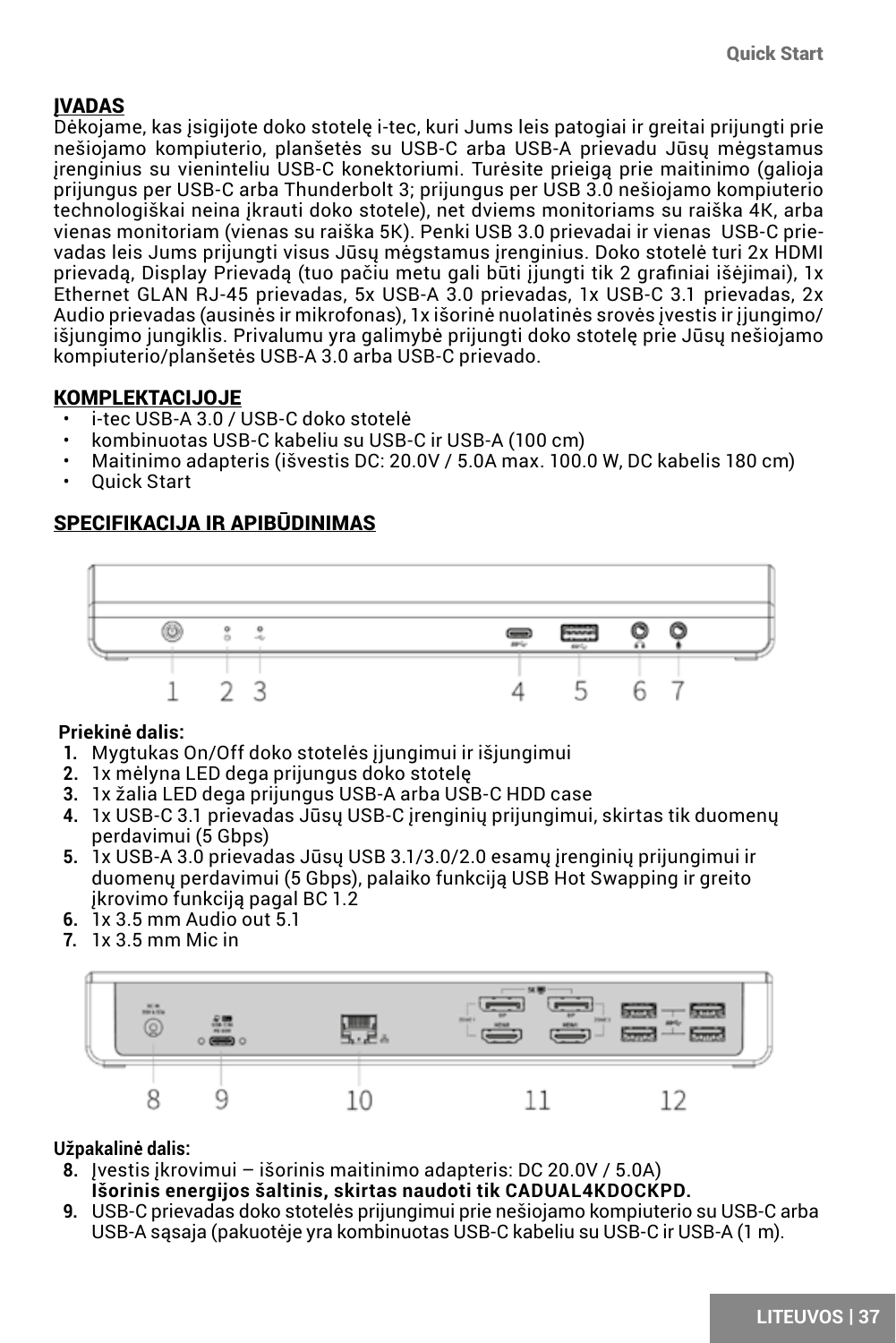### <span id="page-36-0"></span>ĮVADAS

Dėkojame, kas įsigijote doko stotelę i-tec, kuri Jums leis patogiai ir greitai prijungti prie nešiojamo kompiuterio, planšetės su USB-C arba USB-A prievadu Jūsų mėgstamus įrenginius su vieninteliu USB-C konektoriumi. Turėsite prieigą prie maitinimo (galioja prijungus per USB-C arba Thunderbolt 3; prijungus per USB 3.0 nešiojamo kompiuterio technologiškai neina įkrauti doko stotele), net dviems monitoriams su raiška 4K, arba vienas monitoriam (vienas su raiška 5K). Penki USB 3.0 prievadai ir vienas USB-C prievadas leis Jums prijungti visus Jūsų mėgstamus įrenginius. Doko stotelė turi 2x HDMI prievadą, Display Prievadą (tuo pačiu metu gali būti įjungti tik 2 grafiniai išėjimai), 1x Ethernet GLAN RJ-45 prievadas, 5x USB-A 3.0 prievadas, 1x USB-C 3.1 prievadas, 2x Audio prievadas (ausinės ir mikrofonas), 1x išorinė nuolatinės srovės įvestis ir įjungimo/ išjungimo jungiklis. Privalumu yra galimybė prijungti doko stotelę prie Jūsų nešiojamo kompiuterio/planšetės USB-A 3.0 arba USB-C prievado.

### KOMPLEKTACIJOJE

- i-tec USB-A 3.0 / USB-C doko stotelė
- kombinuotas USB-C kabeliu su USB-C ir USB-A (100 cm)
- Maitinimo adapteris (išvestis DC: 20.0V / 5.0A max. 100.0 W, DC kabelis 180 cm)
- Quick Start

### SPECIFIKACIJA IR APIBŪDINIMAS



### **Priekinė dalis:**

- **1.** Mygtukas On/Off doko stotelės įjungimui ir išjungimui
- **2.** 1x mėlyna LED dega prijungus doko stotelę
- **3.** 1x žalia LED dega prijungus USB-A arba USB-C HDD case
- **4.** 1x USB-C 3.1 prievadas Jūsų USB-C įrenginių prijungimui, skirtas tik duomenų perdavimui (5 Gbps)
- **5.** 1x USB-A 3.0 prievadas Jūsų USB 3.1/3.0/2.0 esamų įrenginių prijungimui ir duomenų perdavimui (5 Gbps), palaiko funkciją USB Hot Swapping ir greito įkrovimo funkciją pagal BC 1.2
- **6.** 1x 3.5 mm Audio out 5.1
- **7.** 1x 3.5 mm Mic in



#### **Užpakalinė dalis:**

- **8.** Įvestis įkrovimui išorinis maitinimo adapteris: DC 20.0V / 5.0A) **Išorinis energijos šaltinis, skirtas naudoti tik CADUAL4KDOCKPD.**
- **9.** USB-C prievadas doko stotelės prijungimui prie nešiojamo kompiuterio su USB-C arba USB-A sąsaja (pakuotėje yra kombinuotas USB-C kabeliu su USB-C ir USB-A (1 m).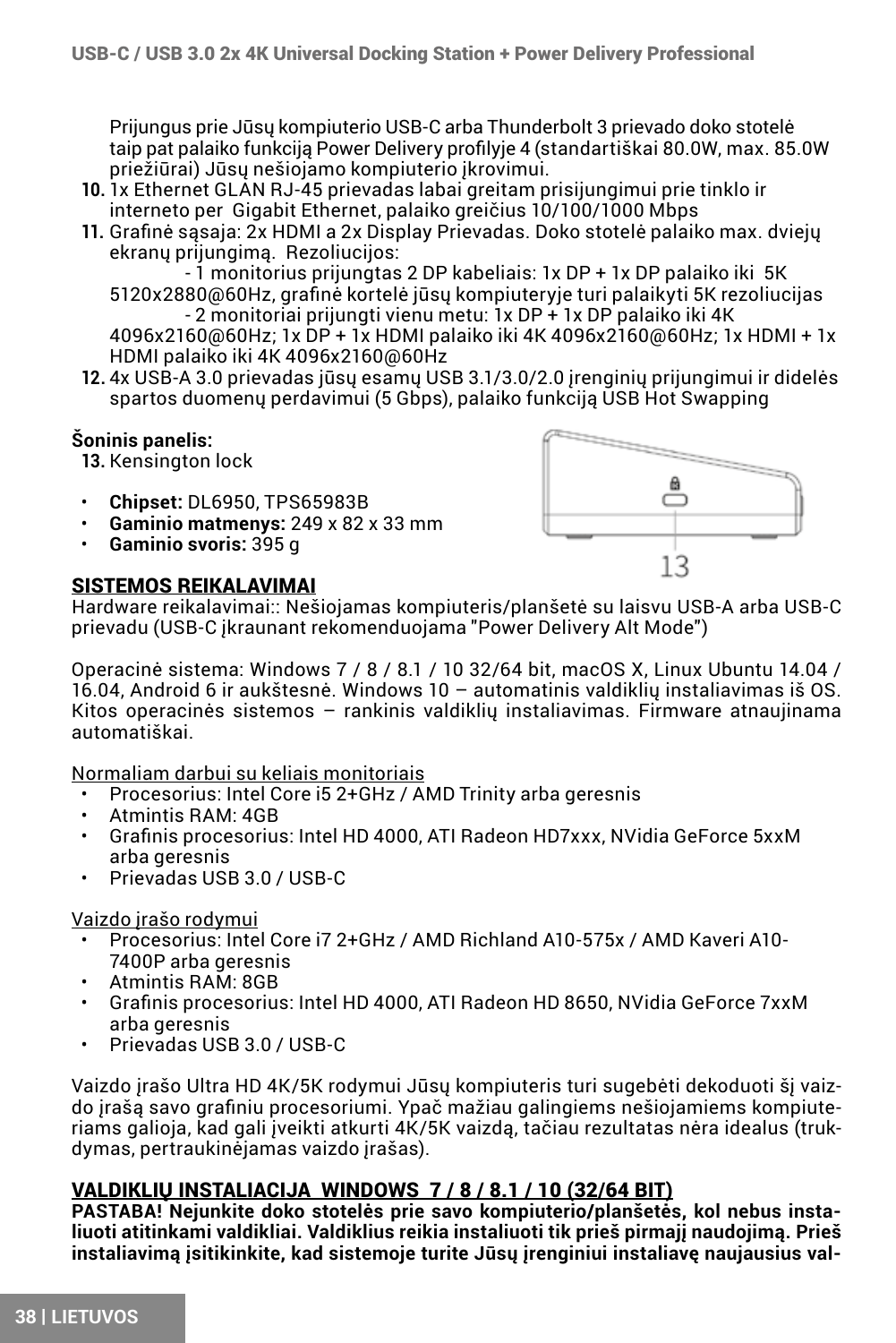Prijungus prie Jūsų kompiuterio USB-C arba Thunderbolt 3 prievado doko stotelė taip pat palaiko funkciją Power Delivery profilyje 4 (standartiškai 80.0W, max. 85.0W priežiūrai) Jūsų nešiojamo kompiuterio įkrovimui.

- **10.** 1x Ethernet GLAN RJ-45 prievadas labai greitam prisijungimui prie tinklo ir interneto per Gigabit Ethernet, palaiko greičius 10/100/1000 Mbps
- **11.** Grafinė sąsaja: 2x HDMI a 2x Display Prievadas. Doko stotelė palaiko max. dviejų ekranų prijungimą. Rezoliucijos:

 - 1 monitorius prijungtas 2 DP kabeliais: 1x DP + 1x DP palaiko iki 5K 5120x2880@60Hz, grafinė kortelė jūsų kompiuteryje turi palaikyti 5K rezoliucijas - 2 monitoriai prijungti vienu metu: 1x DP + 1x DP palaiko iki 4K 4096x2160@60Hz; 1x DP + 1x HDMI palaiko iki 4K 4096x2160@60Hz; 1x HDMI + 1x

HDMI palaiko iki 4K 4096x2160@60Hz

**12.** 4x USB-A 3.0 prievadas jūsų esamų USB 3.1/3.0/2.0 įrenginių prijungimui ir didelės spartos duomenų perdavimui (5 Gbps), palaiko funkciją USB Hot Swapping

### **Šoninis panelis:**

**13.** Kensington lock

- **Chipset:** DL6950, TPS65983B
- **Gaminio matmenys:** 249 x 82 x 33 mm
- **Gaminio svoris:** 395 g

### SISTEMOS REIKALAVIMAI



Hardware reikalavimai:: Nešiojamas kompiuteris/planšetė su laisvu USB-A arba USB-C prievadu (USB-C įkraunant rekomenduojama "Power Delivery Alt Mode")

Operacinė sistema: Windows 7 / 8 / 8.1 / 10 32/64 bit, macOS X, Linux Ubuntu 14.04 / 16.04, Android 6 ir aukštesnė. Windows 10 – automatinis valdiklių instaliavimas iš OS. Kitos operacinės sistemos – rankinis valdiklių instaliavimas. Firmware atnaujinama automatiškai.

Normaliam darbui su keliais monitoriais

- Procesorius: Intel Core i5 2+GHz / AMD Trinity arba geresnis
- Atmintis RAM: 4GB
- Grafinis procesorius: Intel HD 4000, ATI Radeon HD7xxx, NVidia GeForce 5xxM arba geresnis
- Prievadas USB 3.0 / USB-C

#### Vaizdo įrašo rodymui

- Procesorius: Intel Core i7 2+GHz / AMD Richland A10-575x / AMD Kaveri A10-7400P arba geresnis
- Atmintis RAM: 8GB
- Grafinis procesorius: Intel HD 4000, ATI Radeon HD 8650, NVidia GeForce 7xxM arba geresnis
- Prievadas USB 3.0 / USB-C

Vaizdo įrašo Ultra HD 4K/5K rodymui Jūsų kompiuteris turi sugebėti dekoduoti šį vaizdo įrašą savo grafiniu procesoriumi. Ypač mažiau galingiems nešiojamiems kompiuteriams galioja, kad gali įveikti atkurti 4K/5K vaizdą, tačiau rezultatas nėra idealus (trukdymas, pertraukinėjamas vaizdo įrašas).

### VALDIKLIŲ INSTALIACIJA WINDOWS 7 / 8 / 8.1 / 10 (32/64 BIT)

**PASTABA! Nejunkite doko stotelės prie savo kompiuterio/planšetės, kol nebus instaliuoti atitinkami valdikliai. Valdiklius reikia instaliuoti tik prieš pirmajį naudojimą. Prieš instaliavimą įsitikinkite, kad sistemoje turite Jūsų įrenginiui instaliavę naujausius val-**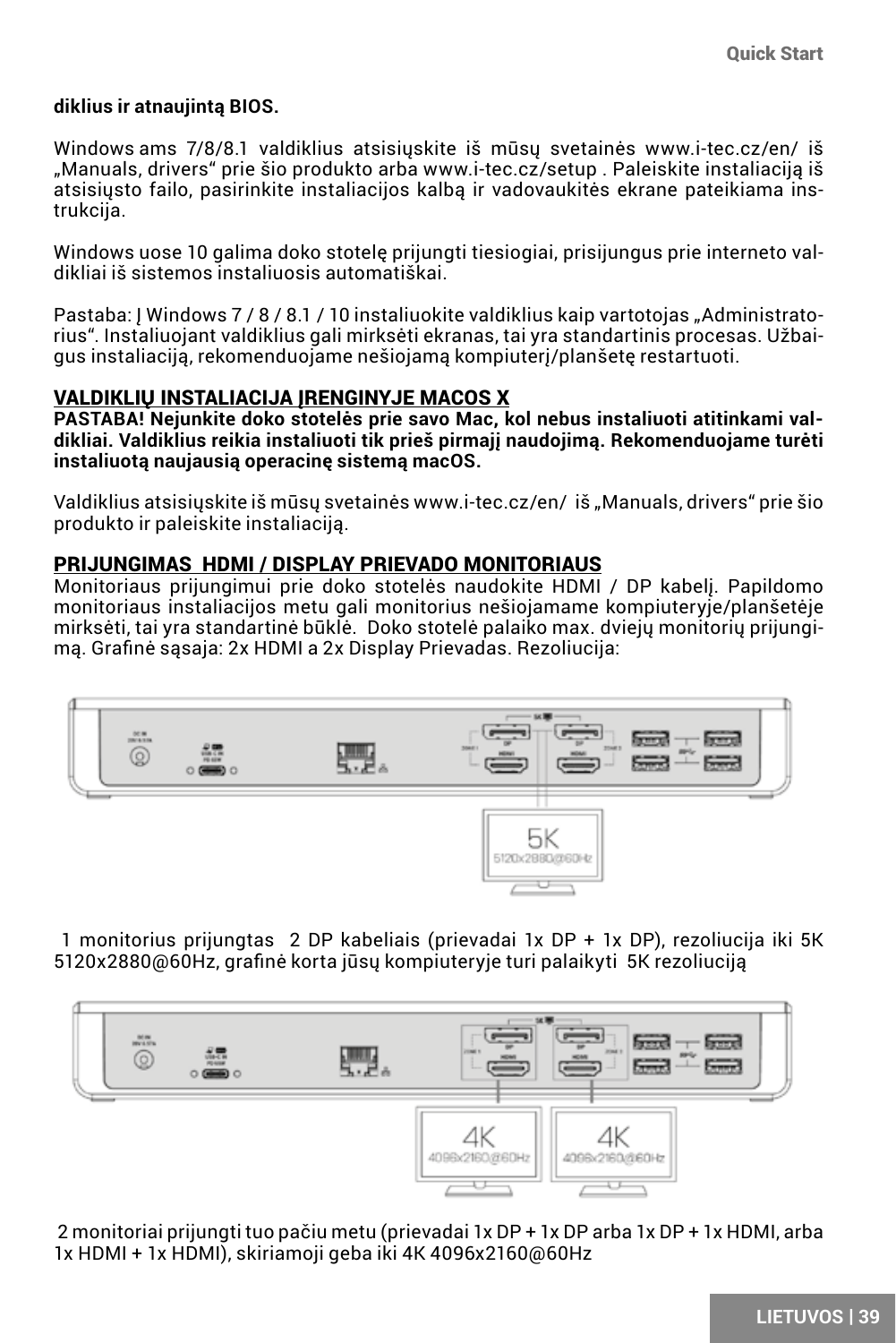#### **diklius ir atnaujintą BIOS.**

Windows ams 7/8/8.1 valdiklius atsisiuskite iš mūsu svetainės www.i-tec.cz/en/ iš "Manuals, drivers" prie šio produkto arba www.i-tec.cz/setup . Paleiskite instaliaciją iš atsisiųsto failo, pasirinkite instaliacijos kalbą ir vadovaukitės ekrane pateikiama instrukcija.

Windows uose 10 galima doko stotelę prijungti tiesiogiai, prisijungus prie interneto valdikliai iš sistemos instaliuosis automatiškai.

Pastaba: Į Windows 7/8/8.1/10 instaliuokite valdiklius kaip vartotojas "Administratorius". Instaliuojant valdiklius gali mirksėti ekranas, tai yra standartinis procesas. Užbaigus instaliaciją, rekomenduojame nešiojamą kompiuterį/planšetę restartuoti.

### VALDIKLIU INSTALIACIJA IRENGINYJE MACOS X

**PASTABA! Nejunkite doko stotelės prie savo Mac, kol nebus instaliuoti atitinkami valdikliai. Valdiklius reikia instaliuoti tik prieš pirmajį naudojimą. Rekomenduojame turėti instaliuotą naujausią operacinę sistemą macOS.**

Valdiklius atsisiuskite iš mūsų svetainės www.i-tec.cz/en/ iš "Manuals, drivers" prie šio produkto ir paleiskite instaliaciją.

### PRIJUNGIMAS HDMI / DISPLAY PRIEVADO MONITORIAUS

Monitoriaus prijungimui prie doko stotelės naudokite HDMI / DP kabelį. Papildomo monitoriaus instaliacijos metu gali monitorius nešiojamame kompiuteryje/planšetėje mirksėti, tai yra standartinė būklė. Doko stotelė palaiko max. dviejų monitorių prijungimą. Grafinė sąsaja: 2x HDMI a 2x Display Prievadas. Rezoliucija:



 1 monitorius prijungtas 2 DP kabeliais (prievadai 1x DP + 1x DP), rezoliucija iki 5K 5120x2880@60Hz, grafinė korta jūsų kompiuteryje turi palaikyti 5K rezoliuciją



 2 monitoriai prijungti tuo pačiu metu (prievadai 1x DP + 1x DP arba 1x DP + 1x HDMI, arba 1x HDMI + 1x HDMI), skiriamoji geba iki 4K 4096x2160@60Hz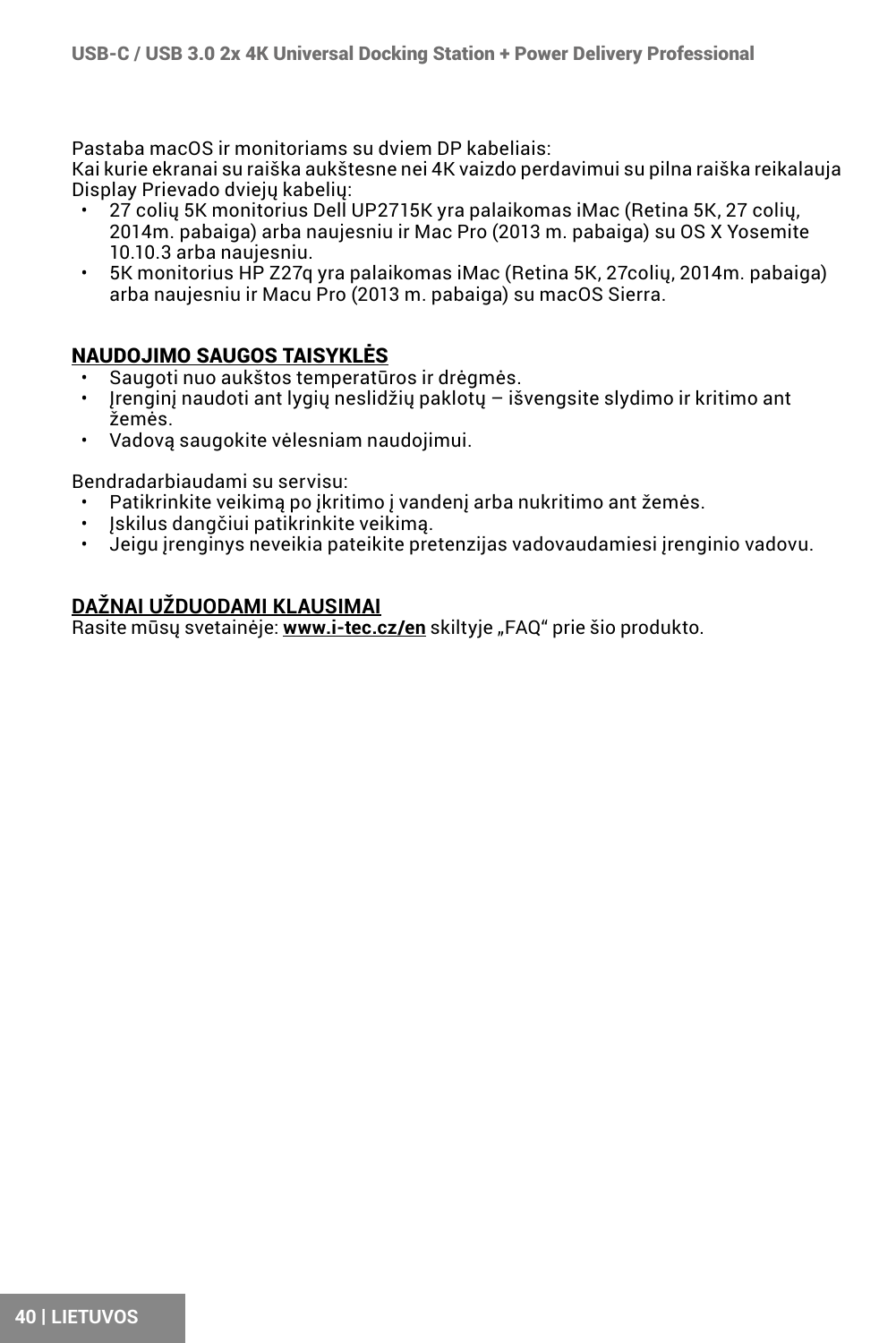Pastaba macOS ir monitoriams su dviem DP kabeliais:

Kai kurie ekranai su raiška aukštesne nei 4K vaizdo perdavimui su pilna raiška reikalauja Display Prievado dviejų kabelių:

- 27 colių 5K monitorius Dell UP2715K yra palaikomas iMac (Retina 5K, 27 colių, 2014m. pabaiga) arba naujesniu ir Mac Pro (2013 m. pabaiga) su OS X Yosemite 10.10.3 arba naujesniu.
- 5K monitorius HP Z27q yra palaikomas iMac (Retina 5K, 27colių, 2014m. pabaiga) arba naujesniu ir Macu Pro (2013 m. pabaiga) su macOS Sierra.

### NAUDOJIMO SAUGOS TAISYKLĖS

- Saugoti nuo aukštos temperatūros ir drėgmės.
- Įrenginį naudoti ant lygių neslidžių paklotų išvengsite slydimo ir kritimo ant žemės.
- Vadovą saugokite vėlesniam naudojimui.

Bendradarbiaudami su servisu:

- Patikrinkite veikimą po įkritimo į vandenį arba nukritimo ant žemės.
- $\cdot$  Iskilus dangčiui patikrinkite veikimą.
- Jeigu įrenginys neveikia pateikite pretenzijas vadovaudamiesi įrenginio vadovu.

### **DAŽNAI UŽDUODAMI KLAUSIMAI**

Rasite mūsų svetainėje: **www.i-tec.cz/en** skiltyje "FAQ" prie šio produkto.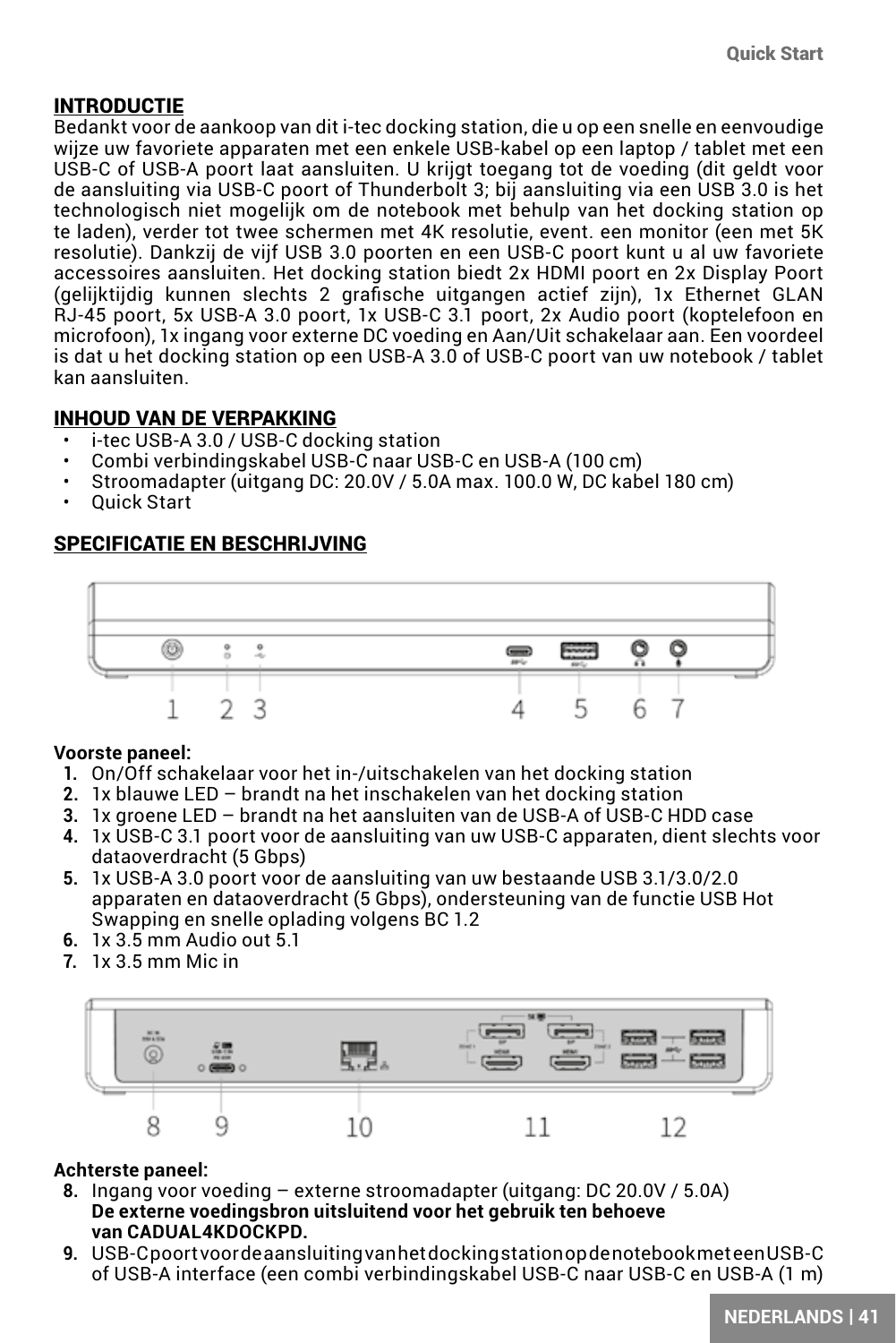### INTRODUCTIE

Bedankt voor de aankoop van dit i-tec docking station, die u op een snelle en eenvoudige wijze uw favoriete apparaten met een enkele USB-kabel op een laptop / tablet met een USB-C of USB-A poort laat aansluiten. U krijgt toegang tot de voeding (dit geldt voor de aansluiting via USB-C poort of Thunderbolt 3; bij aansluiting via een USB 3.0 is het technologisch niet mogelijk om de notebook met behulp van het docking station op te laden), verder tot twee schermen met 4K resolutie, event. een monitor (een met 5K resolutie). Dankzij de vijf USB 3.0 poorten en een USB-C poort kunt u al uw favoriete accessoires aansluiten. Het docking station biedt 2x HDMI poort en 2x Display Poort (gelijktijdig kunnen slechts 2 grafische uitgangen actief zijn), 1x Ethernet GLAN RJ-45 poort, 5x USB-A 3.0 poort, 1x USB-C 3.1 poort, 2x Audio poort (koptelefoon en microfoon), 1x ingang voor externe DC voeding en Aan/Uit schakelaar aan. Een voordeel is dat u het docking station op een USB-A 3.0 of USB-C poort van uw notebook / tablet kan aansluiten.

### INHOUD VAN DE VERPAKKING

- i-tec USB-A 3.0 / USB-C docking station
- Combi verbindingskabel USB-C naar USB-C en USB-A (100 cm)
- Stroomadapter (uitgang DC: 20.0V / 5.0A max. 100.0 W, DC kabel 180 cm)
- Quick Start

### SPECIFICATIE EN BESCHRIJVING



### **Voorste paneel:**

- **1.** On/Off schakelaar voor het in-/uitschakelen van het docking station
- **2.** 1x blauwe LED brandt na het inschakelen van het docking station
- **3.** 1x groene LED brandt na het aansluiten van de USB-A of USB-C HDD case
- **4.** 1x USB-C 3.1 poort voor de aansluiting van uw USB-C apparaten, dient slechts voor dataoverdracht (5 Gbps)
- **5.** 1x USB-A 3.0 poort voor de aansluiting van uw bestaande USB 3.1/3.0/2.0 apparaten en dataoverdracht (5 Gbps), ondersteuning van de functie USB Hot Swapping en snelle oplading volgens BC 1.2
- **6.** 1x 3.5 mm Audio out 5.1
- **7.** 1x 3.5 mm Mic in



### **Achterste paneel:**

- **8.** Ingang voor voeding externe stroomadapter (uitgang: DC 20.0V / 5.0A) **De externe voedingsbron uitsluitend voor het gebruik ten behoeve van CADUAL4KDOCKPD.**
- **9.** USB-C poort voor de aansluiting van het docking station op de notebook met een USB-C of USB-A interface (een combi verbindingskabel USB-C naar USB-C en USB-A (1 m)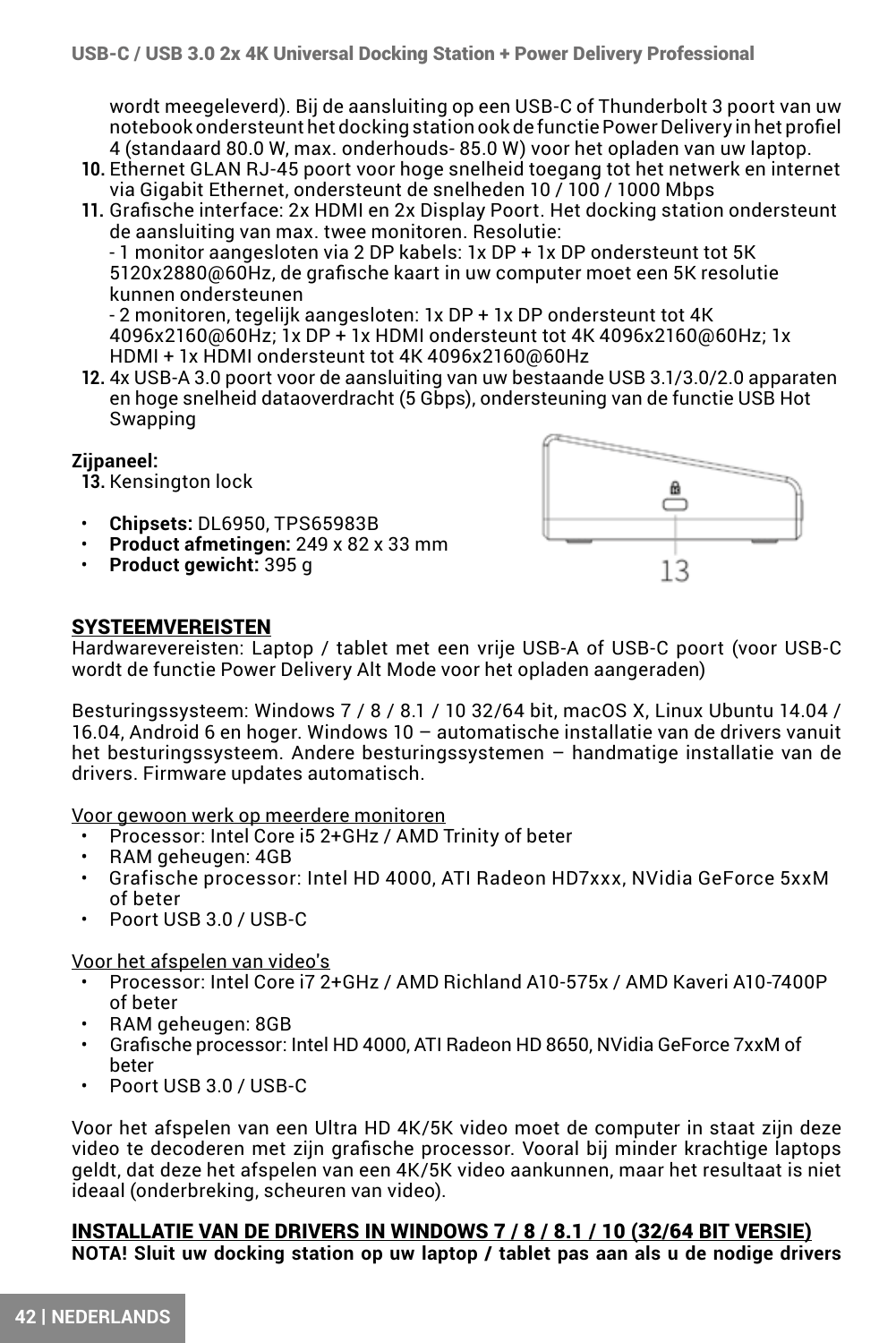wordt meegeleverd). Bij de aansluiting op een USB-C of Thunderbolt 3 poort van uw notebook ondersteunt het docking station ook de functie Power Delivery in het profiel 4 (standaard 80.0 W, max. onderhouds- 85.0 W) voor het opladen van uw laptop.

**10.** Ethernet GLAN RJ-45 poort voor hoge snelheid toegang tot het netwerk en internet via Gigabit Ethernet, ondersteunt de snelheden 10 / 100 / 1000 Mbps

**11.** Grafische interface: 2x HDMI en 2x Display Poort. Het docking station ondersteunt de aansluiting van max. twee monitoren. Resolutie:

- 1 monitor aangesloten via 2 DP kabels: 1x DP + 1x DP ondersteunt tot 5K 5120x2880@60Hz, de grafische kaart in uw computer moet een 5K resolutie kunnen ondersteunen

- 2 monitoren, tegelijk aangesloten: 1x DP + 1x DP ondersteunt tot 4K 4096x2160@60Hz; 1x DP + 1x HDMI ondersteunt tot 4K 4096x2160@60Hz; 1x HDMI + 1x HDMI ondersteunt tot 4K 4096x2160@60Hz

**12.** 4x USB-A 3.0 poort voor de aansluiting van uw bestaande USB 3.1/3.0/2.0 apparaten en hoge snelheid dataoverdracht (5 Gbps), ondersteuning van de functie USB Hot Swapping

#### **Zijpaneel:**

**13.** Kensington lock

- **Chipsets:** DL6950, TPS65983B
- **Product afmetingen:** 249 x 82 x 33 mm
- **Product gewicht:** 395 g



#### **SYSTEEMVEREISTEN**

Hardwarevereisten: Laptop / tablet met een vrije USB-A of USB-C poort (voor USB-C wordt de functie Power Delivery Alt Mode voor het opladen aangeraden)

Besturingssysteem: Windows 7 / 8 / 8.1 / 10 32/64 bit, macOS X, Linux Ubuntu 14.04 / 16.04, Android 6 en hoger. Windows 10 – automatische installatie van de drivers vanuit het besturingssysteem. Andere besturingssystemen – handmatige installatie van de drivers. Firmware updates automatisch.

Voor gewoon werk op meerdere monitoren

- Processor: Intel Core i5 2+GHz / AMD Trinity of beter
- RAM geheugen: 4GB
- Grafische processor: Intel HD 4000, ATI Radeon HD7xxx, NVidia GeForce 5xxM of beter
- Poort USB 3.0 / USB-C

#### Voor het afspelen van video's

- Processor: Intel Core i7 2+GHz / AMD Richland A10-575x / AMD Kaveri A10-7400P of beter
- RAM geheugen: 8GB
- Grafische processor: Intel HD 4000, ATI Radeon HD 8650, NVidia GeForce 7xxM of beter
- Poort USB 3.0 / USB-C

Voor het afspelen van een Ultra HD 4K/5K video moet de computer in staat zijn deze video te decoderen met zijn grafische processor. Vooral bij minder krachtige laptops geldt, dat deze het afspelen van een 4K/5K video aankunnen, maar het resultaat is niet ideaal (onderbreking, scheuren van video).

### INSTALLATIE VAN DE DRIVERS IN WINDOWS 7 / 8 / 8.1 / 10 (32/64 BIT VERSIE)

**NOTA! Sluit uw docking station op uw laptop / tablet pas aan als u de nodige drivers**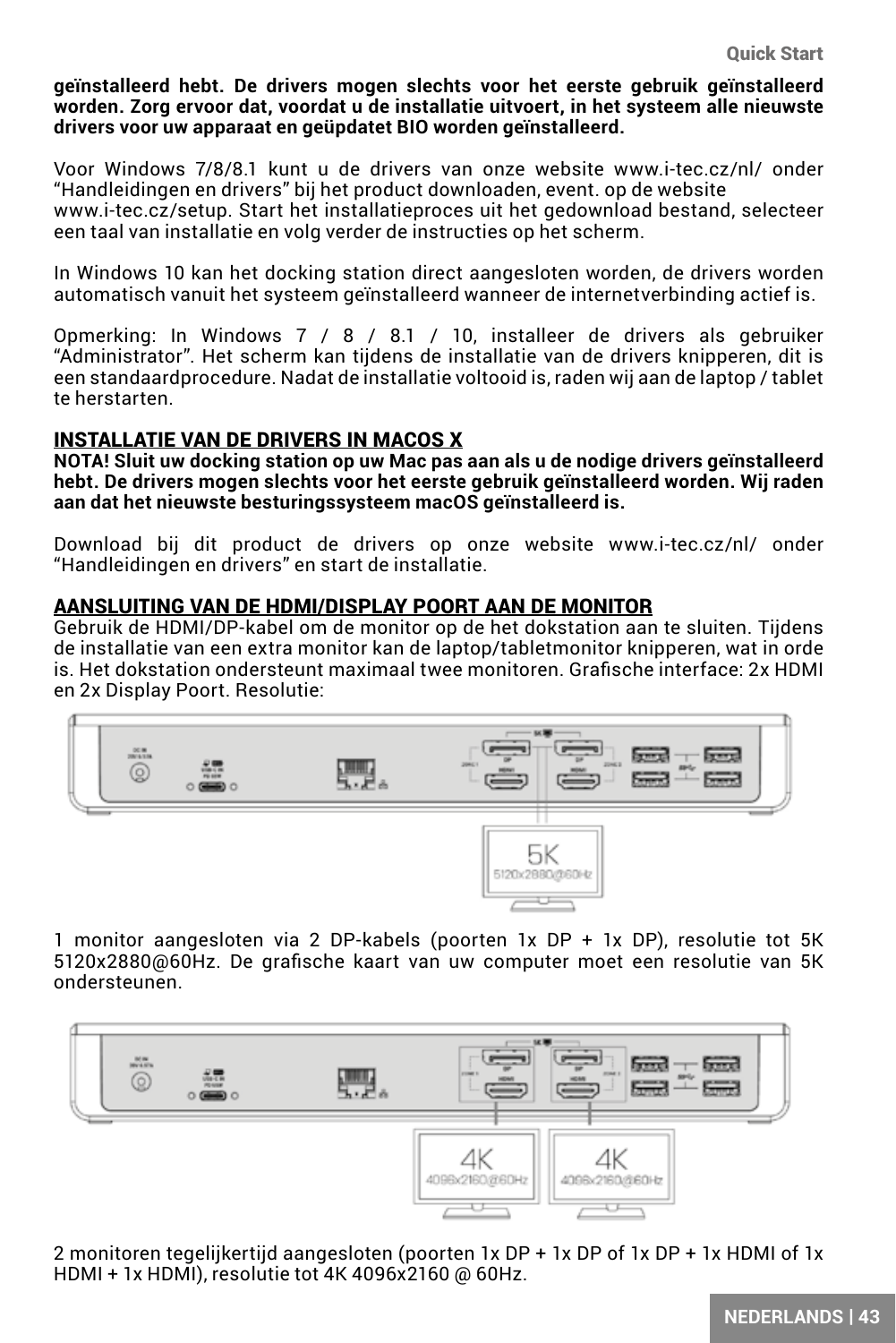**geïnstalleerd hebt. De drivers mogen slechts voor het eerste gebruik geïnstalleerd worden. Zorg ervoor dat, voordat u de installatie uitvoert, in het systeem alle nieuwste drivers voor uw apparaat en geüpdatet BIO worden geïnstalleerd.**

Voor Windows 7/8/8.1 kunt u de drivers van onze website www.i-tec.cz/nl/ onder "Handleidingen en drivers" bij het product downloaden, event. op de website www.i-tec.cz/setup. Start het installatieproces uit het gedownload bestand, selecteer

een taal van installatie en volg verder de instructies op het scherm.

In Windows 10 kan het docking station direct aangesloten worden, de drivers worden automatisch vanuit het systeem geïnstalleerd wanneer de internetverbinding actief is.

Opmerking: In Windows 7 / 8 / 8.1 / 10, installeer de drivers als gebruiker "Administrator". Het scherm kan tijdens de installatie van de drivers knipperen, dit is een standaardprocedure. Nadat de installatie voltooid is, raden wij aan de laptop / tablet te herstarten.

#### INSTALLATIE VAN DE DRIVERS IN MACOS X

**NOTA! Sluit uw docking station op uw Mac pas aan als u de nodige drivers geïnstalleerd hebt. De drivers mogen slechts voor het eerste gebruik geïnstalleerd worden. Wij raden aan dat het nieuwste besturingssysteem macOS geïnstalleerd is.**

Download bij dit product de drivers op onze website www.i-tec.cz/nl/ onder "Handleidingen en drivers" en start de installatie.

#### AANSLUITING VAN DE HDMI/DISPLAY POORT AAN DE MONITOR

Gebruik de HDMI/DP-kabel om de monitor op de het dokstation aan te sluiten. Tijdens de installatie van een extra monitor kan de laptop/tabletmonitor knipperen, wat in orde is. Het dokstation ondersteunt maximaal twee monitoren. Grafische interface: 2x HDMI en 2x Display Poort. Resolutie:



1 monitor aangesloten via 2 DP-kabels (poorten 1x DP + 1x DP), resolutie tot 5K 5120x2880@60Hz. De grafische kaart van uw computer moet een resolutie van 5K ondersteunen.



2 monitoren tegelijkertijd aangesloten (poorten 1x DP + 1x DP of 1x DP + 1x HDMI of 1x HDMI + 1x HDMI), resolutie tot 4K 4096x2160 @ 60Hz.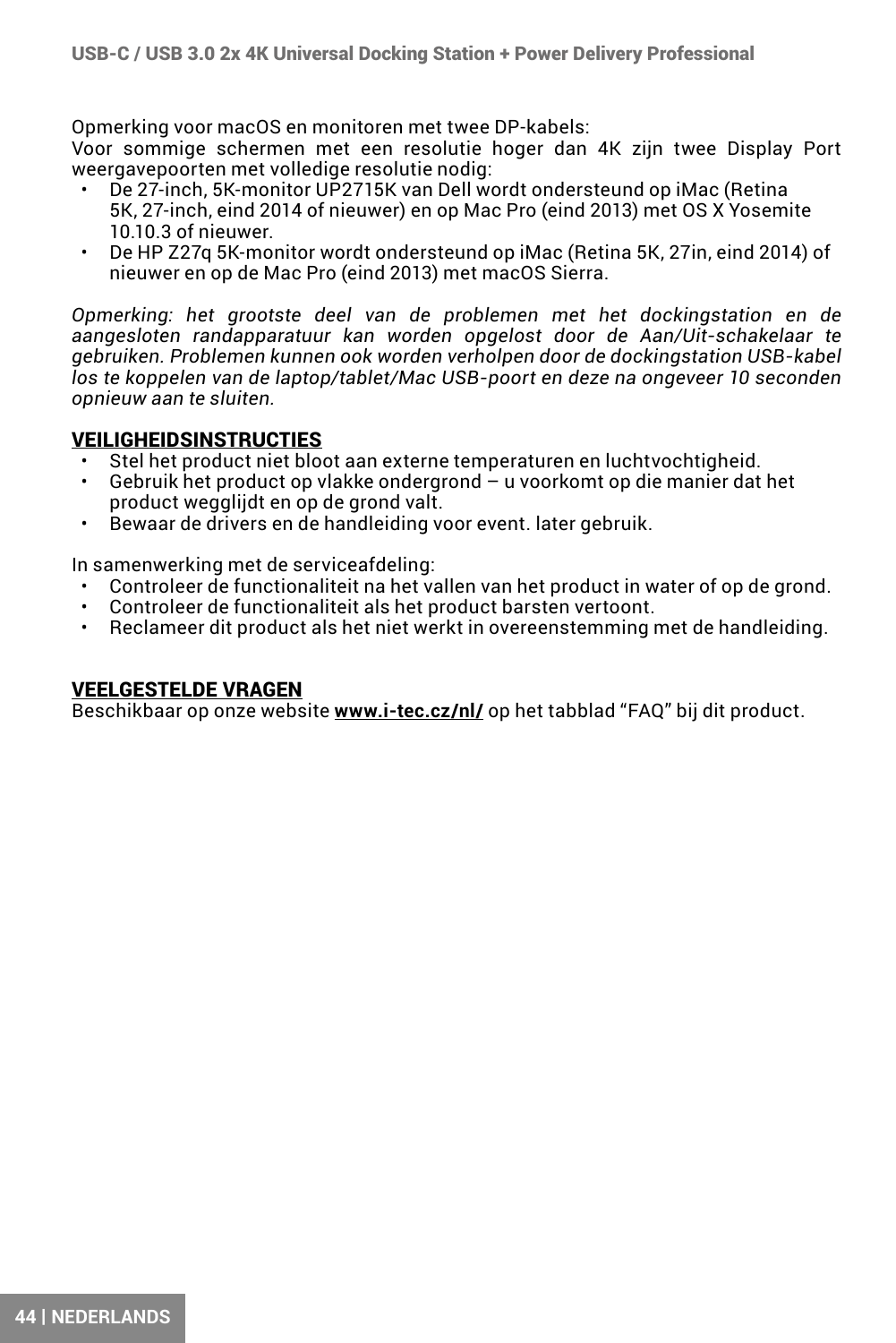Opmerking voor macOS en monitoren met twee DP-kabels:

Voor sommige schermen met een resolutie hoger dan 4K zijn twee Display Port weergavepoorten met volledige resolutie nodig:

- De 27-inch, 5K-monitor UP2715K van Dell wordt ondersteund op iMac (Retina 5K, 27-inch, eind 2014 of nieuwer) en op Mac Pro (eind 2013) met OS X Yosemite 10.10.3 of nieuwer.
- De HP Z27q 5K-monitor wordt ondersteund op iMac (Retina 5K, 27in, eind 2014) of nieuwer en op de Mac Pro (eind 2013) met macOS Sierra.

*Opmerking: het grootste deel van de problemen met het dockingstation en de aangesloten randapparatuur kan worden opgelost door de Aan/Uit-schakelaar te gebruiken. Problemen kunnen ook worden verholpen door de dockingstation USB-kabel los te koppelen van de laptop/tablet/Mac USB-poort en deze na ongeveer 10 seconden opnieuw aan te sluiten.*

### VEILIGHEIDSINSTRUCTIES

- Stel het product niet bloot aan externe temperaturen en luchtvochtigheid.
- Gebruik het product op vlakke ondergrond u voorkomt op die manier dat het product wegglijdt en op de grond valt.
- Bewaar de drivers en de handleiding voor event. later gebruik.

In samenwerking met de serviceafdeling:

- Controleer de functionaliteit na het vallen van het product in water of op de grond.
- Controleer de functionaliteit als het product barsten vertoont.
- Reclameer dit product als het niet werkt in overeenstemming met de handleiding.

### VEELGESTELDE VRAGEN

Beschikbaar op onze website **www.i-tec.cz/nl/** op het tabblad "FAQ" bij dit product.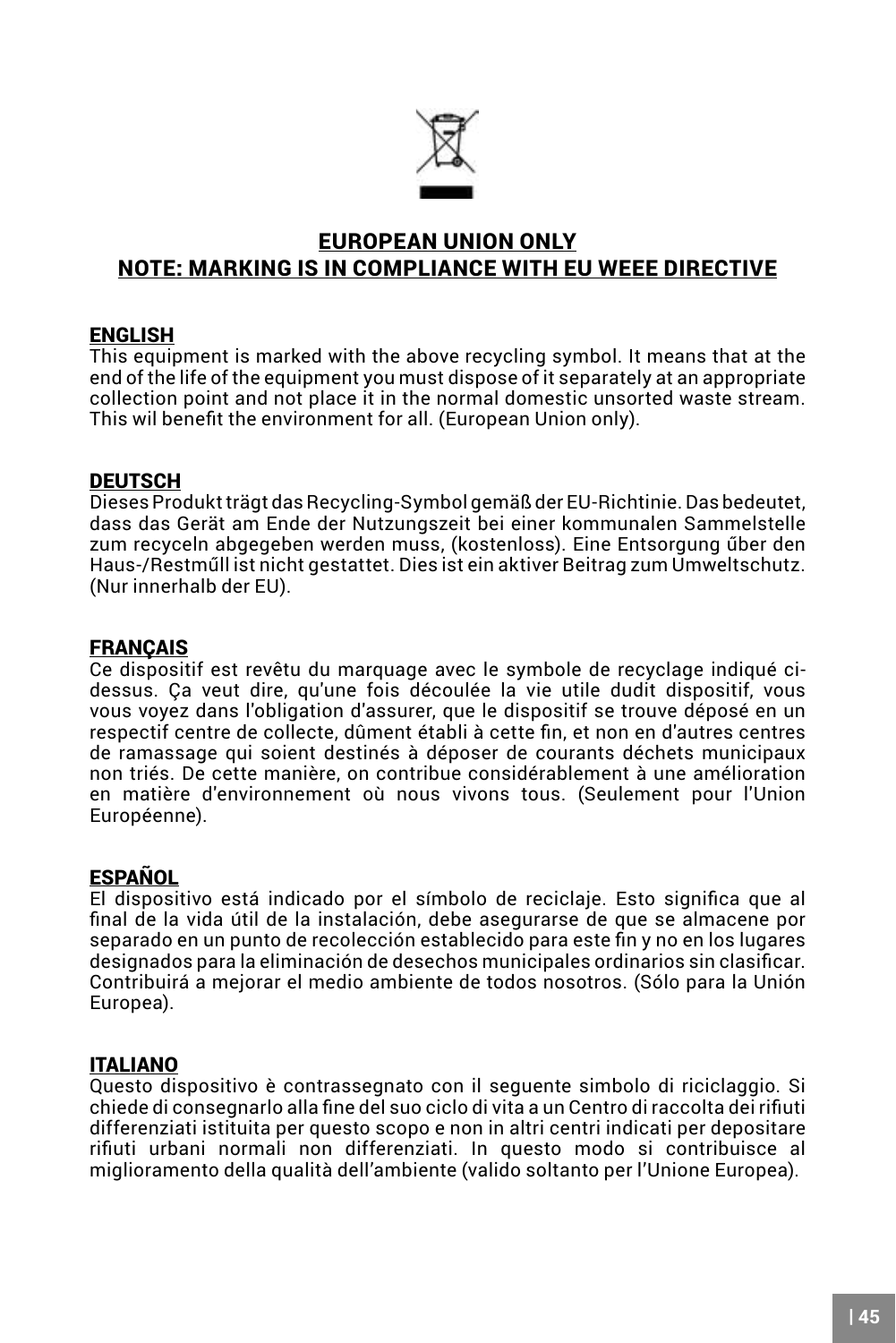

### <span id="page-44-0"></span>EUROPEAN UNION ONLY NOTE: MARKING IS IN COMPLIANCE WITH EU WEEE DIRECTIVE

#### ENGLISH

This equipment is marked with the above recycling symbol. It means that at the end of the life of the equipment you must dispose of it separately at an appropriate collection point and not place it in the normal domestic unsorted waste stream. This wil benefit the environment for all. (European Union only).

#### **DEUTSCH**

Dieses Produkt trägt das Recycling-Symbol gemäß der EU-Richtinie. Das bedeutet, dass das Gerät am Ende der Nutzungszeit bei einer kommunalen Sammelstelle zum recyceln abgegeben werden muss, (kostenloss). Eine Entsorgung űber den Haus-/Restműll ist nicht gestattet. Dies ist ein aktiver Beitrag zum Umweltschutz. (Nur innerhalb der EU).

#### FRANÇAIS

Ce dispositif est revêtu du marquage avec le symbole de recyclage indiqué cidessus. Ça veut dire, qu'une fois découlée la vie utile dudit dispositif, vous vous voyez dans l'obligation d'assurer, que le dispositif se trouve déposé en un respectif centre de collecte, dûment établi à cette fin, et non en d'autres centres de ramassage qui soient destinés à déposer de courants déchets municipaux non triés. De cette manière, on contribue considérablement à une amélioration en matière d'environnement où nous vivons tous. (Seulement pour l'Union Européenne).

### ESPAÑOL

El dispositivo está indicado por el símbolo de reciclaje. Esto significa que al final de la vida útil de la instalación, debe asegurarse de que se almacene por separado en un punto de recolección establecido para este fin y no en los lugares designados para la eliminación de desechos municipales ordinarios sin clasificar. Contribuirá a mejorar el medio ambiente de todos nosotros. (Sólo para la Unión Europea).

### ITALIANO

Questo dispositivo è contrassegnato con il seguente simbolo di riciclaggio. Si chiede di consegnarlo alla fine del suo ciclo di vita a un Centro di raccolta dei rifiuti differenziati istituita per questo scopo e non in altri centri indicati per depositare rifiuti urbani normali non differenziati. In questo modo si contribuisce al miglioramento della qualità dell'ambiente (valido soltanto per l'Unione Europea).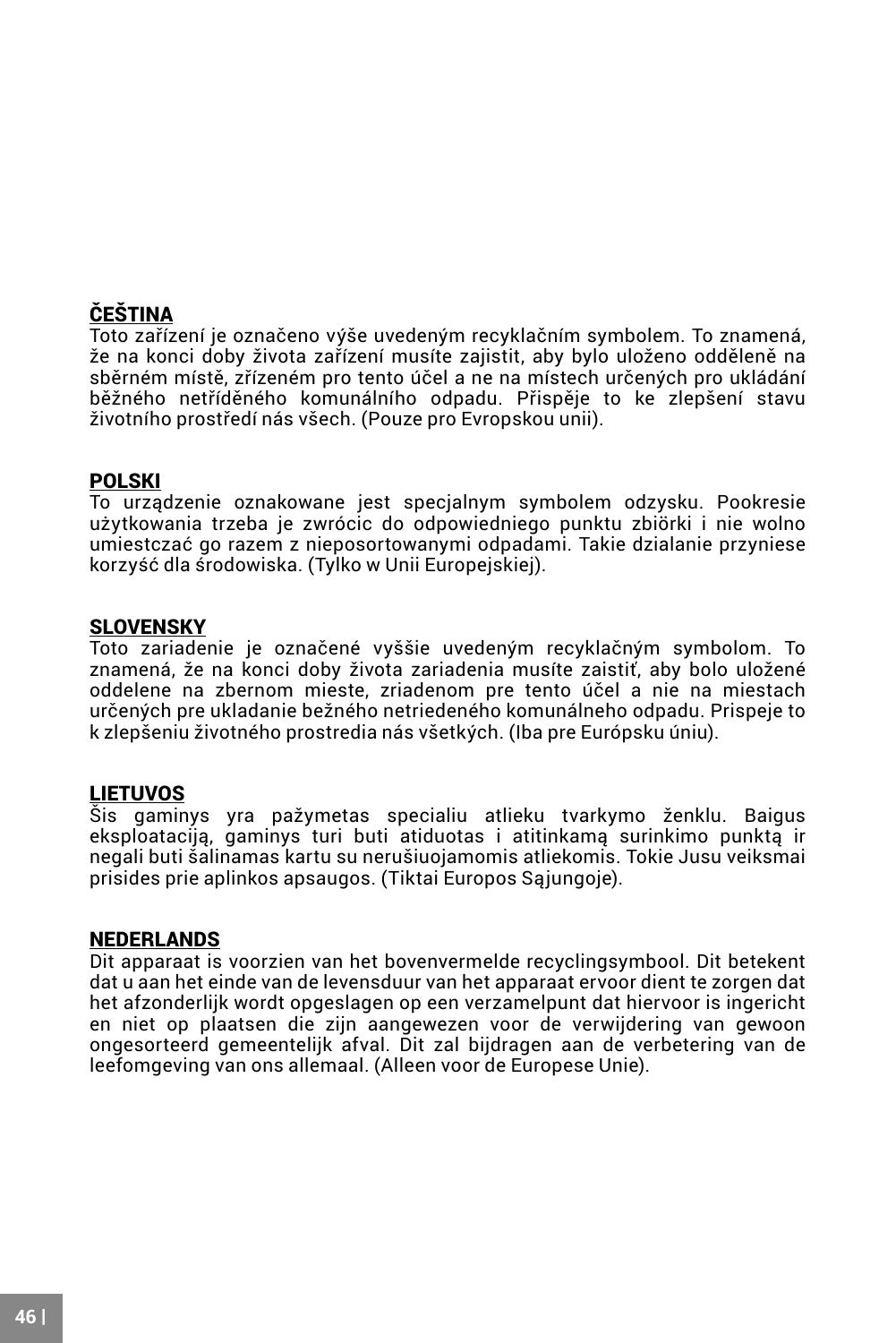## ČEŠTINA

Toto zařízení je označeno výše uvedeným recyklačním symbolem. To znamená, že na konci doby života zařízení musíte zajistit, aby bylo uloženo odděleně na sběrném místě, zřízeném pro tento účel a ne na místech určených pro ukládání běžného netříděného komunálního odpadu. Přispěje to ke zlepšení stavu životního prostředí nás všech. (Pouze pro Evropskou unii).

### POLSKI

To urządzenie oznakowane jest specjalnym symbolem odzysku. Pookresie użytkowania trzeba je zwrócic do odpowiedniego punktu zbiörki i nie wolno umiestczać go razem z nieposortowanymi odpadami. Takie dzialanie przyniese korzyść dla środowiska. (Tylko w Unii Europejskiej).

#### SLOVENSKY

Toto zariadenie je označené vyššie uvedeným recyklačným symbolom. To znamená, že na konci doby života zariadenia musíte zaistiť, aby bolo uložené oddelene na zbernom mieste, zriadenom pre tento účel a nie na miestach určených pre ukladanie bežného netriedeného komunálneho odpadu. Prispeje to k zlepšeniu životného prostredia nás všetkých. (Iba pre Európsku úniu).

**LIETUVOS**<br>Šis gaminys yra pažymetas specialiu atlieku tvarkymo ženklu. Baigus eksploataciją, gaminys turi buti atiduotas i atitinkamą surinkimo punktą ir negali buti šalinamas kartu su nerušiuojamomis atliekomis. Tokie Jusu veiksmai prisides prie aplinkos apsaugos. (Tiktai Europos Sąjungoje).

#### NEDERLANDS

Dit apparaat is voorzien van het bovenvermelde recyclingsymbool. Dit betekent dat u aan het einde van de levensduur van het apparaat ervoor dient te zorgen dat het afzonderlijk wordt opgeslagen op een verzamelpunt dat hiervoor is ingericht en niet op plaatsen die zijn aangewezen voor de verwijdering van gewoon ongesorteerd gemeentelijk afval. Dit zal bijdragen aan de verbetering van de leefomgeving van ons allemaal. (Alleen voor de Europese Unie).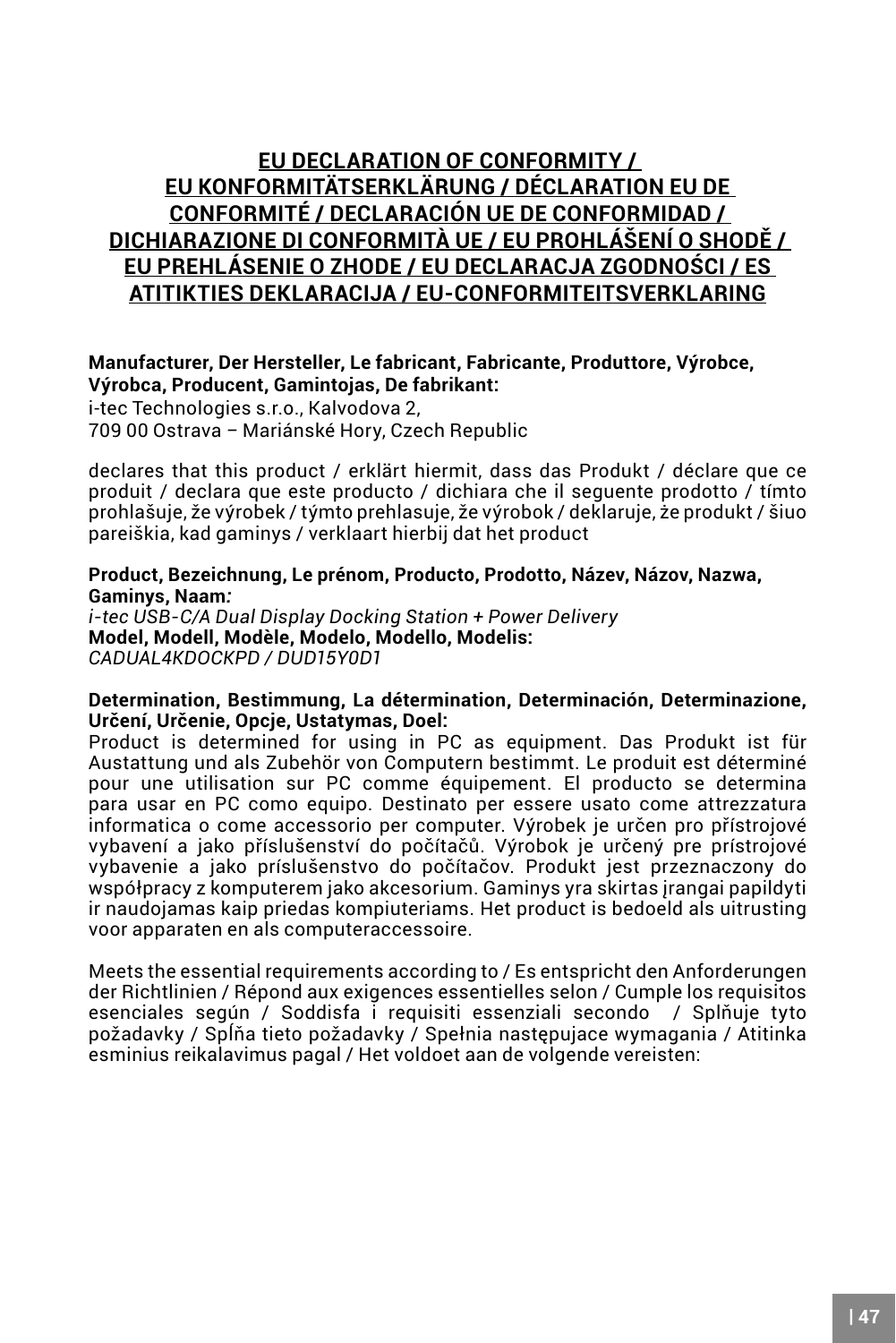### <span id="page-46-0"></span>**EU DECLARATION OF CONFORMITY / EU KONFORMITÄTSERKLÄRUNG / DÉCLARATION EU DE CONFORMITÉ / DECLARACIÓN UE DE CONFORMIDAD / DICHIARAZIONE DI CONFORMITÀ UE / EU PROHLÁŠENÍ O SHODĚ / EU PREHLÁSENIE O ZHODE / EU DECLARACJA ZGODNOŚCI / ES ATITIKTIES DEKLARACIJA / EU-CONFORMITEITSVERKLARING**

### **Manufacturer, Der Hersteller, Le fabricant, Fabricante, Produttore, Výrobce, Výrobca, Producent, Gamintojas, De fabrikant:**  i-tec Technologies s.r.o., Kalvodova 2,

709 00 Ostrava *–* Mariánské Hory, Czech Republic

declares that this product / erklärt hiermit, dass das Produkt / déclare que ce produit / declara que este producto / dichiara che il seguente prodotto / tímto prohlašuje, že výrobek / týmto prehlasuje, že výrobok / deklaruje, że produkt / šiuo pareiškia, kad gaminys / verklaart hierbij dat het product

#### **Product, Bezeichnung, Le prénom, Producto, Prodotto, Název, Názov, Nazwa, Gaminys, Naam***:*

*i-tec USB-C/A Dual Display Docking Station + Power Delivery* **Model, Modell, Modèle, Modelo, Modello, Modelis:**  *CADUAL4KDOCKPD / DUD15Y0D1*

#### **Determination, Bestimmung, La détermination, Determinación, Determinazione, Určení, Určenie, Opcje, Ustatymas, Doel:**

Product is determined for using in PC as equipment. Das Produkt ist für Austattung und als Zubehör von Computern bestimmt. Le produit est déterminé pour une utilisation sur PC comme équipement. El producto se determina para usar en PC como equipo. Destinato per essere usato come attrezzatura informatica o come accessorio per computer. Výrobek je určen pro přístrojové vybavení a jako příslušenství do počítačů. Výrobok je určený pre prístrojové vybavenie a jako príslušenstvo do počítačov. Produkt jest przeznaczony do współpracy z komputerem jako akcesorium. Gaminys yra skirtas įrangai papildyti ir naudojamas kaip priedas kompiuteriams. Het product is bedoeld als uitrusting voor apparaten en als computeraccessoire.

Meets the essential requirements according to / Es entspricht den Anforderungen der Richtlinien / Répond aux exigences essentielles selon / Cumple los requisitos esenciales según / Soddisfa i requisiti essenziali secondo / Splňuje tyto požadavky / Spĺňa tieto požadavky / Spełnia następujace wymagania / Atitinka esminius reikalavimus pagal / Het voldoet aan de volgende vereisten: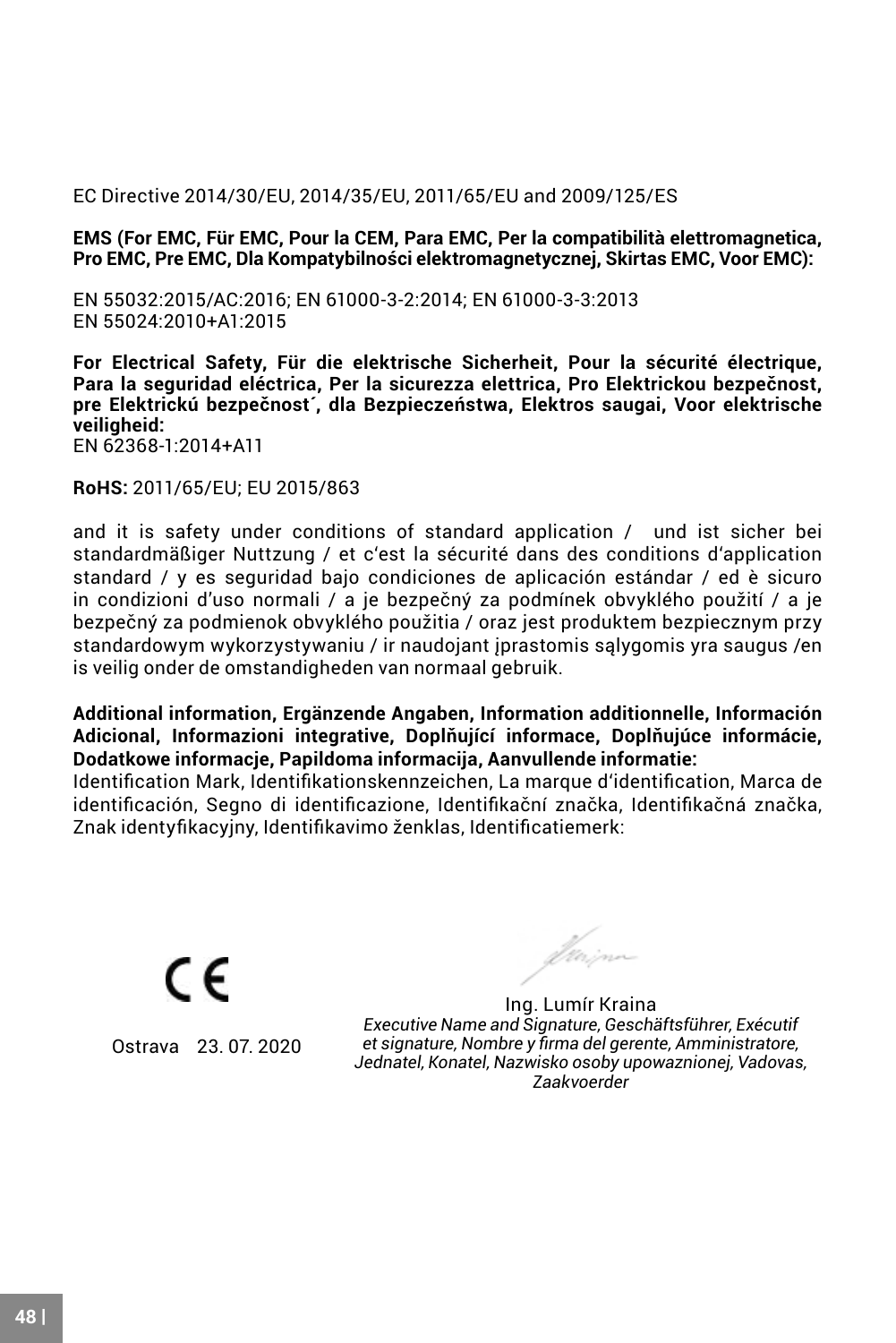#### EC Directive 2014/30/EU, 2014/35/EU, 2011/65/EU and 2009/125/ES

**EMS (For EMC, Für EMC, Pour la CEM, Para EMC, Per la compatibilità elettromagnetica, Pro EMC, Pre EMC, Dla Kompatybilności elektromagnetycznej, Skirtas EMC, Voor EMC):**

EN 55032:2015/AC:2016; EN 61000-3-2:2014; EN 61000-3-3:2013 EN 55024:2010+A1:2015

**For Electrical Safety, Für die elektrische Sicherheit, Pour la sécurité électrique, Para la seguridad eléctrica, Per la sicurezza elettrica, Pro Elektrickou bezpečnost, pre Elektrickú bezpečnost´, dla Bezpieczeństwa, Elektros saugai, Voor elektrische veiligheid:**

EN 62368-1:2014+A11

**RoHS:** 2011/65/EU; EU 2015/863

and it is safety under conditions of standard application / und ist sicher bei standardmäßiger Nuttzung / et c'est la sécurité dans des conditions d'application standard / y es seguridad bajo condiciones de aplicación estándar / ed è sicuro in condizioni d'uso normali / a je bezpečný za podmínek obvyklého použití / a je bezpečný za podmienok obvyklého použitia / oraz jest produktem bezpiecznym przy standardowym wykorzystywaniu / ir naudojant įprastomis sąlygomis yra saugus /en is veilig onder de omstandigheden van normaal gebruik.

**Additional information, Ergänzende Angaben, Information additionnelle, Información Adicional, Informazioni integrative, Doplňující informace, Doplňujúce informácie, Dodatkowe informacje, Papildoma informacija, Aanvullende informatie:**

Identification Mark, Identifikationskennzeichen, La marque d'identification, Marca de identificación, Segno di identificazione, Identifikační značka, Identifikačná značka, Znak identyfikacyjny, Identifikavimo ženklas, Identificatiemerk:

CE Ostrava 23. 07. 2020

fkirinn

Ing. Lumír Kraina *Executive Name and Signature, Geschäftsführer, Exécutif et signature, Nombre y firma del gerente, Amministratore, Jednatel, Konatel, Nazwisko osoby upowaznionej, Vadovas, Zaakvoerder*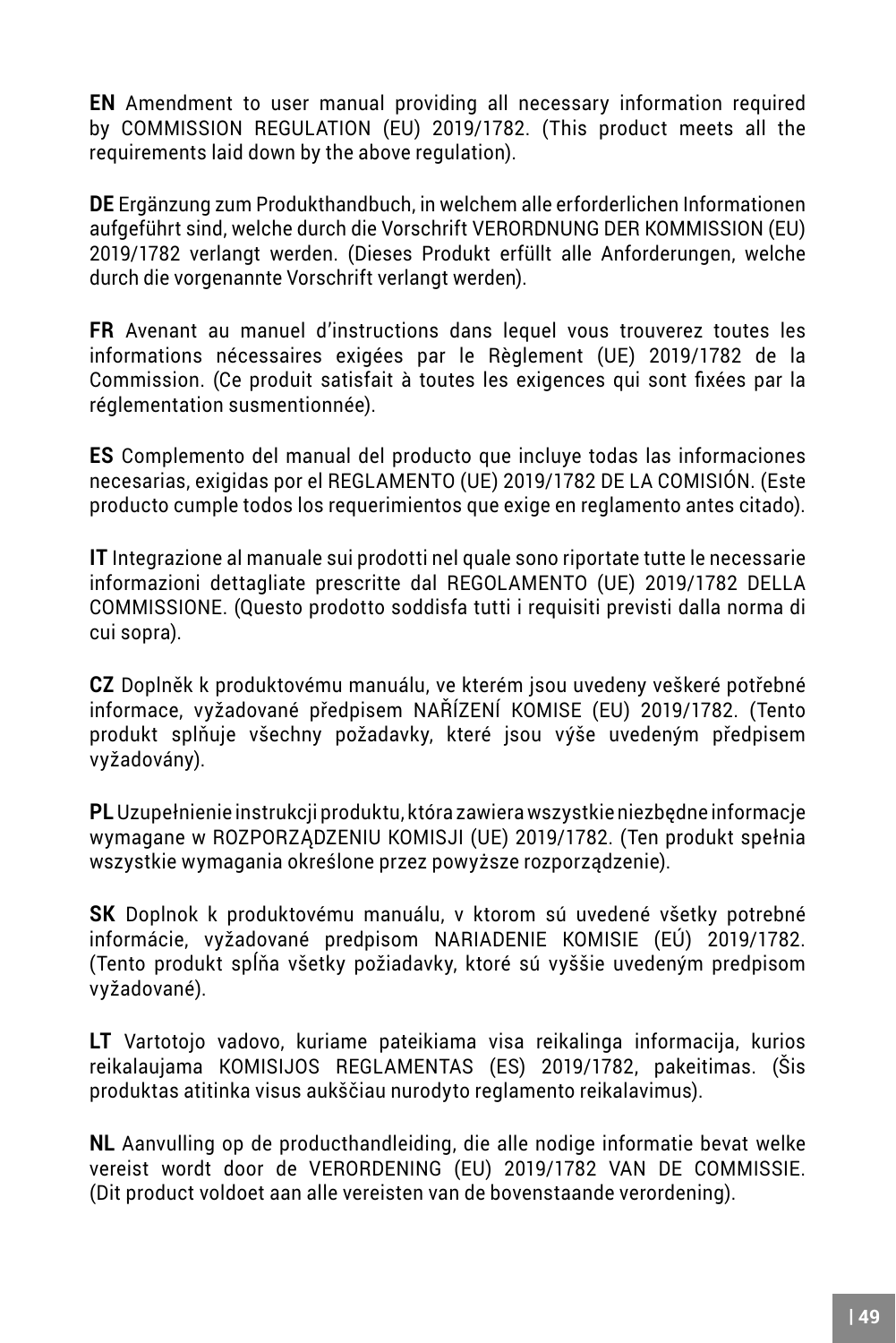**EN** Amendment to user manual providing all necessary information required by COMMISSION REGULATION (EU) 2019/1782. (This product meets all the requirements laid down by the above regulation).

**DE** Ergänzung zum Produkthandbuch, in welchem alle erforderlichen Informationen aufgeführt sind, welche durch die Vorschrift VERORDNUNG DER KOMMISSION (EU) 2019/1782 verlangt werden. (Dieses Produkt erfüllt alle Anforderungen, welche durch die vorgenannte Vorschrift verlangt werden).

**FR** Avenant au manuel d'instructions dans lequel vous trouverez toutes les informations nécessaires exigées par le Règlement (UE) 2019/1782 de la Commission. (Ce produit satisfait à toutes les exigences qui sont fixées par la réglementation susmentionnée).

**ES** Complemento del manual del producto que incluye todas las informaciones necesarias, exigidas por el REGLAMENTO (UE) 2019/1782 DE LA COMISIÓN. (Este producto cumple todos los requerimientos que exige en reglamento antes citado).

**IT** Integrazione al manuale sui prodotti nel quale sono riportate tutte le necessarie informazioni dettagliate prescritte dal REGOLAMENTO (UE) 2019/1782 DELLA COMMISSIONE. (Questo prodotto soddisfa tutti i requisiti previsti dalla norma di cui sopra).

**CZ** Doplněk k produktovému manuálu, ve kterém jsou uvedeny veškeré potřebné informace, vyžadované předpisem NAŘÍZENÍ KOMISE (EU) 2019/1782. (Tento produkt splňuje všechny požadavky, které jsou výše uvedeným předpisem vyžadovány).

**PL** Uzupełnienie instrukcji produktu, która zawiera wszystkie niezbędne informacje wymagane w ROZPORZĄDZENIU KOMISJI (UE) 2019/1782. (Ten produkt spełnia wszystkie wymagania określone przez powyższe rozporządzenie).

**SK** Doplnok k produktovému manuálu, v ktorom sú uvedené všetky potrebné informácie, vyžadované predpisom NARIADENIE KOMISIE (EÚ) 2019/1782. (Tento produkt spĺňa všetky požiadavky, ktoré sú vyššie uvedeným predpisom vyžadované).

**LT** Vartotojo vadovo, kuriame pateikiama visa reikalinga informacija, kurios reikalaujama KOMISIJOS REGLAMENTAS (ES) 2019/1782, pakeitimas. (Šis produktas atitinka visus aukščiau nurodyto reglamento reikalavimus).

**NL** Aanvulling op de producthandleiding, die alle nodige informatie bevat welke vereist wordt door de VERORDENING (EU) 2019/1782 VAN DE COMMISSIE. (Dit product voldoet aan alle vereisten van de bovenstaande verordening).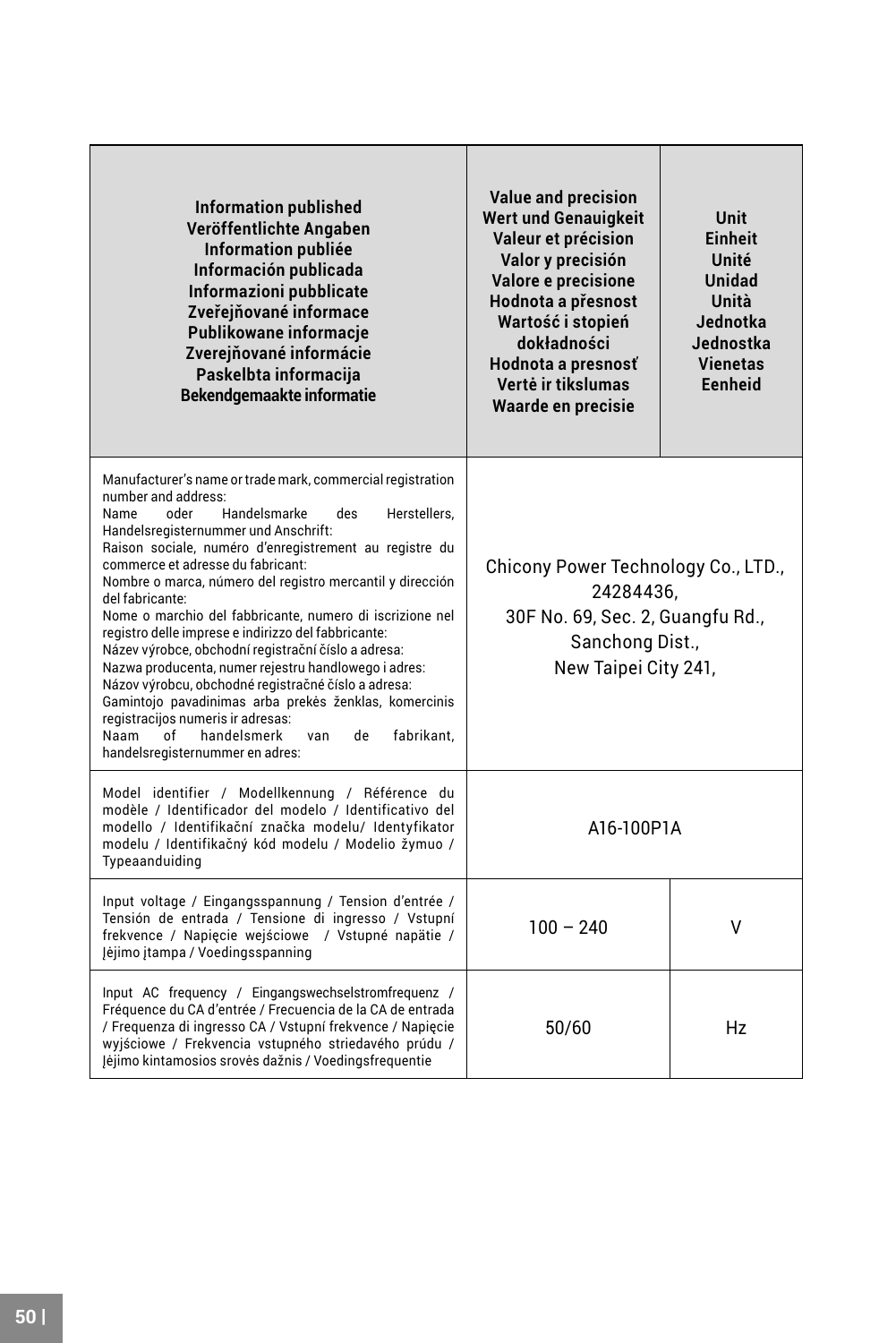| <b>Information published</b><br>Veröffentlichte Angaben<br><b>Information publiée</b><br>Información publicada<br>Informazioni pubblicate<br>Zveřejňované informace<br>Publikowane informacie<br>Zvereiňované informácie<br>Paskelbta informaciia<br>Bekendgemaakte informatie                                                                                                                                                                                                                                                                                                                                                                                                                                                                                                                                                                    | <b>Value and precision</b><br><b>Wert und Genauigkeit</b><br>Valeur et précision<br>Valor v precisión<br>Valore e precisione<br>Hodnota a přesnost<br>Wartość i stopień<br>dokładności<br>Hodnota a presnosť<br>Vertė ir tikslumas<br>Waarde en precisie | Unit<br>Finheit<br>Unité<br><b>Unidad</b><br>Unità<br>Jednotka.<br>Jednostka.<br><b>Vienetas</b><br>Fenheid |
|---------------------------------------------------------------------------------------------------------------------------------------------------------------------------------------------------------------------------------------------------------------------------------------------------------------------------------------------------------------------------------------------------------------------------------------------------------------------------------------------------------------------------------------------------------------------------------------------------------------------------------------------------------------------------------------------------------------------------------------------------------------------------------------------------------------------------------------------------|----------------------------------------------------------------------------------------------------------------------------------------------------------------------------------------------------------------------------------------------------------|-------------------------------------------------------------------------------------------------------------|
| Manufacturer's name or trade mark, commercial registration<br>number and address:<br>Handelsmarke<br>Name<br>oder<br>des<br>Herstellers.<br>Handelsregisternummer und Anschrift:<br>Raison sociale, numéro d'enregistrement au registre du<br>commerce et adresse du fabricant:<br>Nombre o marca, número del registro mercantil y dirección<br>del fabricante:<br>Nome o marchio del fabbricante, numero di iscrizione nel<br>registro delle imprese e indirizzo del fabbricante:<br>Název výrobce, obchodní registrační číslo a adresa:<br>Nazwa producenta, numer reiestru handlowego i adres:<br>Názov výrobcu, obchodné registračné číslo a adresa:<br>Gamintojo pavadinimas arba prekės ženklas, komercinis<br>registracijos numeris ir adresas:<br>Naam<br>handelsmerk<br>de<br>fabrikant.<br>nf<br>van<br>handelsregisternummer en adres: | Chicony Power Technology Co., LTD.,<br>24284436.<br>30F No. 69, Sec. 2, Guangfu Rd.,<br>Sanchong Dist.,<br>New Taipei City 241,                                                                                                                          |                                                                                                             |
| Model identifier / Modellkennung / Référence du<br>modèle / Identificador del modelo / Identificativo del<br>modello / Identifikační značka modelu/ Identyfikator<br>modelu / Identifikačný kód modelu / Modelio žymuo /<br>Typeaanduiding                                                                                                                                                                                                                                                                                                                                                                                                                                                                                                                                                                                                        | A16-100P1A                                                                                                                                                                                                                                               |                                                                                                             |
| Input voltage / Eingangsspannung / Tension d'entrée /<br>Tensión de entrada / Tensione di ingresso / Vstupní<br>frekvence / Napiecie wejściowe / Vstupné napätie /<br>Jėjimo įtampa / Voedingsspanning                                                                                                                                                                                                                                                                                                                                                                                                                                                                                                                                                                                                                                            | $100 - 240$                                                                                                                                                                                                                                              | V                                                                                                           |
| Input AC frequency / Eingangswechselstromfrequenz /<br>Fréquence du CA d'entrée / Frecuencia de la CA de entrada<br>/ Frequenza di ingresso CA / Vstupní frekvence / Napiecie<br>wyjściowe / Frekvencia vstupného striedavého prúdu /<br>Jėjimo kintamosios srovės dažnis / Voedingsfreguentie                                                                                                                                                                                                                                                                                                                                                                                                                                                                                                                                                    | 50/60                                                                                                                                                                                                                                                    | Hz                                                                                                          |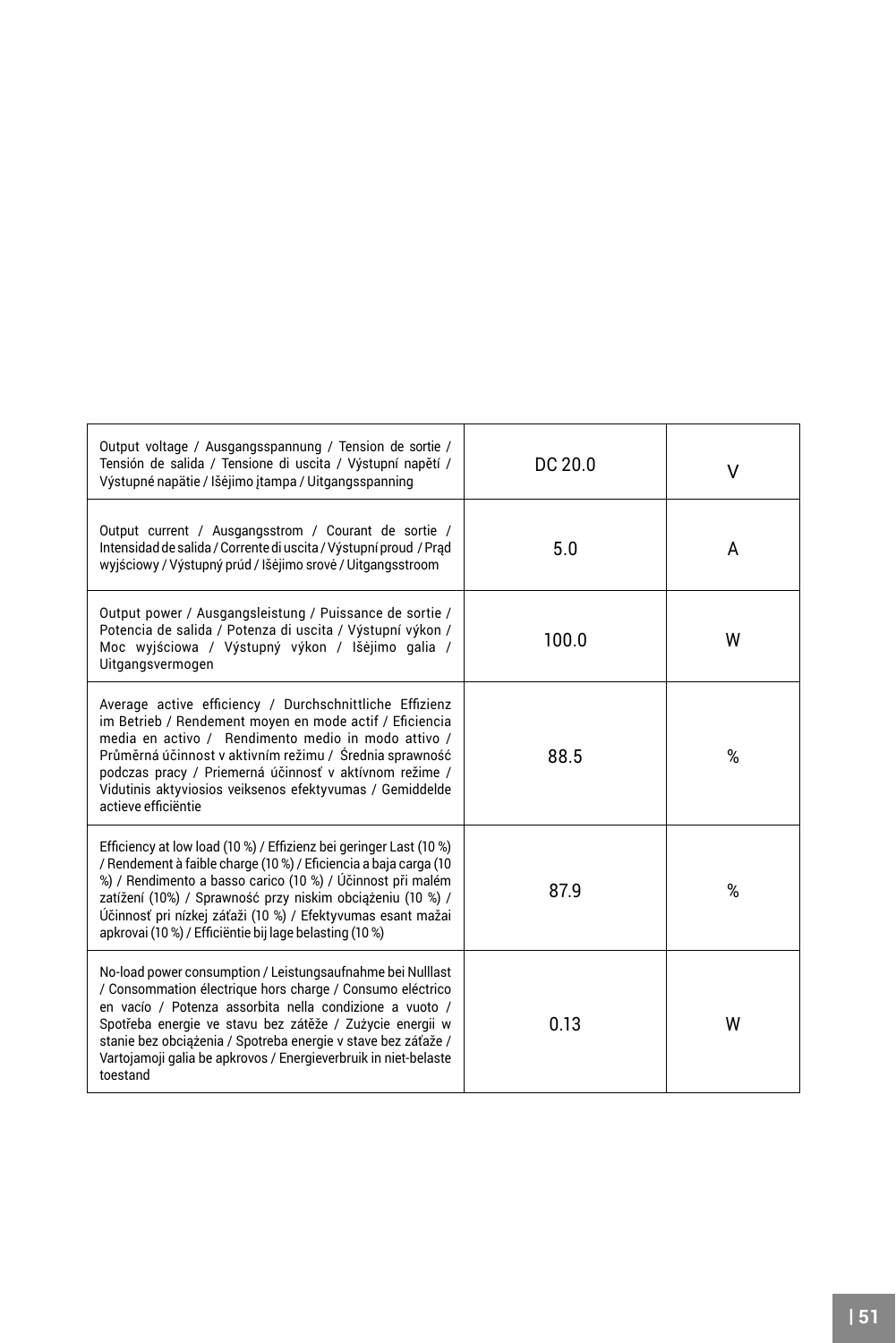| Output voltage / Ausgangsspannung / Tension de sortie /<br>Tensión de salida / Tensione di uscita / Výstupní napětí /<br>Výstupné napätie / Išėjimo įtampa / Uitgangsspanning                                                                                                                                                                                                                  | DC20.0 | v |
|------------------------------------------------------------------------------------------------------------------------------------------------------------------------------------------------------------------------------------------------------------------------------------------------------------------------------------------------------------------------------------------------|--------|---|
| Output current / Ausgangsstrom / Courant de sortie /<br>Intensidad de salida / Corrente di uscita / Výstupní proud / Prad<br>wyjściowy / Výstupný prúd / Išėjimo srovė / Uitgangsstroom                                                                                                                                                                                                        | 5.0    | A |
| Output power / Ausgangsleistung / Puissance de sortie /<br>Potencia de salida / Potenza di uscita / Výstupní výkon /<br>Moc wyjściowa / Výstupný výkon / Išėjimo galia /<br>Uitgangsvermogen                                                                                                                                                                                                   | 100.0  | W |
| Average active efficiency / Durchschnittliche Effizienz<br>im Betrieb / Rendement moven en mode actif / Eficiencia<br>media en activo / Rendimento medio in modo attivo /<br>Průměrná účinnost v aktivním režimu / Średnia sprawność<br>podczas pracy / Priemerná účinnosť v aktívnom režime /<br>Vidutinis aktyviosios veiksenos efektyvumas / Gemiddelde<br>actieve efficiëntie              | 88.5   | % |
| Efficiency at low load (10 %) / Effizienz bei geringer Last (10 %)<br>/ Rendement à faible charge (10 %) / Eficiencia a baja carga (10<br>%) / Rendimento a basso carico (10 %) / Účinnost při malém<br>zatížení (10%) / Sprawność przy niskim obciążeniu (10 %) /<br>Účinnosť pri nízkej záťaži (10 %) / Efektyvumas esant mažai<br>apkrovai (10 %) / Efficiëntie bij lage belasting (10 %)   | 879    | % |
| No-load power consumption / Leistungsaufnahme bei Nulllast<br>/ Consommation électrique hors charge / Consumo eléctrico<br>en vacío / Potenza assorbita nella condizione a vuoto /<br>Spotřeba energie ve stavu bez zátěže / Zużycie energii w<br>stanie bez obciążenia / Spotreba energie v stave bez záťaže /<br>Vartojamoji galja be apkrovos / Energieverbrujk in niet-belaste<br>toestand | 013    | W |